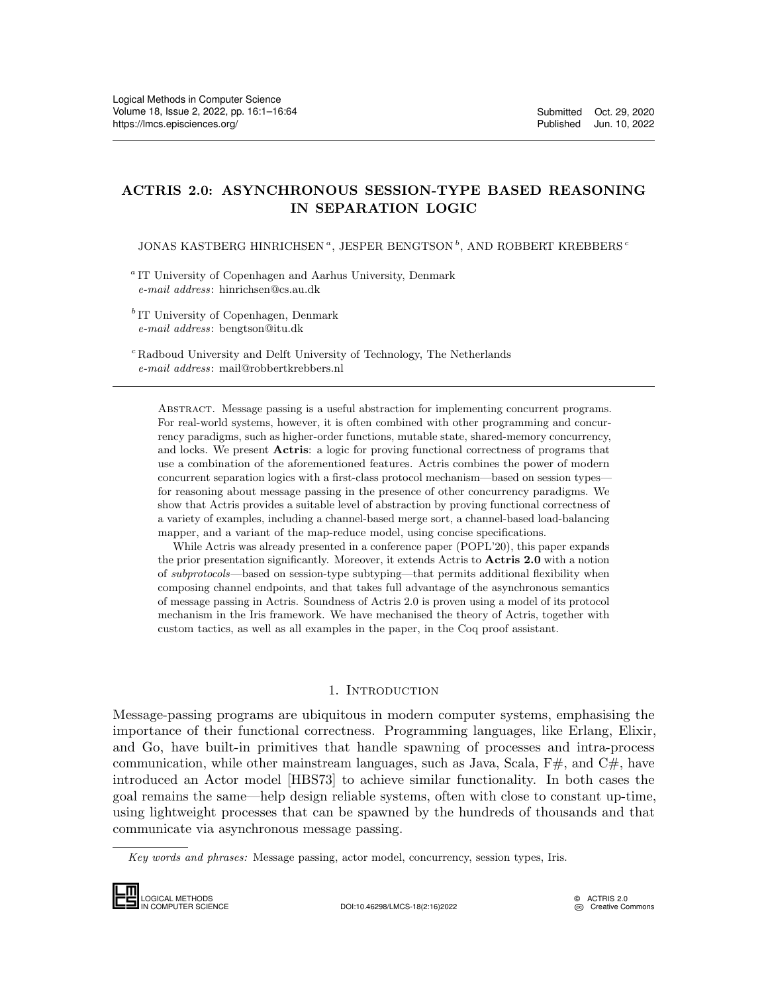# ACTRIS 2.0: ASYNCHRONOUS SESSION-TYPE BASED REASONING IN SEPARATION LOGIC

JONAS KASTBERG HINRICHSEN<sup> $a, JESPER BENGTSON $\overset{b}{\cdot}$  , AND ROBBERT KREBBERS  $^c$ </sup>$ 

<sup>a</sup> IT University of Copenhagen and Aarhus University, Denmark e-mail address: hinrichsen@cs.au.dk

<sup>b</sup> IT University of Copenhagen, Denmark e-mail address: bengtson@itu.dk

<sup>c</sup> Radboud University and Delft University of Technology, The Netherlands e-mail address: mail@robbertkrebbers.nl

Abstract. Message passing is a useful abstraction for implementing concurrent programs. For real-world systems, however, it is often combined with other programming and concurrency paradigms, such as higher-order functions, mutable state, shared-memory concurrency, and locks. We present Actris: a logic for proving functional correctness of programs that use a combination of the aforementioned features. Actris combines the power of modern concurrent separation logics with a first-class protocol mechanism—based on session types for reasoning about message passing in the presence of other concurrency paradigms. We show that Actris provides a suitable level of abstraction by proving functional correctness of a variety of examples, including a channel-based merge sort, a channel-based load-balancing mapper, and a variant of the map-reduce model, using concise specifications.

While Actris was already presented in a conference paper (POPL'20), this paper expands the prior presentation significantly. Moreover, it extends Actris to Actris 2.0 with a notion of subprotocols—based on session-type subtyping—that permits additional flexibility when composing channel endpoints, and that takes full advantage of the asynchronous semantics of message passing in Actris. Soundness of Actris 2.0 is proven using a model of its protocol mechanism in the Iris framework. We have mechanised the theory of Actris, together with custom tactics, as well as all examples in the paper, in the Coq proof assistant.

## 1. INTRODUCTION

<span id="page-0-0"></span>Message-passing programs are ubiquitous in modern computer systems, emphasising the importance of their functional correctness. Programming languages, like Erlang, Elixir, and Go, have built-in primitives that handle spawning of processes and intra-process communication, while other mainstream languages, such as Java, Scala,  $F#$ , and  $C#$ , have introduced an Actor model [\[HBS73\]](#page-61-0) to achieve similar functionality. In both cases the goal remains the same—help design reliable systems, often with close to constant up-time, using lightweight processes that can be spawned by the hundreds of thousands and that communicate via asynchronous message passing. and Go, have b<br>communication,<br>introduced an A<br>goal remains the<br>using lightweight<br>communicate via<br> $Key words and p$ 

Key words and phrases: Message passing, actor model, concurrency, session types, Iris.



IN COMPUTER SCIENCE DOI:10.46298/LMCS-18(2:16)2022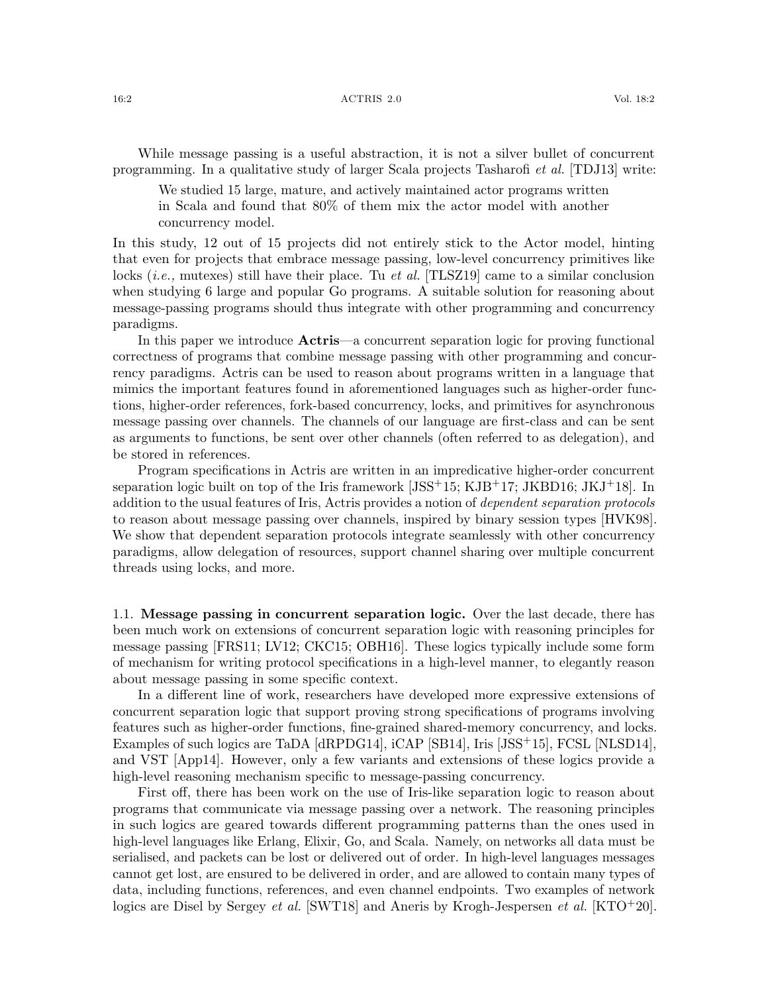#### 16:2 ACTRIS 2.0 Vol. 18:2

While message passing is a useful abstraction, it is not a silver bullet of concurrent programming. In a qualitative study of larger Scala projects Tasharofi et al. [\[TDJ13\]](#page-63-1) write:

We studied 15 large, mature, and actively maintained actor programs written in Scala and found that 80% of them mix the actor model with another concurrency model.

In this study, 12 out of 15 projects did not entirely stick to the Actor model, hinting that even for projects that embrace message passing, low-level concurrency primitives like locks (*i.e.*, mutexes) still have their place. Tu *et al.* [\[TLSZ19\]](#page-63-2) came to a similar conclusion when studying 6 large and popular Go programs. A suitable solution for reasoning about message-passing programs should thus integrate with other programming and concurrency paradigms.

In this paper we introduce **Actris**—a concurrent separation logic for proving functional correctness of programs that combine message passing with other programming and concurrency paradigms. Actris can be used to reason about programs written in a language that mimics the important features found in aforementioned languages such as higher-order functions, higher-order references, fork-based concurrency, locks, and primitives for asynchronous message passing over channels. The channels of our language are first-class and can be sent as arguments to functions, be sent over other channels (often referred to as delegation), and be stored in references.

Program specifications in Actris are written in an impredicative higher-order concurrent separation logic built on top of the Iris framework  $[JSS+15; KJB+17; JKBD16; JK+18]$  $[JSS+15; KJB+17; JKBD16; JK+18]$  $[JSS+15; KJB+17; JKBD16; JK+18]$  $[JSS+15; KJB+17; JKBD16; JK+18]$  $[JSS+15; KJB+17; JKBD16; JK+18]$  $[JSS+15; KJB+17; JKBD16; JK+18]$ . In addition to the usual features of Iris, Actris provides a notion of dependent separation protocols to reason about message passing over channels, inspired by binary session types [\[HVK98\]](#page-61-2). We show that dependent separation protocols integrate seamlessly with other concurrency paradigms, allow delegation of resources, support channel sharing over multiple concurrent threads using locks, and more.

<span id="page-1-0"></span>1.1. Message passing in concurrent separation logic. Over the last decade, there has been much work on extensions of concurrent separation logic with reasoning principles for message passing [\[FRS11;](#page-60-0) [LV12;](#page-62-3) [CKC15;](#page-60-1) [OBH16\]](#page-63-3). These logics typically include some form of mechanism for writing protocol specifications in a high-level manner, to elegantly reason about message passing in some specific context.

In a different line of work, researchers have developed more expressive extensions of concurrent separation logic that support proving strong specifications of programs involving features such as higher-order functions, fine-grained shared-memory concurrency, and locks. Examples of such logics are TaDA [\[dRPDG14\]](#page-60-2), iCAP [\[SB14\]](#page-63-4), Iris [\[JSS](#page-62-0)<sup>+</sup>15], FCSL [\[NLSD14\]](#page-62-4), and VST [\[App14\]](#page-59-0). However, only a few variants and extensions of these logics provide a high-level reasoning mechanism specific to message-passing concurrency.

First off, there has been work on the use of Iris-like separation logic to reason about programs that communicate via message passing over a network. The reasoning principles in such logics are geared towards different programming patterns than the ones used in high-level languages like Erlang, Elixir, Go, and Scala. Namely, on networks all data must be serialised, and packets can be lost or delivered out of order. In high-level languages messages cannot get lost, are ensured to be delivered in order, and are allowed to contain many types of data, including functions, references, and even channel endpoints. Two examples of network logics are Disel by Sergey *et al.* [\[SWT18\]](#page-63-5) and Aneris by Krogh-Jespersen *et al.* [\[KTO](#page-62-5)<sup>+</sup>20].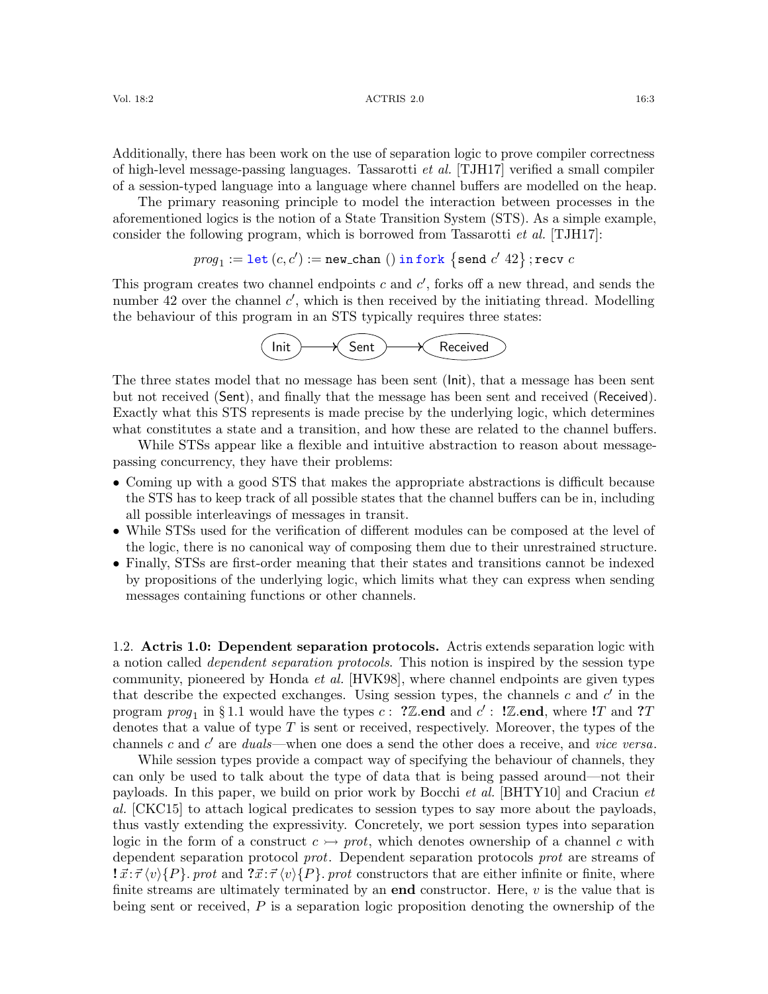Additionally, there has been work on the use of separation logic to prove compiler correctness of high-level message-passing languages. Tassarotti et al. [\[TJH17\]](#page-63-6) verified a small compiler of a session-typed language into a language where channel buffers are modelled on the heap.

The primary reasoning principle to model the interaction between processes in the aforementioned logics is the notion of a State Transition System (STS). As a simple example, consider the following program, which is borrowed from Tassarotti *et al.* [\[TJH17\]](#page-63-6):

$$
\textit{prog}_1 := \mathtt{let}\ (c,c') := \mathtt{new\_chan}\ ()\ \mathtt{in}\ \mathtt{fork}\ \{\mathtt{send}\ c'\ 42\}\ ; \mathtt{recv}\ c
$$

This program creates two channel endpoints  $c$  and  $c'$ , forks off a new thread, and sends the number 42 over the channel  $c'$ , which is then received by the initiating thread. Modelling the behaviour of this program in an STS typically requires three states:



The three states model that no message has been sent (Init), that a message has been sent but not received (Sent), and finally that the message has been sent and received (Received). Exactly what this STS represents is made precise by the underlying logic, which determines what constitutes a state and a transition, and how these are related to the channel buffers.

While STSs appear like a flexible and intuitive abstraction to reason about messagepassing concurrency, they have their problems:

- Coming up with a good STS that makes the appropriate abstractions is difficult because the STS has to keep track of all possible states that the channel buffers can be in, including all possible interleavings of messages in transit.
- While STSs used for the verification of different modules can be composed at the level of the logic, there is no canonical way of composing them due to their unrestrained structure.
- Finally, STSs are first-order meaning that their states and transitions cannot be indexed by propositions of the underlying logic, which limits what they can express when sending messages containing functions or other channels.

1.2. Actris 1.0: Dependent separation protocols. Actris extends separation logic with a notion called dependent separation protocols. This notion is inspired by the session type community, pioneered by Honda et al. [\[HVK98\]](#page-61-2), where channel endpoints are given types that describe the expected exchanges. Using session types, the channels  $c$  and  $c'$  in the program  $prog_1$  in § [1.1](#page-1-0) would have the types c: ?Z.end and  $c'$ : !Z.end, where !T and ?T denotes that a value of type T is sent or received, respectively. Moreover, the types of the channels c and  $c'$  are duals—when one does a send the other does a receive, and vice versa.

While session types provide a compact way of specifying the behaviour of channels, they can only be used to talk about the type of data that is being passed around—not their payloads. In this paper, we build on prior work by Bocchi et al. [\[BHTY10\]](#page-60-3) and Craciun et al. [\[CKC15\]](#page-60-1) to attach logical predicates to session types to say more about the payloads, thus vastly extending the expressivity. Concretely, we port session types into separation logic in the form of a construct  $c \rightarrow prot$ , which denotes ownership of a channel c with dependent separation protocol prot. Dependent separation protocols prot are streams of  $\vec{x}:\vec{\tau}\langle v\rangle\{P\}$ . prot and  $\vec{x}:\vec{\tau}\langle v\rangle\{P\}$ . prot constructors that are either infinite or finite, where finite streams are ultimately terminated by an **end** constructor. Here,  $v$  is the value that is being sent or received, P is a separation logic proposition denoting the ownership of the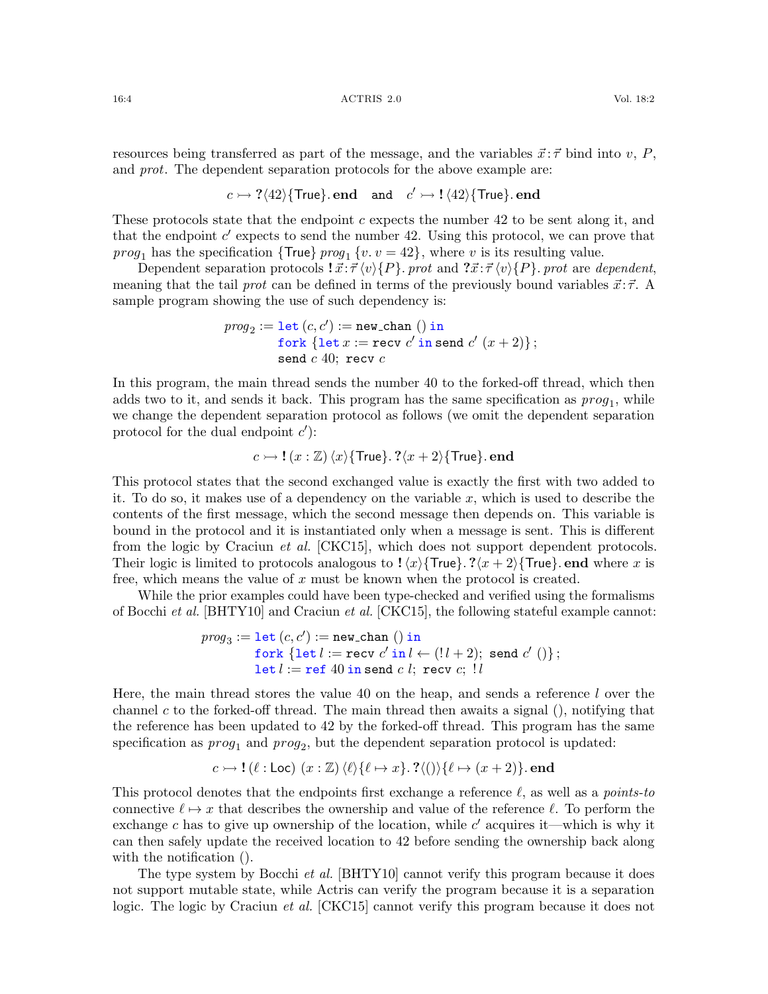#### 16:4 ACTRIS 2.0 Vol. 18:2

$$
c \rightarrow ?\langle 42\rangle
$$
{True}. end and  $c' \rightarrow !\langle 42\rangle$ {True}. end

These protocols state that the endpoint  $c$  expects the number 42 to be sent along it, and that the endpoint  $c'$  expects to send the number 42. Using this protocol, we can prove that *prog*<sub>1</sub> has the specification { $\text{True}$ }  $prog_1 \{v. v = 42\}$ , where v is its resulting value.

Dependent separation protocols  $\vec{x}$ :  $\vec{\tau} \langle v \rangle \{P\}$ . prot and  $\vec{x}$ :  $\vec{\tau} \langle v \rangle \{P\}$ . prot are dependent, meaning that the tail prot can be defined in terms of the previously bound variables  $\vec{x}$ : $\vec{\tau}$ . sample program showing the use of such dependency is:

$$
\begin{aligned} prog_2 := \texttt{let}\ (c,c') := \texttt{new\_chan}\ ()\ \texttt{in} \\ \texttt{fork}\ \{\texttt{let}\ x := \texttt{recv}\ c'\ \texttt{in}\ \texttt{send}\ c'\ (x+2)\}\ ; \\ \texttt{send}\ c\ 40;\ \texttt{recv}\ c \end{aligned}
$$

In this program, the main thread sends the number 40 to the forked-off thread, which then adds two to it, and sends it back. This program has the same specification as  $prog<sub>1</sub>$ , while we change the dependent separation protocol as follows (we omit the dependent separation protocol for the dual endpoint  $c'$ :

$$
c \rightarrowtail
$$
!  $(x : \mathbb{Z}) \langle x \rangle$ {True}. ? $\langle x + 2 \rangle$ {True}. end

This protocol states that the second exchanged value is exactly the first with two added to it. To do so, it makes use of a dependency on the variable x, which is used to describe the contents of the first message, which the second message then depends on. This variable is bound in the protocol and it is instantiated only when a message is sent. This is different from the logic by Craciun *et al.* [\[CKC15\]](#page-60-1), which does not support dependent protocols. Their logic is limited to protocols analogous to  $\frac{1}{x}\$ True}.  $\frac{2}{x + 2}$ True}. end where x is free, which means the value of  $x$  must be known when the protocol is created.

While the prior examples could have been type-checked and verified using the formalisms of Bocchi *et al.* [\[BHTY10\]](#page-60-3) and Craciun *et al.* [\[CKC15\]](#page-60-1), the following stateful example cannot:

$$
\begin{array}{ll} \mathit{prog}_3 := \texttt{let}\ (c,c') := \texttt{new\_chan}\ ()\ \texttt{in} \\ \quad \texttt{fork}\ \{\texttt{let}\ l := \texttt{recv}\ c'\ \texttt{in}\ l \leftarrow (!\ l+2);\ \texttt{send}\ c'\ ()\}\ ; \\ \quad \texttt{let}\ l := \texttt{ref}\ 40\ \texttt{in}\ \texttt{send}\ c\ l;\ \texttt{recv}\ c;\ l\ l \end{array}
$$

Here, the main thread stores the value 40 on the heap, and sends a reference  $l$  over the channel c to the forked-off thread. The main thread then awaits a signal  $($ ), notifying that the reference has been updated to 42 by the forked-off thread. This program has the same specification as  $prog_1$  and  $prog_2$ , but the dependent separation protocol is updated:

$$
c \rightarrowtail !(\ell : Loc) (x : \mathbb{Z}) \langle \ell \rangle \{ \ell \mapsto x \}.
$$
 ?(()) $\{ \ell \mapsto (x+2) \}.$  end

This protocol denotes that the endpoints first exchange a reference  $\ell$ , as well as a *points-to* connective  $\ell \mapsto x$  that describes the ownership and value of the reference  $\ell$ . To perform the exchange c has to give up ownership of the location, while  $c'$  acquires it—which is why it can then safely update the received location to 42 before sending the ownership back along with the notification  $($ ).

The type system by Bocchi *et al.* [\[BHTY10\]](#page-60-3) cannot verify this program because it does not support mutable state, while Actris can verify the program because it is a separation logic. The logic by Craciun *et al.* [\[CKC15\]](#page-60-1) cannot verify this program because it does not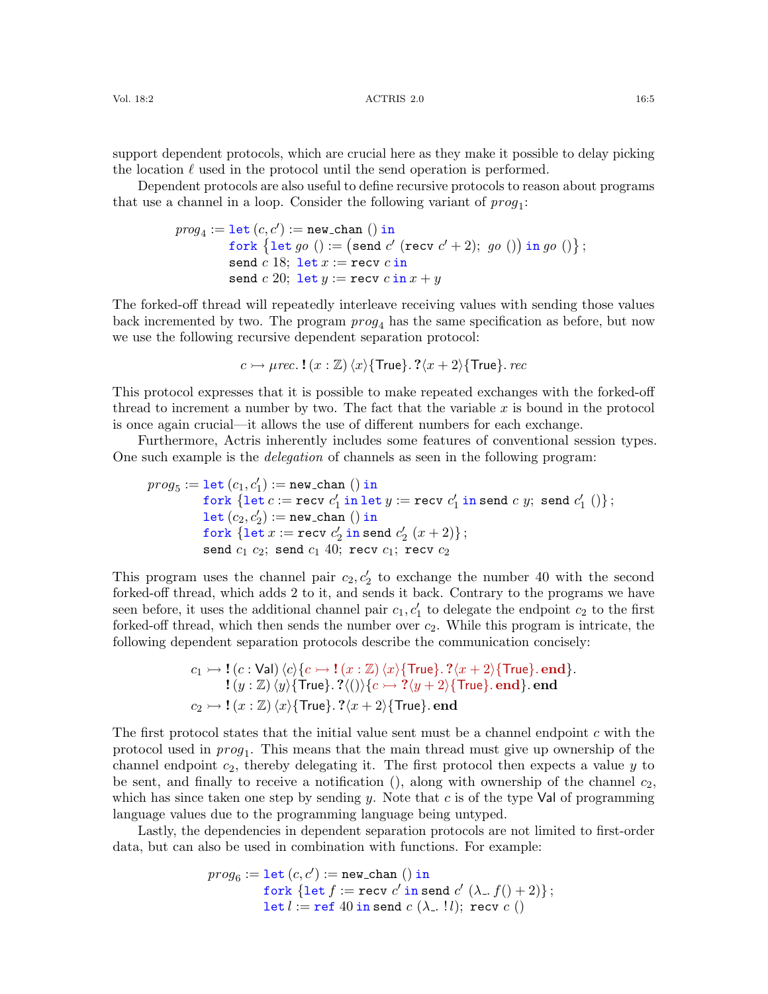support dependent protocols, which are crucial here as they make it possible to delay picking the location  $\ell$  used in the protocol until the send operation is performed.

Dependent protocols are also useful to define recursive protocols to reason about programs that use a channel in a loop. Consider the following variant of  $proj_1$ :

$$
\begin{array}{ll} \mathit{prog}_4 := \texttt{let}\,(c,c') := \texttt{new\_chan}\,\,() \text{ in} \\ \quad \texttt{fork}\,\, \{\texttt{let}\,\,go\,\,() := \big(\texttt{send}\,\,c'\,\,(\texttt{recv}\,\,c'+2);\,\,go\,\,()\big) \text{ in}\,\,go\,\,()\big\}\,; \\ \quad \texttt{send}\,\,c\,\,18; \text{ let}\,x := \texttt{recv}\,\,c \text{ in} \\ \quad \texttt{send}\,\,c\,\,20; \text{ let}\,y := \texttt{recv}\,\,c \text{ in}\,x + y \end{array}
$$

The forked-off thread will repeatedly interleave receiving values with sending those values back incremented by two. The program  $prog<sub>4</sub>$  has the same specification as before, but now we use the following recursive dependent separation protocol:

$$
c \rightarrow \mu rec. \mathbf{1}(x : \mathbb{Z}) \langle x \rangle \{ \text{True} \} . \mathbf{?} \langle x + 2 \rangle \{ \text{True} \} . \text{ } rec
$$

This protocol expresses that it is possible to make repeated exchanges with the forked-off thread to increment a number by two. The fact that the variable  $x$  is bound in the protocol is once again crucial—it allows the use of different numbers for each exchange.

Furthermore, Actris inherently includes some features of conventional session types. One such example is the delegation of channels as seen in the following program:

$$
\begin{array}{ll} \mathit{prog}_5 := \texttt{let}(c_1, c'_1) := \texttt{new\_chan}() \text{ in } \\ \mathit{fork} \; \{\texttt{let}\; c := \texttt{recv}\; c'_1 \text{ in } \texttt{let}\; y := \texttt{recv}\; c'_1 \text{ in } \texttt{send}\; c\; y; \;\texttt{send}\; c'_1 \;()\}; \\ \mathit{let}\; (c_2, c'_2) := \texttt{new\_chan}() \text{ in } \\ \mathit{fork} \; \{\texttt{let}\; x := \texttt{recv}\; c'_2 \text{ in } \texttt{send}\; c'_2 \; (x+2)\}; \\ \mathit{send}\; c_1 \; c_2; \;\texttt{send}\; c_1 \; 40; \;\texttt{recv}\; c_1; \;\texttt{recv}\; c_2 \end{array}
$$

This program uses the channel pair  $c_2, c'_2$  to exchange the number 40 with the second forked-off thread, which adds 2 to it, and sends it back. Contrary to the programs we have seen before, it uses the additional channel pair  $c_1, c'_1$  to delegate the endpoint  $c_2$  to the first forked-off thread, which then sends the number over  $c_2$ . While this program is intricate, the following dependent separation protocols describe the communication concisely:

$$
c_1 \rightarrow ! (c : \text{Val}) \langle c \rangle \{c \rightarrow ! (x : \mathbb{Z}) \langle x \rangle \{ \text{True} \} . ? \langle x + 2 \rangle \{ \text{True} \} . \text{end} \}.
$$
  
\n
$$
!(y : \mathbb{Z}) \langle y \rangle \{ \text{True} \} . ? \langle () \rangle \{c \rightarrow ? \langle y + 2 \rangle \{ \text{True} \} . \text{end} \} . \text{end}
$$
  
\n
$$
c_2 \rightarrow ! (x : \mathbb{Z}) \langle x \rangle \{ \text{True} \} . ? \langle x + 2 \rangle \{ \text{True} \} . \text{end}
$$

The first protocol states that the initial value sent must be a channel endpoint c with the protocol used in  $prog_1$ . This means that the main thread must give up ownership of the channel endpoint  $c_2$ , thereby delegating it. The first protocol then expects a value y to be sent, and finally to receive a notification (), along with ownership of the channel  $c_2$ , which has since taken one step by sending y. Note that c is of the type Val of programming language values due to the programming language being untyped.

Lastly, the dependencies in dependent separation protocols are not limited to first-order data, but can also be used in combination with functions. For example:

$$
prog_6 := \text{let}(c, c') := \text{new-chain}() \text{ in}
$$
  
fork {let  $f := \text{recv } c' \text{ in send } c' (\lambda_-, f() + 2) }$ ;  
let  $l := \text{ref } 40 \text{ in send } c (\lambda_-, ! l)$ ; recv  $c()$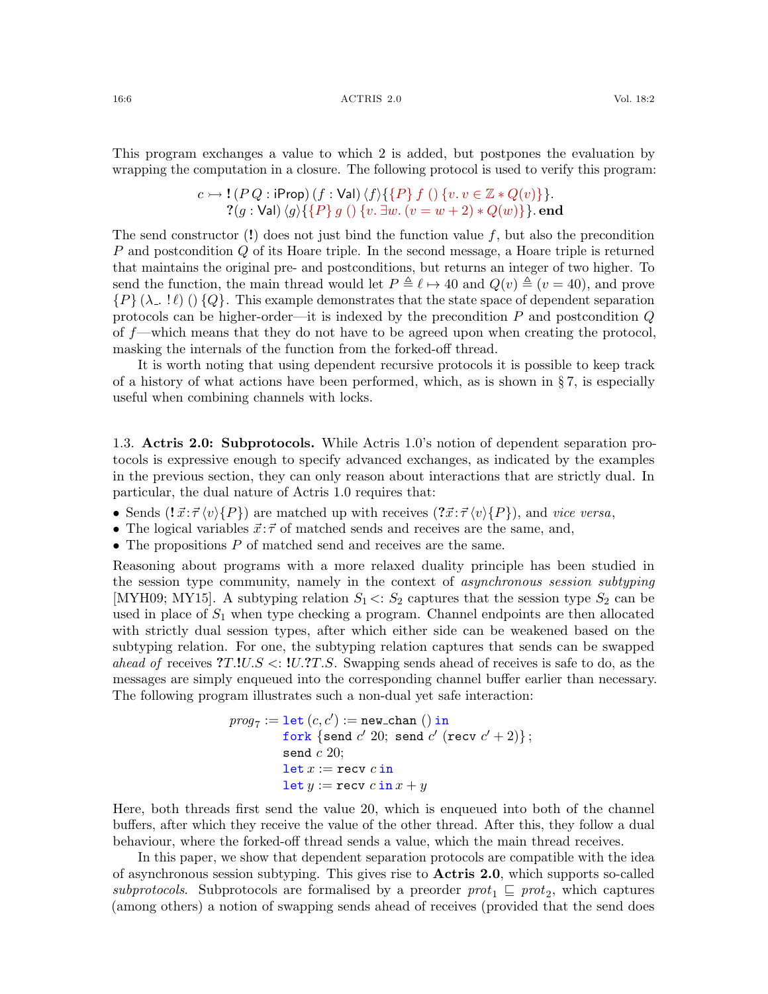#### 16:6 ACTRIS 2.0 Vol. 18:2

This program exchanges a value to which 2 is added, but postpones the evaluation by wrapping the computation in a closure. The following protocol is used to verify this program:

$$
c \rightarrow ! (P Q : iProp) (f : Val) \langle f \rangle \{ \{P\} f () \{v. v \in \mathbb{Z} * Q(v)\} \}.
$$
  
? (g : Val) \langle g \rangle \{ \{P\} g () \{v. \exists w. (v = w + 2) \* Q(w)\} \} . end

The send constructor  $(!)$  does not just bind the function value f, but also the precondition P and postcondition Q of its Hoare triple. In the second message, a Hoare triple is returned that maintains the original pre- and postconditions, but returns an integer of two higher. To send the function, the main thread would let  $P \triangleq \ell \mapsto 40$  and  $Q(v) \triangleq (v = 40)$ , and prove  $\{P\} (\lambda_-, \ell) \cap \{Q\}$ . This example demonstrates that the state space of dependent separation protocols can be higher-order—it is indexed by the precondition  $P$  and postcondition  $Q$ of f—which means that they do not have to be agreed upon when creating the protocol, masking the internals of the function from the forked-off thread.

It is worth noting that using dependent recursive protocols it is possible to keep track of a history of what actions have been performed, which, as is shown in  $\S 7$ , is especially useful when combining channels with locks.

<span id="page-5-0"></span>1.3. Actris 2.0: Subprotocols. While Actris 1.0's notion of dependent separation protocols is expressive enough to specify advanced exchanges, as indicated by the examples in the previous section, they can only reason about interactions that are strictly dual. In particular, the dual nature of Actris 1.0 requires that:

- Sends  $(I\vec{x}:\vec{\tau}\langle v\rangle\{P\})$  are matched up with receives  $(2\vec{x}:\vec{\tau}\langle v\rangle\{P\})$ , and vice versa,
- The logical variables  $\vec{x}$ : $\vec{\tau}$  of matched sends and receives are the same, and,
- The propositions  $P$  of matched send and receives are the same.

Reasoning about programs with a more relaxed duality principle has been studied in the session type community, namely in the context of *asynchronous session subtyping* [\[MYH09;](#page-62-6) [MY15\]](#page-62-7). A subtyping relation  $S_1 \leq S_2$  captures that the session type  $S_2$  can be used in place of  $S_1$  when type checking a program. Channel endpoints are then allocated with strictly dual session types, after which either side can be weakened based on the subtyping relation. For one, the subtyping relation captures that sends can be swapped ahead of receives  $T.1U.S < 1U.2T.S$ . Swapping sends ahead of receives is safe to do, as the messages are simply enqueued into the corresponding channel buffer earlier than necessary. The following program illustrates such a non-dual yet safe interaction:

$$
prog_7 := \text{let}(c, c') := \text{new-chain}() \text{ in } \\\text{fork} \{\text{send } c' \text{ 20}; \text{ send } c' \text{ (recv } c' + 2)\}; \\\text{send } c \text{ 20}; \\\text{let } x := \text{recv } c \text{ in } \\\text{let } y := \text{recv } c \text{ in } x + y
$$

Here, both threads first send the value 20, which is enqueued into both of the channel buffers, after which they receive the value of the other thread. After this, they follow a dual behaviour, where the forked-off thread sends a value, which the main thread receives.

In this paper, we show that dependent separation protocols are compatible with the idea of asynchronous session subtyping. This gives rise to Actris 2.0, which supports so-called subprotocols. Subprotocols are formalised by a preorder  $prot_1 \sqsubseteq prot_2$ , which captures (among others) a notion of swapping sends ahead of receives (provided that the send does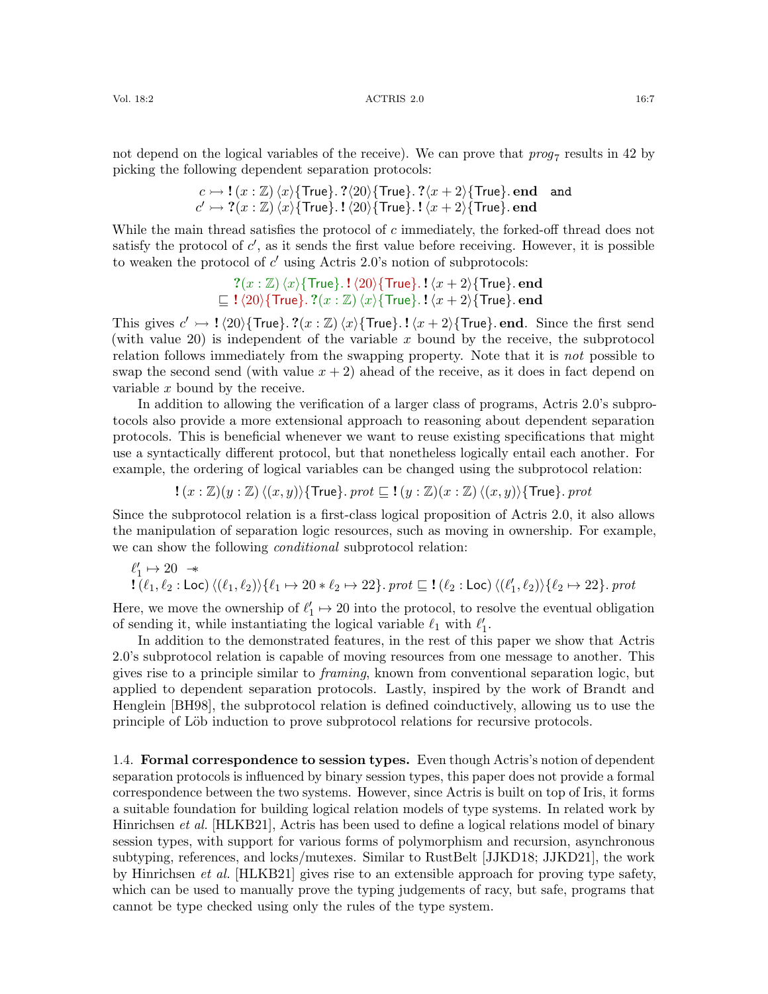Vol. 18:2 ACTRIS 2.0 16:7

not depend on the logical variables of the receive). We can prove that  $prog_7$  results in 42 by picking the following dependent separation protocols:

$$
c \rightarrow !(x : \mathbb{Z}) \langle x \rangle
$$
{True}. ?\langle 20 \rangle {True}. ?\langle x + 2 \rangle {True}. end and  $c' \rightarrow ?(x : \mathbb{Z}) \langle x \rangle$ {True}. !\langle 20 \rangle {True}. !\langle x + 2 \rangle {True}. end

While the main thread satisfies the protocol of c immediately, the forked-off thread does not satisfy the protocol of  $c'$ , as it sends the first value before receiving. However, it is possible to weaken the protocol of  $c'$  using Actris 2.0's notion of subprotocols:

$$
?(x:\mathbb{Z}) \langle x \rangle \{ \text{True} \}.\ \mathbf{1} \langle 20 \rangle \{ \text{True} \}.\ \mathbf{1} \langle x+2 \rangle \{ \text{True} \}.\ \text{end}
$$
  

$$
\sqsubseteq \mathbf{1} \langle 20 \rangle \{ \text{True} \}.\ ?(x:\mathbb{Z}) \langle x \rangle \{ \text{True} \}.\ \mathbf{1} \langle x+2 \rangle \{ \text{True} \}.\ \text{end}
$$

This gives  $c' \rightarrow ! \langle 20 \rangle$ {True}. ?(x : Z) $\langle x \rangle$ {True}. ! $\langle x + 2 \rangle$ {True}. end. Since the first send (with value 20) is independent of the variable  $x$  bound by the receive, the subprotocol relation follows immediately from the swapping property. Note that it is *not* possible to swap the second send (with value  $x + 2$ ) ahead of the receive, as it does in fact depend on variable x bound by the receive.

In addition to allowing the verification of a larger class of programs, Actris 2.0's subprotocols also provide a more extensional approach to reasoning about dependent separation protocols. This is beneficial whenever we want to reuse existing specifications that might use a syntactically different protocol, but that nonetheless logically entail each another. For example, the ordering of logical variables can be changed using the subprotocol relation:

 $!(x : \mathbb{Z})(y : \mathbb{Z})\langle (x, y)\rangle$ {True}. prot  $\sqsubseteq$  ! $(y : \mathbb{Z})(x : \mathbb{Z})\langle (x, y)\rangle$ {True}. prot

Since the subprotocol relation is a first-class logical proposition of Actris 2.0, it also allows the manipulation of separation logic resources, such as moving in ownership. For example, we can show the following *conditional* subprotocol relation:

$$
\ell'_1 \mapsto 20 \rightarrow \mathbf{1}(\ell_1, \ell_2) \setminus (\ell_1, \ell_2) \setminus \{\ell_1 \mapsto 20 * \ell_2 \mapsto 22\}. \text{prot } \sqsubseteq \mathbf{1}(\ell_2 : \mathsf{Loc}) \setminus (\ell'_1, \ell_2) \setminus \{\ell_2 \mapsto 22\}. \text{prot }
$$

Here, we move the ownership of  $\ell'_1 \mapsto 20$  into the protocol, to resolve the eventual obligation of sending it, while instantiating the logical variable  $\ell_1$  with  $\ell'_1$ .

In addition to the demonstrated features, in the rest of this paper we show that Actris 2.0's subprotocol relation is capable of moving resources from one message to another. This gives rise to a principle similar to framing, known from conventional separation logic, but applied to dependent separation protocols. Lastly, inspired by the work of Brandt and Henglein [\[BH98\]](#page-60-4), the subprotocol relation is defined coinductively, allowing us to use the principle of Löb induction to prove subprotocol relations for recursive protocols.

1.4. Formal correspondence to session types. Even though Actris's notion of dependent separation protocols is influenced by binary session types, this paper does not provide a formal correspondence between the two systems. However, since Actris is built on top of Iris, it forms a suitable foundation for building logical relation models of type systems. In related work by Hinrichsen *et al.* [\[HLKB21\]](#page-61-3), Actris has been used to define a logical relations model of binary session types, with support for various forms of polymorphism and recursion, asynchronous subtyping, references, and locks/mutexes. Similar to RustBelt [\[JJKD18;](#page-61-4) [JJKD21\]](#page-61-5), the work by Hinrichsen et al. [\[HLKB21\]](#page-61-3) gives rise to an extensible approach for proving type safety, which can be used to manually prove the typing judgements of racy, but safe, programs that cannot be type checked using only the rules of the type system.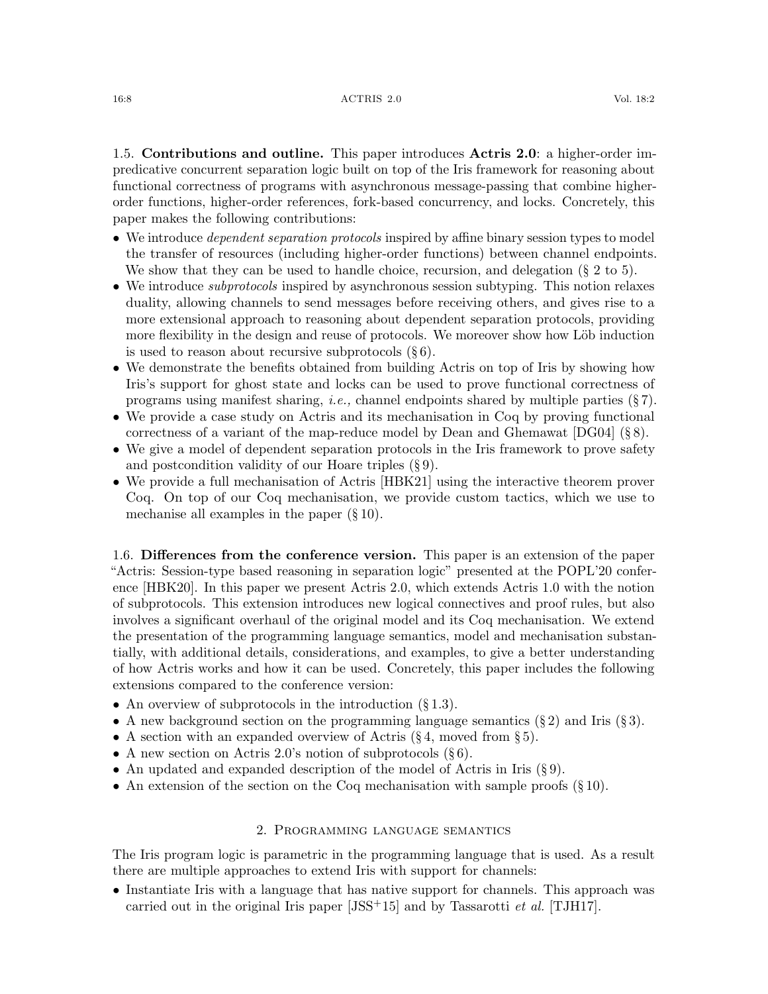1.5. Contributions and outline. This paper introduces Actris 2.0: a higher-order impredicative concurrent separation logic built on top of the Iris framework for reasoning about functional correctness of programs with asynchronous message-passing that combine higherorder functions, higher-order references, fork-based concurrency, and locks. Concretely, this paper makes the following contributions:

- We introduce *dependent separation protocols* inspired by affine binary session types to model the transfer of resources (including higher-order functions) between channel endpoints. We show that they can be used to handle choice, recursion, and delegation  $(\S 2$  $(\S 2$  to [5\)](#page-17-0).
- We introduce *subprotocols* inspired by asynchronous session subtyping. This notion relaxes duality, allowing channels to send messages before receiving others, and gives rise to a more extensional approach to reasoning about dependent separation protocols, providing more flexibility in the design and reuse of protocols. We moreover show how Löb induction is used to reason about recursive subprotocols  $(\S 6)$  $(\S 6)$ .
- We demonstrate the benefits obtained from building Actris on top of Iris by showing how Iris's support for ghost state and locks can be used to prove functional correctness of programs using manifest sharing, i.e., channel endpoints shared by multiple parties (§ [7\)](#page-33-0).
- We provide a case study on Actris and its mechanisation in Coq by proving functional correctness of a variant of the map-reduce model by Dean and Ghemawat [\[DG04\]](#page-60-5) (§ [8\)](#page-37-0).
- We give a model of dependent separation protocols in the Iris framework to prove safety and postcondition validity of our Hoare triples (§ [9\)](#page-39-0).
- We provide a full mechanisation of Actris [\[HBK21\]](#page-61-6) using the interactive theorem prover Coq. On top of our Coq mechanisation, we provide custom tactics, which we use to mechanise all examples in the paper  $(\S 10)$  $(\S 10)$ .

1.6. Differences from the conference version. This paper is an extension of the paper "Actris: Session-type based reasoning in separation logic" presented at the POPL'20 conference [\[HBK20\]](#page-61-7). In this paper we present Actris 2.0, which extends Actris 1.0 with the notion of subprotocols. This extension introduces new logical connectives and proof rules, but also involves a significant overhaul of the original model and its Coq mechanisation. We extend the presentation of the programming language semantics, model and mechanisation substantially, with additional details, considerations, and examples, to give a better understanding of how Actris works and how it can be used. Concretely, this paper includes the following extensions compared to the conference version:

- An overview of subprotocols in the introduction  $(\S 1.3)$  $(\S 1.3)$ .
- A new background section on the programming language semantics  $(\S 2)$  $(\S 2)$  and Iris  $(\S 3)$  $(\S 3)$ .
- A section with an expanded overview of Actris  $(\S 4, \text{ moved from } \S 5).$  $(\S 4, \text{ moved from } \S 5).$  $(\S 4, \text{ moved from } \S 5).$  $(\S 4, \text{ moved from } \S 5).$  $(\S 4, \text{ moved from } \S 5).$
- A new section on Actris 2.0's notion of subprotocols  $(\S 6)$  $(\S 6)$ .
- An updated and expanded description of the model of Actris in Iris (§ [9\)](#page-39-0).
- An extension of the section on the Coq mechanisation with sample proofs  $(\S 10)$  $(\S 10)$ .

## 2. Programming language semantics

<span id="page-7-0"></span>The Iris program logic is parametric in the programming language that is used. As a result there are multiple approaches to extend Iris with support for channels:

• Instantiate Iris with a language that has native support for channels. This approach was carried out in the original Iris paper  $[JSS+15]$  $[JSS+15]$  and by Tassarotti *et al.* [\[TJH17\]](#page-63-6).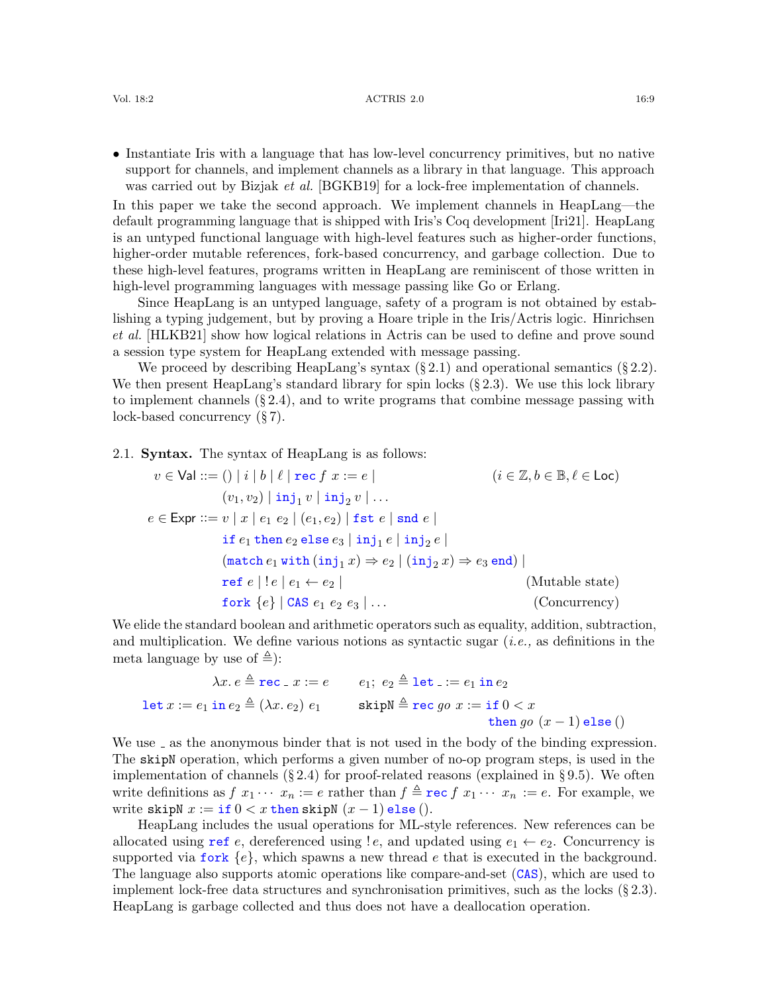• Instantiate Iris with a language that has low-level concurrency primitives, but no native support for channels, and implement channels as a library in that language. This approach was carried out by Bizjak *et al.* [\[BGKB19\]](#page-59-1) for a lock-free implementation of channels.

In this paper we take the second approach. We implement channels in HeapLang—the default programming language that is shipped with Iris's Coq development [\[Iri21\]](#page-61-8). HeapLang is an untyped functional language with high-level features such as higher-order functions, higher-order mutable references, fork-based concurrency, and garbage collection. Due to these high-level features, programs written in HeapLang are reminiscent of those written in high-level programming languages with message passing like Go or Erlang.

Since HeapLang is an untyped language, safety of a program is not obtained by establishing a typing judgement, but by proving a Hoare triple in the Iris/Actris logic. Hinrichsen et al. [\[HLKB21\]](#page-61-3) show how logical relations in Actris can be used to define and prove sound a session type system for HeapLang extended with message passing.

We proceed by describing HeapLang's syntax  $(\S 2.1)$  $(\S 2.1)$  and operational semantics  $(\S 2.2)$  $(\S 2.2)$ . We then present HeapLang's standard library for spin locks  $(\S 2.3)$  $(\S 2.3)$ . We use this lock library to implement channels  $(\S 2.4)$  $(\S 2.4)$ , and to write programs that combine message passing with lock-based concurrency (§ [7\)](#page-33-0).

<span id="page-8-0"></span>2.1. Syntax. The syntax of HeapLang is as follows:

$$
v \in \text{Val} ::= () | i | b | \ell | \text{rec } f \ x := e | \qquad (i \in \mathbb{Z}, b \in \mathbb{B}, \ell \in \text{Loc})
$$
\n
$$
(v_1, v_2) | \text{inj}_1 v | \text{inj}_2 v | \dots
$$
\n
$$
e \in \text{Expr} ::= v | x | e_1 e_2 | (e_1, e_2) | \text{fst } e | \text{snd } e |
$$
\n
$$
\text{if } e_1 \text{ then } e_2 \text{ else } e_3 | \text{inj}_1 e | \text{inj}_2 e |
$$
\n
$$
(\text{match } e_1 \text{ with } (\text{inj}_1 x) \Rightarrow e_2 | (\text{inj}_2 x) \Rightarrow e_3 \text{ end}) |
$$
\n
$$
\text{ref } e | ! e | e_1 \leftarrow e_2 | \qquad (\text{Mutable state})
$$
\n
$$
\text{fork } \{e\} | \text{CAS } e_1 e_2 e_3 | \dots \qquad (\text{Concurrency})
$$

We elide the standard boolean and arithmetic operators such as equality, addition, subtraction, and multiplication. We define various notions as syntactic sugar (i.e., as definitions in the meta language by use of  $\triangleq$ ):

$$
\lambda x. e \triangleq \texttt{rec} \cdot x := e \qquad e_1; \ e_2 \triangleq \texttt{let} \cdot := e_1 \text{ in } e_2
$$
\n
$$
\texttt{let } x := e_1 \text{ in } e_2 \triangleq (\lambda x. e_2) \ e_1 \qquad \text{skip} \triangleleft \texttt{rec} \ go \ x := \texttt{if} \ 0 < x
$$
\n
$$
\texttt{then} \ go \ (x - 1) \text{ else } ()
$$

We use  $\Box$  as the anonymous binder that is not used in the body of the binding expression. The skipN operation, which performs a given number of no-op program steps, is used in the implementation of channels  $(\S 2.4)$  $(\S 2.4)$  for proof-related reasons (explained in  $\S 9.5$ ). We often write definitions as  $f(x_1 \cdots x_n) = e$  rather than  $f \triangleq \text{rec } f(x_1 \cdots x_n) = e$ . For example, we write skipN  $x := \text{if } 0 < x \text{ then skipN } (x - 1) \text{ else } ).$ 

HeapLang includes the usual operations for ML-style references. New references can be allocated using ref e, dereferenced using  $!e$ , and updated using  $e_1 \leftarrow e_2$ . Concurrency is supported via fork  ${e}$ , which spawns a new thread e that is executed in the background. The language also supports atomic operations like compare-and-set (CAS), which are used to implement lock-free data structures and synchronisation primitives, such as the locks  $(\S 2.3)$  $(\S 2.3)$ . HeapLang is garbage collected and thus does not have a deallocation operation.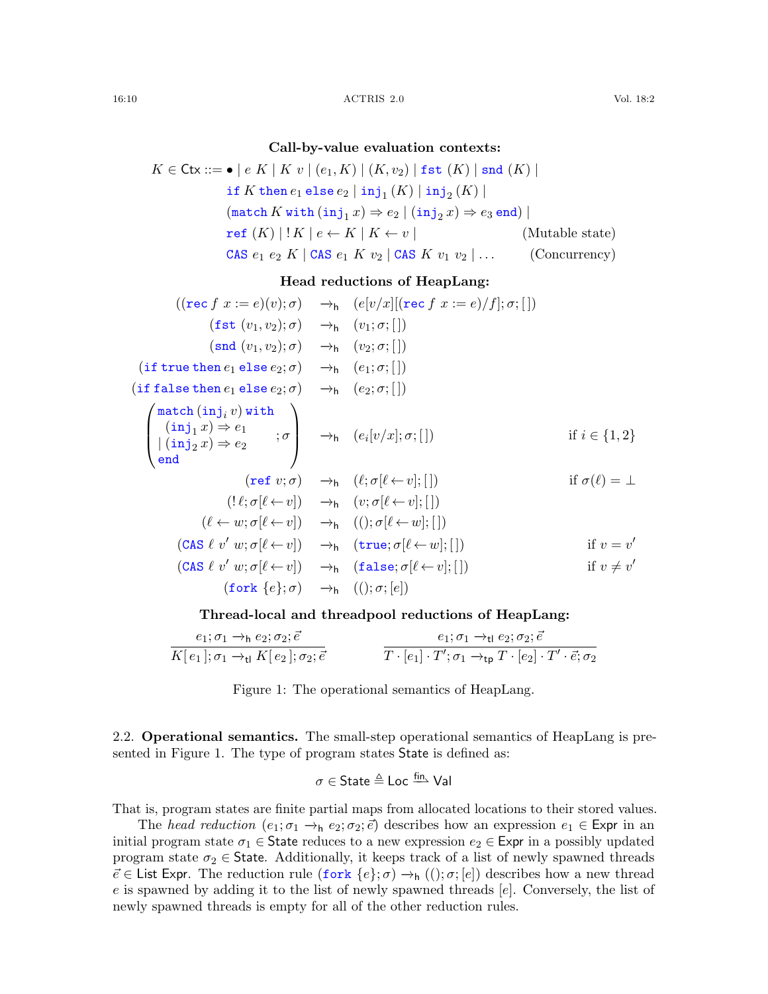## Call-by-value evaluation contexts:

$$
K \in \text{Ctx} ::= \bullet \mid e \ K \mid K \ v \mid (e_1, K) \mid (K, v_2) \mid \text{fst } (K) \mid \text{snd } (K) \mid
$$
\n
$$
\text{if } K \text{ then } e_1 \text{ else } e_2 \mid \text{inj}_1 (K) \mid \text{inj}_2 (K) \mid
$$
\n
$$
(\text{match } K \text{ with } (\text{inj}_1 x) \Rightarrow e_2 \mid (\text{inj}_2 x) \Rightarrow e_3 \text{ end}) \mid
$$
\n
$$
\text{ref } (K) \mid !K \mid e \leftarrow K \mid K \leftarrow v \mid \qquad (\text{Mutable state})
$$
\n
$$
\text{CAS } e_1 \ e_2 \ K \mid \text{CAS } e_1 \ K \ v_2 \mid \text{CAS } K \ v_1 \ v_2 \mid \dots \qquad (\text{Concurrency})
$$

## Head reductions of HeapLang:

$$
((\text{rec } f x := e)(v); \sigma) \rightarrow_{h} (e[v/x][(\text{rec } f x := e)/f]; \sigma; [])
$$
\n
$$
(\text{fst } (v_1, v_2); \sigma) \rightarrow_{h} (v_1; \sigma; [])
$$
\n
$$
(\text{snd } (v_1, v_2); \sigma) \rightarrow_{h} (v_2; \sigma; [])
$$
\n
$$
(\text{if true then } e_1 \text{ else } e_2; \sigma) \rightarrow_{h} (e_1; \sigma; [])
$$
\n
$$
(\text{if false then } e_1 \text{ else } e_2; \sigma) \rightarrow_{h} (e_2; \sigma; [])
$$
\n
$$
\begin{pmatrix}\n\text{match}(\text{inj}_i v) \text{ with} \\
(\text{inj}_1 x) \Rightarrow e_1 \\
|(\text{inj}_2 x) \Rightarrow e_2 \\
\end{pmatrix} \rightarrow_{h} (e_i[v/x]; \sigma; [])
$$
\n
$$
\text{if } i \in \{1, 2\}
$$
\n
$$
(\text{ref } v; \sigma) \rightarrow_{h} (l; \sigma[l \leftarrow v]; [])
$$
\n
$$
(\text{ref } v; \sigma) \rightarrow_{h} (v; \sigma[l \leftarrow v]; [])
$$
\n
$$
(\ell \leftarrow w; \sigma[l \leftarrow v]) \rightarrow_{h} (v; \sigma[l \leftarrow w]; [])
$$
\n
$$
(\text{CAS } \ell v' w; \sigma[l \leftarrow v]) \rightarrow_{h} (\text{true}; \sigma[l \leftarrow w]; [])
$$
\n
$$
(\text{CAS } \ell v' w; \sigma[l \leftarrow v]) \rightarrow_{h} (\text{false}; \sigma[l \leftarrow v]; [])
$$
\n
$$
(\text{for } k \{e\}; \sigma) \rightarrow_{h} (0); \sigma; [e])
$$

#### Thread-local and threadpool reductions of HeapLang:

$$
\frac{e_1; \sigma_1 \rightarrow_h e_2; \sigma_2; \vec{e}}{K[e_1]; \sigma_1 \rightarrow_H K[e_2]; \sigma_2; \vec{e}} \qquad \qquad \frac{e_1; \sigma_1 \rightarrow_H e_2; \sigma_2; \vec{e}}{T \cdot [e_1] \cdot T'; \sigma_1 \rightarrow_{\text{tp}} T \cdot [e_2] \cdot T' \cdot \vec{e}; \sigma_2}
$$

<span id="page-9-1"></span>Figure 1: The operational semantics of HeapLang.

<span id="page-9-0"></span>2.2. Operational semantics. The small-step operational semantics of HeapLang is presented in Figure [1.](#page-9-1) The type of program states State is defined as:

$$
\sigma \in \mathsf{State} \triangleq \mathsf{Loc} \xrightarrow{\mathsf{fin}} \mathsf{Val}
$$

That is, program states are finite partial maps from allocated locations to their stored values.

The head reduction  $(e_1; \sigma_1 \rightarrow_h e_2; \sigma_2; \vec{e})$  describes how an expression  $e_1 \in \text{Expr}$  in an initial program state  $\sigma_1 \in$  State reduces to a new expression  $e_2 \in$  Expr in a possibly updated program state  $\sigma_2 \in$  State. Additionally, it keeps track of a list of newly spawned threads  $\vec{e} \in$  List Expr. The reduction rule  $(\text{fork } \{e\}; \sigma) \rightarrow_h ((); \sigma; [e])$  describes how a new thread e is spawned by adding it to the list of newly spawned threads [e]. Conversely, the list of newly spawned threads is empty for all of the other reduction rules.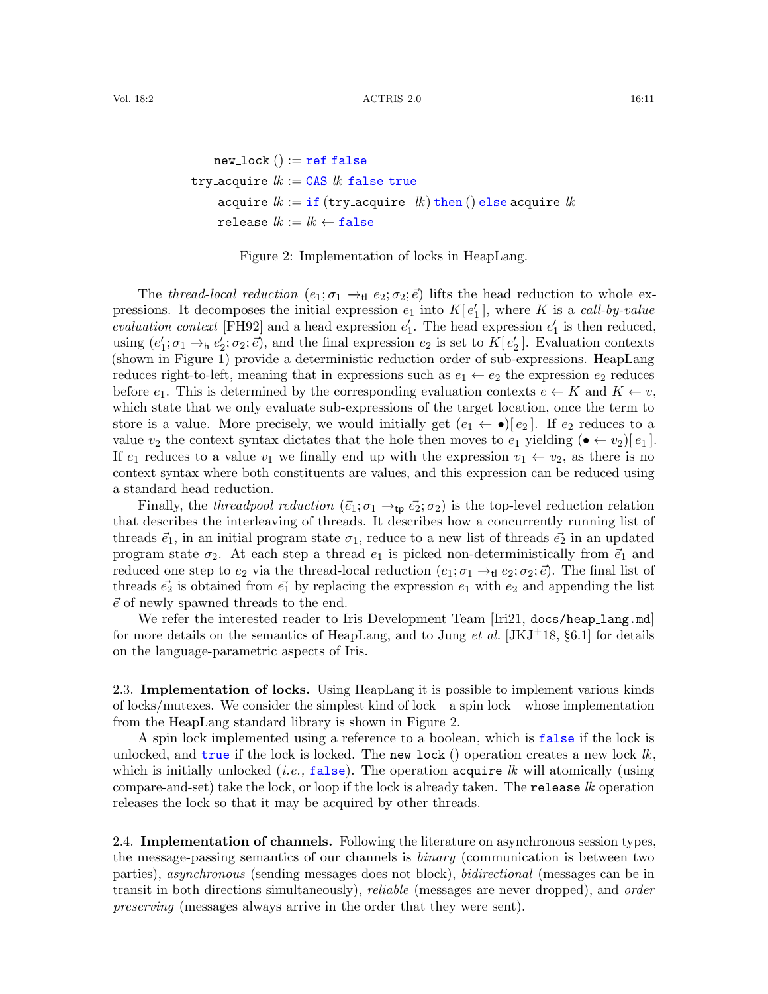$$
\begin{aligned} \texttt{new\_lock} \, ( ) &:= \texttt{ref false} \\ \texttt{try\_acquire} \, &\, k := \texttt{CAS} \, \, k \, \, \texttt{false true} \\ \texttt{acquire} \, \, k := \texttt{if} \, (\texttt{try\_acquire} \, \, k) \, \texttt{then} \, () \, \texttt{else} \, \texttt{acquire} \, \, k \\ \texttt{release} \, \, k := \texttt{lk} \leftarrow \texttt{false} \end{aligned}
$$

#### <span id="page-10-2"></span>Figure 2: Implementation of locks in HeapLang.

The thread-local reduction (e<sub>1</sub>;  $\sigma_1 \rightarrow_{\text{tl}} e_2$ ;  $\sigma_2$ ;  $\vec{e}$ ) lifts the head reduction to whole expressions. It decomposes the initial expression  $e_1$  into  $K[e'_1]$ , where K is a call-by-value evaluation context [\[FH92\]](#page-60-6) and a head expression  $e'_1$ . The head expression  $e'_1$  is then reduced, using  $(e'_1; \sigma_1 \to_h e'_2; \sigma_2; \vec{e})$ , and the final expression  $e_2$  is set to  $K[e'_2]$ . Evaluation contexts (shown in Figure [1\)](#page-9-1) provide a deterministic reduction order of sub-expressions. HeapLang reduces right-to-left, meaning that in expressions such as  $e_1 \leftarrow e_2$  the expression  $e_2$  reduces before  $e_1$ . This is determined by the corresponding evaluation contexts  $e \leftarrow K$  and  $K \leftarrow v$ , which state that we only evaluate sub-expressions of the target location, once the term to store is a value. More precisely, we would initially get  $(e_1 \leftarrow \bullet) [e_2]$ . If  $e_2$  reduces to a value  $v_2$  the context syntax dictates that the hole then moves to  $e_1$  yielding  $(\bullet \leftarrow v_2)[e_1]$ . If  $e_1$  reduces to a value  $v_1$  we finally end up with the expression  $v_1 \leftarrow v_2$ , as there is no context syntax where both constituents are values, and this expression can be reduced using a standard head reduction.

Finally, the threadpool reduction ( $\vec{e}_1$ ;  $\sigma_1 \rightarrow_{\text{tp}} \vec{e}_2$ ;  $\sigma_2$ ) is the top-level reduction relation that describes the interleaving of threads. It describes how a concurrently running list of threads  $\vec{e}_1$ , in an initial program state  $\sigma_1$ , reduce to a new list of threads  $\vec{e}_2$  in an updated program state  $\sigma_2$ . At each step a thread  $e_1$  is picked non-deterministically from  $\vec{e}_1$  and reduced one step to  $e_2$  via the thread-local reduction  $(e_1; \sigma_1 \rightarrow_{\text{tl}} e_2; \sigma_2; \vec{e})$ . The final list of threads  $\vec{e_2}$  is obtained from  $\vec{e_1}$  by replacing the expression  $e_1$  with  $e_2$  and appending the list  $\vec{e}$  of newly spawned threads to the end.

We refer the interested reader to Iris Development Team [\[Iri21,](#page-61-8) docs/heap\_lang.md] for more details on the semantics of HeapLang, and to Jung *et al.* [\[JKJ](#page-62-2)<sup>+</sup>18, §6.1] for details on the language-parametric aspects of Iris.

<span id="page-10-0"></span>2.3. Implementation of locks. Using HeapLang it is possible to implement various kinds of locks/mutexes. We consider the simplest kind of lock—a spin lock—whose implementation from the HeapLang standard library is shown in Figure [2.](#page-10-2)

A spin lock implemented using a reference to a boolean, which is false if the lock is unlocked, and true if the lock is locked. The new lock () operation creates a new lock  $lk$ . which is initially unlocked (*i.e.*, false). The operation acquire lk will atomically (using compare-and-set) take the lock, or loop if the lock is already taken. The release lk operation releases the lock so that it may be acquired by other threads.

<span id="page-10-1"></span>2.4. Implementation of channels. Following the literature on asynchronous session types, the message-passing semantics of our channels is binary (communication is between two parties), asynchronous (sending messages does not block), bidirectional (messages can be in transit in both directions simultaneously), *reliable* (messages are never dropped), and *order* preserving (messages always arrive in the order that they were sent).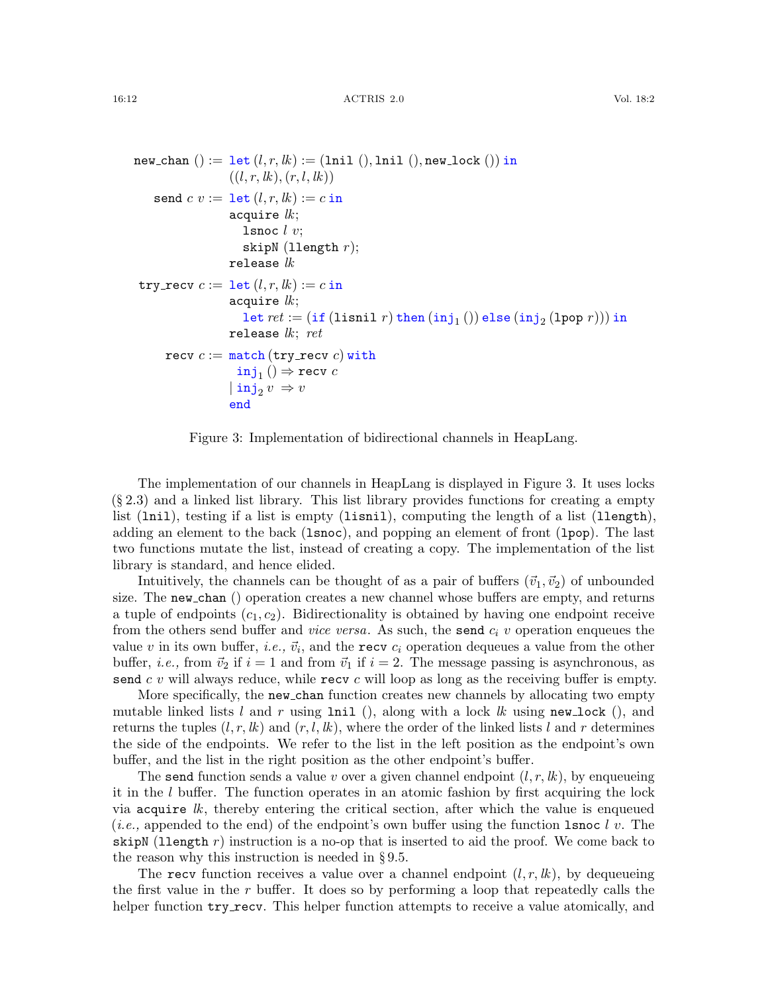```
new_{\text{1}}( ) := \text{let } (l, r, lk) := (1 \text{nil } (), \text{1nil }(), \text{new\_lock }()) \text{ in }((l, r, lk), (r, l, lk))send c v := \text{let } (l, r, lk) := c \text{ in}acquire lk;
                             lsnoc l v;
                             skipN (llength r);
                         release lktry_recv c := \text{let}(l, r, lk) := c \text{ in}acquire lk;
                              \mathtt{let}~ret := (\mathtt{if}~(\mathtt{lishl}~r)~\mathtt{then}~(\mathtt{inj}_1~())~\mathtt{else}~(\mathtt{inj}_2~(\mathtt{1pop}~r)))~\mathtt{in}release lk; ret
        recv c := \text{match}(\text{try\_recv } c) with
                            \mathtt{inj}_1 ()\Rightarrow recv c\vert \verb"inj"_{2} v \Rightarrow vend
```
<span id="page-11-0"></span>Figure 3: Implementation of bidirectional channels in HeapLang.

The implementation of our channels in HeapLang is displayed in Figure [3.](#page-11-0) It uses locks (§ [2.3\)](#page-10-0) and a linked list library. This list library provides functions for creating a empty list (lnil), testing if a list is empty (lisnil), computing the length of a list (llength), adding an element to the back (lsnoc), and popping an element of front (lpop). The last two functions mutate the list, instead of creating a copy. The implementation of the list library is standard, and hence elided.

Intuitively, the channels can be thought of as a pair of buffers  $(\vec{v}_1, \vec{v}_2)$  of unbounded size. The new chan () operation creates a new channel whose buffers are empty, and returns a tuple of endpoints  $(c_1, c_2)$ . Bidirectionality is obtained by having one endpoint receive from the others send buffer and *vice versa*. As such, the send  $c_i$  v operation enqueues the value v in its own buffer, *i.e.*,  $\vec{v_i}$ , and the **recv**  $c_i$  operation dequeues a value from the other buffer, *i.e.*, from  $\vec{v}_2$  if  $i = 1$  and from  $\vec{v}_1$  if  $i = 2$ . The message passing is asynchronous, as send c v will always reduce, while recv c will loop as long as the receiving buffer is empty.

More specifically, the new chan function creates new channels by allocating two empty mutable linked lists l and r using  $\text{lnil}$  (), along with a lock lk using new lock (), and returns the tuples  $(l, r, lk)$  and  $(r, l, lk)$ , where the order of the linked lists l and r determines the side of the endpoints. We refer to the list in the left position as the endpoint's own buffer, and the list in the right position as the other endpoint's buffer.

The send function sends a value v over a given channel endpoint  $(l, r, lk)$ , by enqueueing it in the l buffer. The function operates in an atomic fashion by first acquiring the lock via acquire  $lk$ , thereby entering the critical section, after which the value is enqueued (*i.e.*, appended to the end) of the endpoint's own buffer using the function  $l$  snoc l v. The skipN (llength  $r$ ) instruction is a no-op that is inserted to aid the proof. We come back to the reason why this instruction is needed in § [9.5.](#page-45-0)

The recv function receives a value over a channel endpoint  $(l, r, lk)$ , by dequeueing the first value in the  $r$  buffer. It does so by performing a loop that repeatedly calls the helper function  $try\_recv$ . This helper function attempts to receive a value atomically, and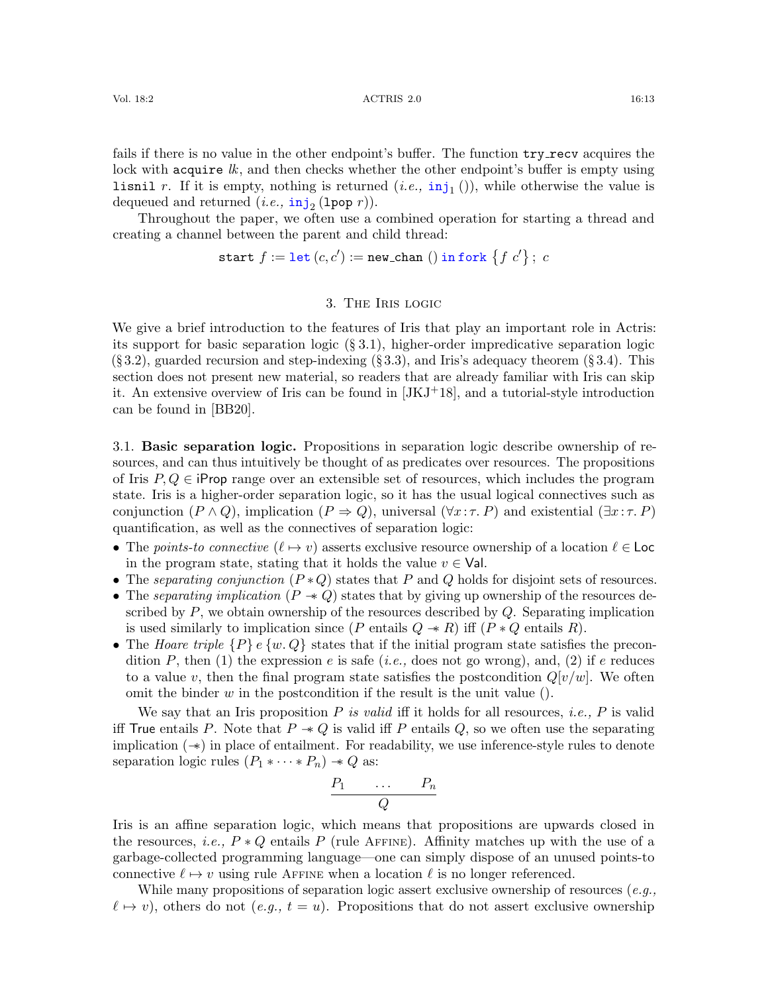fails if there is no value in the other endpoint's buffer. The function  $try\_recv$  acquires the lock with acquire  $lk$ , and then checks whether the other endpoint's buffer is empty using **lisnil** r. If it is empty, nothing is returned  $(i.e., inj<sub>1</sub>())$ , while otherwise the value is dequeued and returned  $(i.e., \mathbf{inj}_2(\texttt{1pop }r)).$ 

Throughout the paper, we often use a combined operation for starting a thread and creating a channel between the parent and child thread:

start  $f := \text{let}(c, c') := \text{new\_chan}()$  in fork  $\{f | c'\}; c$ 

# 3. The Iris logic

<span id="page-12-0"></span>We give a brief introduction to the features of Iris that play an important role in Actris: its support for basic separation logic  $(\S 3.1)$  $(\S 3.1)$ , higher-order impredicative separation logic  $(\S 3.2)$  $(\S 3.2)$ , guarded recursion and step-indexing  $(\S 3.3)$  $(\S 3.3)$ , and Iris's adequacy theorem  $(\S 3.4)$  $(\S 3.4)$ . This section does not present new material, so readers that are already familiar with Iris can skip it. An extensive overview of Iris can be found in  $[JKJ^+18]$  $[JKJ^+18]$ , and a tutorial-style introduction can be found in [\[BB20\]](#page-59-2).

<span id="page-12-1"></span>3.1. Basic separation logic. Propositions in separation logic describe ownership of resources, and can thus intuitively be thought of as predicates over resources. The propositions of Iris  $P, Q \in \mathsf{iProp}$  range over an extensible set of resources, which includes the program state. Iris is a higher-order separation logic, so it has the usual logical connectives such as conjunction  $(P \wedge Q)$ , implication  $(P \Rightarrow Q)$ , universal  $(\forall x : \tau, P)$  and existential  $(\exists x : \tau, P)$ quantification, as well as the connectives of separation logic:

- The points-to connective  $(\ell \mapsto v)$  asserts exclusive resource ownership of a location  $\ell \in \text{Loc}$ in the program state, stating that it holds the value  $v \in \mathsf{Val}$ .
- The separating conjunction  $(P \ast Q)$  states that P and Q holds for disjoint sets of resources.
- The separating implication  $(P \rightarrow Q)$  states that by giving up ownership of the resources described by  $P$ , we obtain ownership of the resources described by  $Q$ . Separating implication is used similarly to implication since (P entails  $Q \twoheadrightarrow R$ ) iff  $(P * Q$  entails R).
- The Hoare triple  $\{P\}$  e  $\{w, Q\}$  states that if the initial program state satisfies the precondition P, then (1) the expression e is safe (*i.e.*, does not go wrong), and, (2) if e reduces to a value v, then the final program state satisfies the postcondition  $Q[v/w]$ . We often omit the binder  $w$  in the postcondition if the result is the unit value ().

We say that an Iris proposition  $P$  is valid iff it holds for all resources, *i.e.*,  $P$  is valid iff True entails P. Note that  $P \rightarrow Q$  is valid iff P entails Q, so we often use the separating implication (−∗) in place of entailment. For readability, we use inference-style rules to denote separation logic rules  $(P_1 * \cdots * P_n) \rightarrow Q$  as:

$$
\begin{array}{ccc}\nP_1 & \dots & P_n \\
\hline\nQ\n\end{array}
$$

Iris is an affine separation logic, which means that propositions are upwards closed in the resources, i.e.,  $P * Q$  entails P (rule AFFINE). Affinity matches up with the use of a garbage-collected programming language—one can simply dispose of an unused points-to connective  $\ell \mapsto v$  using rule AFFINE when a location  $\ell$  is no longer referenced.

While many propositions of separation logic assert exclusive ownership of resources  $(e.g.,)$  $\ell \mapsto v$ , others do not  $(e.g., t = u)$ . Propositions that do not assert exclusive ownership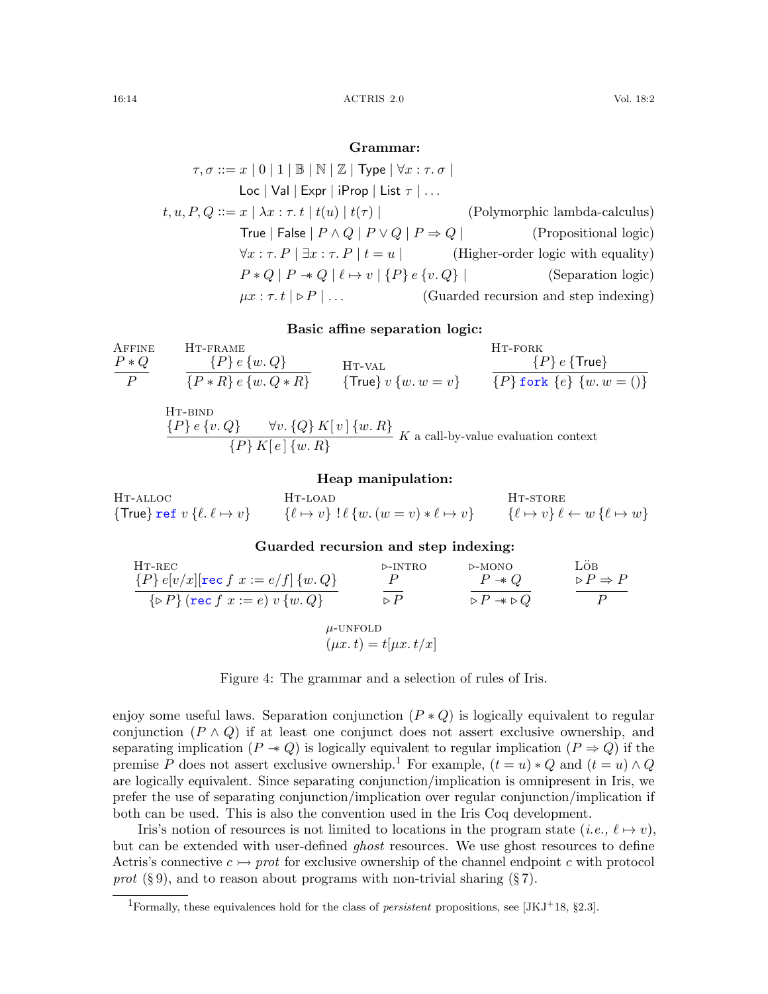## Grammar:

$$
\tau, \sigma ::= x \mid 0 \mid 1 \mid \mathbb{B} \mid \mathbb{N} \mid \mathbb{Z} \mid \text{Type} \mid \forall x : \tau. \sigma \mid
$$
  
\n
$$
\text{Loc } |\text{Val} | \text{Expr} | \text{ iProp} | \text{ List } \tau | ...
$$
  
\n
$$
t, u, P, Q ::= x \mid \lambda x : \tau. t \mid t(u) \mid t(\tau) \mid
$$
 (Polymorphic lambda-calculus)  
\n
$$
\text{True } |\text{False } | P \land Q | P \lor Q | P \Rightarrow Q |
$$
 (Propositional logic)  
\n
$$
\forall x : \tau. P \mid \exists x : \tau. P \mid t = u \mid
$$
 (Higher-order logic with equality)  
\n
$$
P * Q | P \rightarrow Q | \ell \mapsto v | \{P\} e \{v. Q\} |
$$
 (Separation logic)  
\n
$$
\mu x : \tau. t \mid \triangleright P | ...
$$
 (Guarded recursion and step indexing)

## <span id="page-13-9"></span><span id="page-13-8"></span>Basic affine separation logic:

<span id="page-13-0"></span>After the  
\n
$$
P * Q
$$

\nHT-FAME

\nHT-VAL

\nHT-VAL

\nHT-PORK

\nHT-PORK

\nTV-POK

\nTV-POK

\nTV-POK

\nTV-POK

\nTV-POK

\nTV-POK

\nTV-POK

\nTV-POK

\nTV-POK

\nTV-POK

\nTV-POK

\nTV-POK

\nTV-POK

\nTV-POK

\nTV-POK

\nTV-POK

\nTV-POK

\nTV-POK

\nTV-POK

\nTV-POK

\nTV-POK

\nTV-POK

\nTV-POK

\nTV-POK

\nTV-POK

\nTV-POK

\nTV-POK

\nTV-POK

\nTV-POK

\nTV-POK

\nTV-POK

\nTV-POK

\nTV-POK

\nTV-POK

\nTV-POK

\nTV-POK

\nTV-POK

\nTV-POK

\nTV-POK

\nTV-POK

\nTV-POK

\nTV-POK

\nTV-POK

\nTV-POK

\nTV-POK

\nTV-POK

\nTV-POK

\nTV-POK

\nTV-POK

\nTV-POK

\nTV-POK

\nTV-POK

\nTV-POK

\nTV-POK

\nTV-POK

\nTV-POK

\nTV-POK

\nTV-POK

\nTV-POK

\nTV-POK

\nTV-POK

\nTV-POK

\nTV-POK

\nTV-POK

\nTV-POK

\nTV-POK

\nTV-POK

\nTV-POK

\nTV-POK

\nTV-POK

<span id="page-13-2"></span>H<sub>T-BIND</sub>  ${P}$  e {v. Q}  $\forall v. {Q} K[v]$  {w. R}  ${P}{K[e] \{w, R\}}$  K a call-by-value evaluation context

#### Heap manipulation:

Ht-alloc  $\{\mathsf{True}\}$  ref  $v$   $\{\ell.\, \ell \mapsto v\}$ Ht-load  $\{\ell \mapsto v\}$  !  $\ell \{w \ldots (w = v) * \ell \mapsto v\}$ H<sub>T</sub>-store  $\{\ell \mapsto v\} \ell \leftarrow w \{\ell \mapsto w\}$ 

### Guarded recursion and step indexing:

<span id="page-13-6"></span>HT-REC  ${P} e[v/x]$ [rec  $f \ x := e/f$ ]  $\{w \ Q\}$  $\{ \triangleright P \}$  (rec  $f \ x := e \} \ v \ \{ w \ Q \}$ .-intro P  $\triangleright$  F .-mono  $P \twoheadrightarrow Q$  $\triangleright P \twoheadrightarrow \triangleright Q$ Löb  $\triangleright P \Rightarrow P$ P  $\mu$ -UNFOLD

<span id="page-13-10"></span><span id="page-13-7"></span><span id="page-13-5"></span><span id="page-13-4"></span><span id="page-13-3"></span>
$$
(\mu x. t) = t[\mu x. t/x]
$$

Figure 4: The grammar and a selection of rules of Iris.

enjoy some useful laws. Separation conjunction  $(P * Q)$  is logically equivalent to regular conjunction  $(P \wedge Q)$  if at least one conjunct does not assert exclusive ownership, and separating implication  $(P \rightarrow Q)$  is logically equivalent to regular implication  $(P \Rightarrow Q)$  if the premise P does not assert exclusive ownership.<sup>[1](#page-13-1)</sup> For example,  $(t = u) * Q$  and  $(t = u) \wedge Q$ are logically equivalent. Since separating conjunction/implication is omnipresent in Iris, we prefer the use of separating conjunction/implication over regular conjunction/implication if both can be used. This is also the convention used in the Iris Coq development.

Iris's notion of resources is not limited to locations in the program state  $(i.e., \ell \mapsto v)$ , but can be extended with user-defined *ghost* resources. We use ghost resources to define Actris's connective  $c \rightarrow$  prot for exclusive ownership of the channel endpoint c with protocol prot  $(\S 9)$  $(\S 9)$ , and to reason about programs with non-trivial sharing  $(\S 7)$  $(\S 7)$ .

<span id="page-13-1"></span><sup>&</sup>lt;sup>1</sup>Formally, these equivalences hold for the class of *persistent* propositions, see [\[JKJ](#page-62-2)<sup>+</sup>18, §2.3].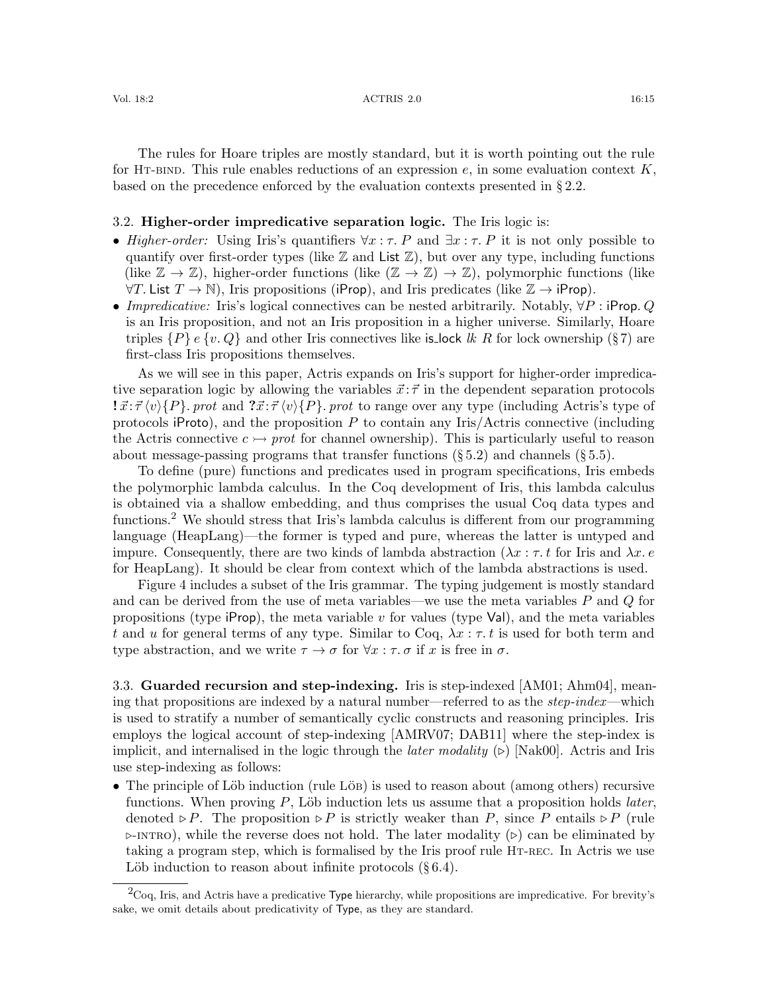The rules for Hoare triples are mostly standard, but it is worth pointing out the rule for HT-BIND. This rule enables reductions of an expression e, in some evaluation context K, based on the precedence enforced by the evaluation contexts presented in § [2.2.](#page-9-0)

## <span id="page-14-0"></span>3.2. Higher-order impredicative separation logic. The Iris logic is:

- Higher-order: Using Iris's quantifiers  $\forall x : \tau$ . P and  $\exists x : \tau$ . P it is not only possible to quantify over first-order types (like  $\mathbb Z$  and List  $\mathbb Z$ ), but over any type, including functions (like  $\mathbb{Z} \to \mathbb{Z}$ ), higher-order functions (like  $(\mathbb{Z} \to \mathbb{Z}) \to \mathbb{Z}$ ), polymorphic functions (like  $\forall T$ . List  $T \to \mathbb{N}$ ), Iris propositions (iProp), and Iris predicates (like  $\mathbb{Z} \to i$ Prop).
- Impredicative: Iris's logical connectives can be nested arbitrarily. Notably,  $\forall P$ : iProp. Q is an Iris proposition, and not an Iris proposition in a higher universe. Similarly, Hoare triples  $\{P\}$  e  $\{v, Q\}$  and other Iris connectives like is lock lk R for lock ownership (§[7\)](#page-33-0) are first-class Iris propositions themselves.

As we will see in this paper, Actris expands on Iris's support for higher-order impredicative separation logic by allowing the variables  $\vec{x}$ :  $\vec{\tau}$  in the dependent separation protocols  $\vec{x}$ : $\vec{\tau} \langle v \rangle$ {P}. prot and  $\vec{x}$ : $\vec{\tau} \langle v \rangle$ {P}. prot to range over any type (including Actris's type of protocols iProto), and the proposition  $P$  to contain any Iris/Actris connective (including the Actris connective  $c \rightarrow$  prot for channel ownership). This is particularly useful to reason about message-passing programs that transfer functions  $(\S 5.2)$  $(\S 5.2)$  and channels  $(\S 5.5)$  $(\S 5.5)$ .

To define (pure) functions and predicates used in program specifications, Iris embeds the polymorphic lambda calculus. In the Coq development of Iris, this lambda calculus is obtained via a shallow embedding, and thus comprises the usual Coq data types and functions.<sup>[2](#page-14-2)</sup> We should stress that Iris's lambda calculus is different from our programming language (HeapLang)—the former is typed and pure, whereas the latter is untyped and impure. Consequently, there are two kinds of lambda abstraction ( $\lambda x : \tau$  for Iris and  $\lambda x$ . e for HeapLang). It should be clear from context which of the lambda abstractions is used.

Figure [4](#page-13-3) includes a subset of the Iris grammar. The typing judgement is mostly standard and can be derived from the use of meta variables—we use the meta variables  $P$  and  $Q$  for propositions (type  $i$ Prop), the meta variable v for values (type VaI), and the meta variables t and u for general terms of any type. Similar to Coq,  $\lambda x : \tau, t$  is used for both term and type abstraction, and we write  $\tau \to \sigma$  for  $\forall x : \tau \cdot \sigma$  if x is free in  $\sigma$ .

<span id="page-14-1"></span>3.3. Guarded recursion and step-indexing. Iris is step-indexed [\[AM01;](#page-59-3) [Ahm04\]](#page-59-4), meaning that propositions are indexed by a natural number—referred to as the step-index—which is used to stratify a number of semantically cyclic constructs and reasoning principles. Iris employs the logical account of step-indexing [\[AMRV07;](#page-59-5) [DAB11\]](#page-60-7) where the step-index is implicit, and internalised in the logic through the *later modality*  $(\triangleright)$  [\[Nak00\]](#page-62-8). Actris and Iris use step-indexing as follows:

• The principle of Löb induction (rule Löb) is used to reason about (among others) recursive functions. When proving  $P$ , Löb induction lets us assume that a proposition holds *later*, denoted  $\triangleright P$ . The proposition  $\triangleright P$  is strictly weaker than P, since P entails  $\triangleright P$  (rule  $\triangleright$ -INTRO), while the reverse does not hold. The later modality ( $\triangleright$ ) can be eliminated by taking a program step, which is formalised by the Iris proof rule [Ht-rec](#page-13-6). In Actris we use Löb induction to reason about infinite protocols  $(\S 6.4)$  $(\S 6.4)$ .

<span id="page-14-2"></span><sup>2</sup>Coq, Iris, and Actris have a predicative Type hierarchy, while propositions are impredicative. For brevity's sake, we omit details about predicativity of Type, as they are standard.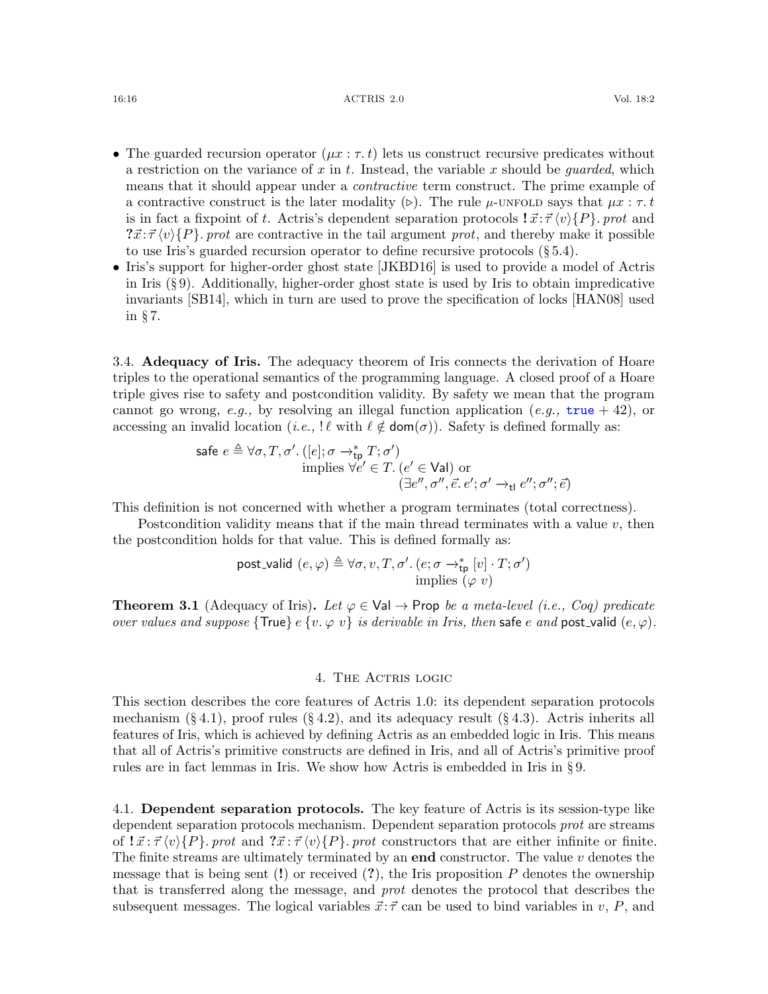#### 16:16 ACTRIS 2.0 Vol. 18:2

- The guarded recursion operator  $(\mu x : \tau, t)$  lets us construct recursive predicates without a restriction on the variance of x in t. Instead, the variable x should be *guarded*, which means that it should appear under a contractive term construct. The prime example of a contractive construct is the later modality ( $\triangleright$ ). The rule  $\mu$ [-unfold](#page-13-7) says that  $\mu x : \tau, t$ is in fact a fixpoint of t. Actris's dependent separation protocols  $\vec{x}$ : $\vec{\tau} \langle v \rangle \{P\}$ . prot and  $\vec{x}$ : $\vec{\tau} \langle v \rangle$ {P}. prot are contractive in the tail argument prot, and thereby make it possible to use Iris's guarded recursion operator to define recursive protocols  $(\S 5.4)$  $(\S 5.4)$ .
- Iris's support for higher-order ghost state [\[JKBD16\]](#page-61-1) is used to provide a model of Actris in Iris (§ [9\)](#page-39-0). Additionally, higher-order ghost state is used by Iris to obtain impredicative invariants [\[SB14\]](#page-63-4), which in turn are used to prove the specification of locks [\[HAN08\]](#page-61-9) used in § [7.](#page-33-0)

<span id="page-15-1"></span>3.4. **Adequacy of Iris.** The adequacy theorem of Iris connects the derivation of Hoare triples to the operational semantics of the programming language. A closed proof of a Hoare triple gives rise to safety and postcondition validity. By safety we mean that the program cannot go wrong, e.g., by resolving an illegal function application (e.g.,  $true + 42$ ), or accessing an invalid location (i.e.,  $\ell \notin \text{dom}(\sigma)$ ). Safety is defined formally as:

$$
\begin{aligned}\n\text{safe } e \triangleq \forall \sigma, T, \sigma'. \left( [e]; \sigma \rightarrow_{\text{tp}}^* T; \sigma' \right) \\
&\text{implies } \forall e' \in T. \left( e' \in \text{Val} \right) \text{ or } \\
(\exists e'', \sigma'', \vec{e}, e'; \sigma' \rightarrow_{\text{tl}} e''; \sigma''; \vec{e})\n\end{aligned}
$$

This definition is not concerned with whether a program terminates (total correctness).

Postcondition validity means that if the main thread terminates with a value  $v$ , then the postcondition holds for that value. This is defined formally as:

post-valid 
$$
(e, \varphi) \triangleq \forall \sigma, v, T, \sigma'. (e; \sigma \rightarrow_{\text{tp}}^* [v] \cdot T; \sigma')
$$
  
implies  $(\varphi \ v)$ 

<span id="page-15-3"></span>**Theorem 3.1** (Adequacy of Iris). Let  $\varphi \in \text{Val} \to \text{Prop }$  be a meta-level (i.e., Coq) predicate over values and suppose  $\{\text{True}\}\in\{v, \varphi\}$  is derivable in Iris, then safe e and post-valid  $(e, \varphi)$ .

#### 4. The Actris logic

<span id="page-15-0"></span>This section describes the core features of Actris 1.0: its dependent separation protocols mechanism  $(\S 4.1)$  $(\S 4.1)$ , proof rules  $(\S 4.2)$  $(\S 4.2)$ , and its adequacy result  $(\S 4.3)$  $(\S 4.3)$ . Actris inherits all features of Iris, which is achieved by defining Actris as an embedded logic in Iris. This means that all of Actris's primitive constructs are defined in Iris, and all of Actris's primitive proof rules are in fact lemmas in Iris. We show how Actris is embedded in Iris in § [9.](#page-39-0)

<span id="page-15-2"></span>4.1. Dependent separation protocols. The key feature of Actris is its session-type like dependent separation protocols mechanism. Dependent separation protocols prot are streams of  $\vec{x} : \vec{\tau} \langle v \rangle$  {P}. prot and  $\vec{x} : \vec{\tau} \langle v \rangle$  {P}. prot constructors that are either infinite or finite. The finite streams are ultimately terminated by an **end** constructor. The value  $v$  denotes the message that is being sent  $(!)$  or received  $(?)$ , the Iris proposition P denotes the ownership that is transferred along the message, and prot denotes the protocol that describes the subsequent messages. The logical variables  $\vec{x}$ :  $\vec{\tau}$  can be used to bind variables in v, P, and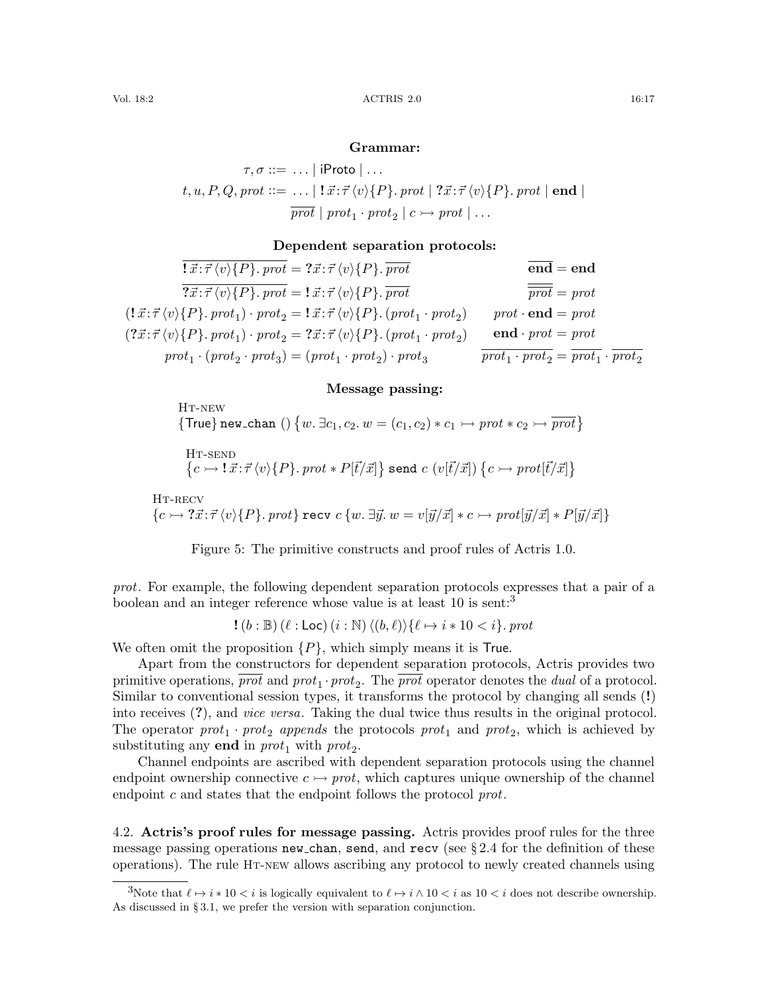#### Grammar:

 $\tau, \sigma ::= \ldots |$  iProto  $| \ldots$  $t, u, P, Q, prot ::= \dots | \mathbf{1} \vec{x} : \vec{\tau} \langle v \rangle \{P\}$ . prot  $| \mathbf{?} \vec{x} : \vec{\tau} \langle v \rangle \{P\}$ . prot  $| \mathbf{end} |$  $\overline{prot} | prot_1 \cdot prot_2 | c \rightarrow prot | \dots$ 

## Dependent separation protocols:

 $\overline{ \{ \vec{x} : \vec{\tau} \langle v \rangle \{P\}.\,prot} = ?\vec{x} : \vec{\tau} \langle v \rangle \{P\}.\, \overline{prot}$  $\overline{?x:\vec{\tau}\langle v\rangle\{P\}$ , prot =  $\exists \vec{x}:\vec{\tau}\langle v\rangle\{P\}$ , prot  $(!\vec{x}; \vec{\tau}\langle v \rangle \{P\}.\;prot_1) \cdot prot_2 = !\vec{x}; \vec{\tau}\langle v \rangle \{P\}.\;(prot_1 \cdot prot_2) \qquad prot \cdot \mathbf{end} = prot$  $(? \vec{x} : \vec{\tau} \langle v \rangle \{P\}$ . prot<sub>1</sub>) · prot<sub>2</sub> = ? $\vec{x} : \vec{\tau} \langle v \rangle \{P\}$ . (prot<sub>1</sub> · prot<sub>2</sub>) • end · prot = prot  $prot_1 \cdot (prot_2 \cdot prot_3) = (prot_1 \cdot prot_2) \cdot prot_3$   $\overline{prot_1 \cdot prot_2} = \overline{prot_1} \cdot \overline{prot_2}$  $\overline{end}$  = end  $\overline{prot} = prot$ 

## Message passing:

<span id="page-16-2"></span>HT-NEW {True} new\_chan ()  $\{w \in \exists c_1, c_2 \ldots w = (c_1, c_2) * c_1 \rightarrow \text{prot} * c_2 \rightarrow \overline{\text{prot}}\}$ 

<span id="page-16-4"></span><span id="page-16-3"></span>
$$
\begin{array}{l} \textrm{HT-SEND} \\ \big\{ c \rightarrow \textbf{1} \, \vec{x} \! : \! \vec{\tau} \, \langle v \rangle \{P\}.\, \textit{prot} * P[\vec{t}/\vec{x}] \big\} \; \textrm{send}\; c \; (v[\vec{t}/\vec{x}]) \; \big\{ c \rightarrow \textit{prot}[\vec{t}/\vec{x}] \big\} \end{array}
$$

HT-RECV  ${c \rightarrow ?\vec{x}:\vec{\tau}\langle v\rangle\{P\}}.$  prot} recv  $c {w \cdot \exists \vec{y} \cdot w = v[\vec{y}/\vec{x}] * c \rightarrow prot[\vec{y}/\vec{x}] * P[\vec{y}/\vec{x}] }$ 

<span id="page-16-5"></span>Figure 5: The primitive constructs and proof rules of Actris 1.0.

prot. For example, the following dependent separation protocols expresses that a pair of a boolean and an integer reference whose value is at least 10 is sent:<sup>[3](#page-16-1)</sup>

$$
!(b:\mathbb{B})(\ell:\mathsf{Loc}) (i:\mathbb{N}) \langle (b,\ell) \rangle \{ \ell \mapsto i*10 < i \}.\text{prot}
$$

We often omit the proposition  $\{P\}$ , which simply means it is True.

Apart from the constructors for dependent separation protocols, Actris provides two primitive operations,  $\overline{prot}$  and  $prot_1 \cdot prot_2$ . The  $\overline{prot}$  operator denotes the *dual* of a protocol. Similar to conventional session types, it transforms the protocol by changing all sends (!) into receives (?), and vice versa. Taking the dual twice thus results in the original protocol. The operator  $prot_1 \cdot prot_2$  appends the protocols  $prot_1$  and  $prot_2$ , which is achieved by substituting any **end** in  $prot_1$  with  $prot_2$ .

Channel endpoints are ascribed with dependent separation protocols using the channel endpoint ownership connective  $c \rightarrow prot$ , which captures unique ownership of the channel endpoint c and states that the endpoint follows the protocol prot.

<span id="page-16-0"></span>4.2. Actris's proof rules for message passing. Actris provides proof rules for the three message passing operations new chan, send, and recv (see  $\S 2.4$  $\S 2.4$  for the definition of these operations). The rule [Ht-new](#page-16-2) allows ascribing any protocol to newly created channels using

<span id="page-16-1"></span><sup>3</sup>Note that  $\ell \mapsto i * 10 < i$  is logically equivalent to  $\ell \mapsto i \wedge 10 < i$  as  $10 < i$  does not describe ownership. As discussed in § [3.1,](#page-12-1) we prefer the version with separation conjunction.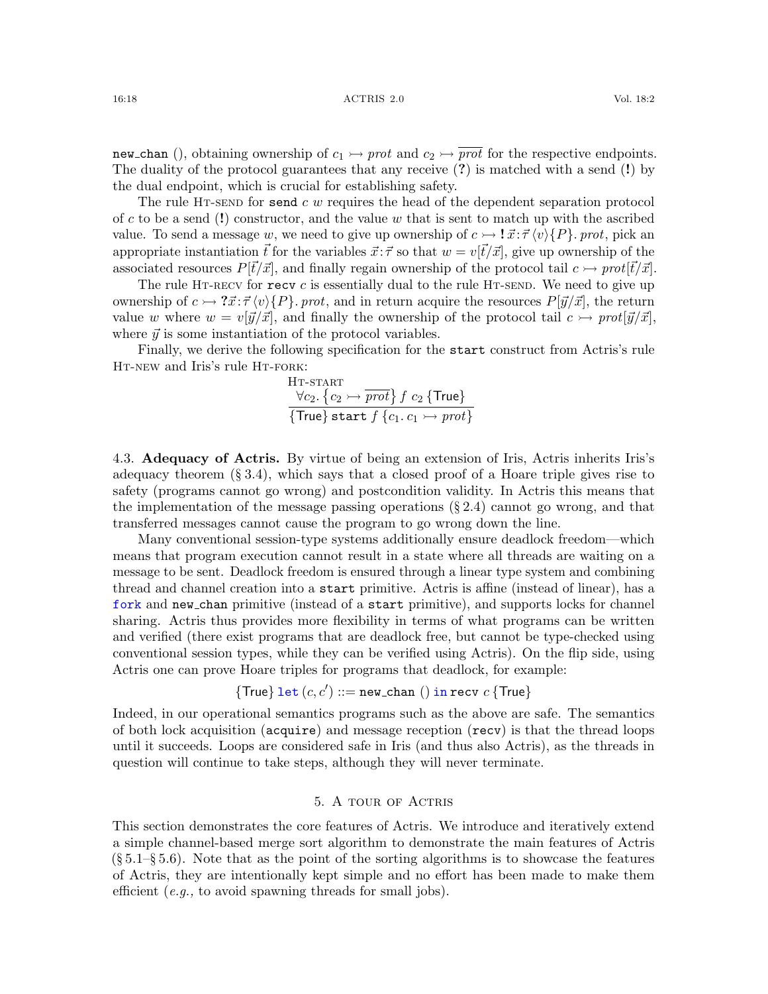new chan (), obtaining ownership of  $c_1 \rightarrow prot$  and  $c_2 \rightarrow \overrightarrow{prot}$  for the respective endpoints. The duality of the protocol guarantees that any receive (?) is matched with a send (!) by the dual endpoint, which is crucial for establishing safety.

The rule HT-SEND for send  $c \, w$  requires the head of the dependent separation protocol of c to be a send (!) constructor, and the value w that is sent to match up with the ascribed value. To send a message w, we need to give up ownership of  $c \rightarrow \mathbf{i} \vec{x}$ :  $\vec{\tau} \langle v \rangle \{P\}$ . prot, pick an appropriate instantiation  $\vec{t}$  for the variables  $\vec{x}$ : $\vec{\tau}$  so that  $w = v[\vec{t}/\vec{x}]$ , give up ownership of the associated resources  $P[\vec{t}/\vec{x}]$ , and finally regain ownership of the protocol tail  $c \rightarrow prot[\vec{t}/\vec{x}]$ .

The rule HT-RECV for  $\texttt{recv}$  c is essentially dual to the rule HT-SEND. We need to give up ownership of  $c \rightarrow ?\vec{x}:\vec{\tau}\langle v\rangle\{P\}$ . prot, and in return acquire the resources  $P[\vec{y}/\vec{x}]$ , the return value w where  $w = v[\vec{y}/\vec{x}]$ , and finally the ownership of the protocol tail  $c \rightarrow prot[\vec{y}/\vec{x}]$ , where  $\vec{y}$  is some instantiation of the protocol variables.

Finally, we derive the following specification for the start construct from Actris's rule HT-NEW and Iris's rule HT-FORK:

<span id="page-17-2"></span>
$$
\frac{\forall c_2. \{c_2 \rightarrow \overline{prot}\} f c_2 \{\text{True}\}}{\{\text{True}\} \text{start } f \{c_1. c_1 \rightarrow \text{prot}\}}
$$

<span id="page-17-1"></span>4.3. Adequacy of Actris. By virtue of being an extension of Iris, Actris inherits Iris's adequacy theorem  $(\S 3.4)$  $(\S 3.4)$ , which says that a closed proof of a Hoare triple gives rise to safety (programs cannot go wrong) and postcondition validity. In Actris this means that the implementation of the message passing operations  $(\S 2.4)$  $(\S 2.4)$  cannot go wrong, and that transferred messages cannot cause the program to go wrong down the line.

Many conventional session-type systems additionally ensure deadlock freedom—which means that program execution cannot result in a state where all threads are waiting on a message to be sent. Deadlock freedom is ensured through a linear type system and combining thread and channel creation into a start primitive. Actris is affine (instead of linear), has a fork and new chan primitive (instead of a start primitive), and supports locks for channel sharing. Actris thus provides more flexibility in terms of what programs can be written and verified (there exist programs that are deadlock free, but cannot be type-checked using conventional session types, while they can be verified using Actris). On the flip side, using Actris one can prove Hoare triples for programs that deadlock, for example:

{True} let 
$$
(c, c')
$$
 ::= new-chain () in recv  $c$  {True}

Indeed, in our operational semantics programs such as the above are safe. The semantics of both lock acquisition (acquire) and message reception (recv) is that the thread loops until it succeeds. Loops are considered safe in Iris (and thus also Actris), as the threads in question will continue to take steps, although they will never terminate.

## 5. A tour of Actris

<span id="page-17-0"></span>This section demonstrates the core features of Actris. We introduce and iteratively extend a simple channel-based merge sort algorithm to demonstrate the main features of Actris  $(\S 5.1-\S 5.6)$  $(\S 5.1-\S 5.6)$ . Note that as the point of the sorting algorithms is to showcase the features of Actris, they are intentionally kept simple and no effort has been made to make them efficient (e.g., to avoid spawning threads for small jobs).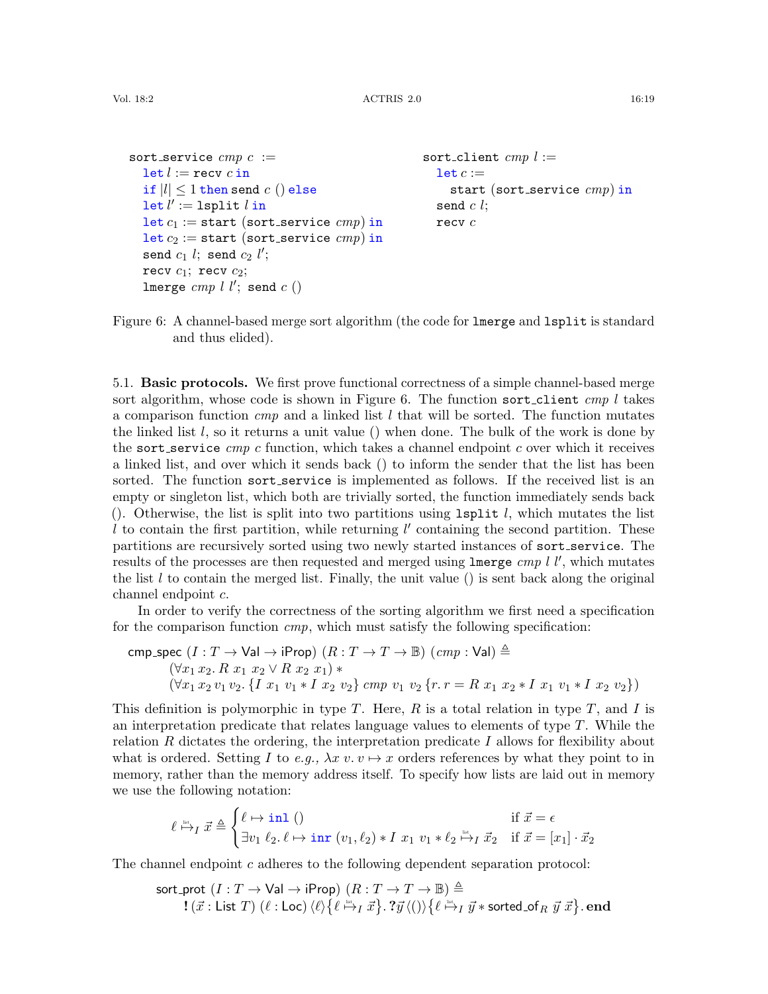```
sort_service cmp c :=
  let l := recv c inif |l| \leq 1 then send c () else
  \det l' := \texttt{lsplit}~l in
  let c_1 := start (sort_service cmp) in
  let c_2 := start (sort_service cmp) in
  send c_1 l; send c_2 l';
  recv c_1; recv c_2;
  lmerge cmp l l'; send c ()sort_client cmp l :=let c :=start (sort_service cmp) in
                                                    send c l;
                                                    recv c
```
<span id="page-18-1"></span>Figure 6: A channel-based merge sort algorithm (the code for lengther and lsplit is standard and thus elided).

<span id="page-18-0"></span>5.1. Basic protocols. We first prove functional correctness of a simple channel-based merge sort algorithm, whose code is shown in Figure [6.](#page-18-1) The function sort-client cmp l takes a comparison function  $cmp$  and a linked list l that will be sorted. The function mutates the linked list  $l$ , so it returns a unit value () when done. The bulk of the work is done by the sort service  $cmp$  c function, which takes a channel endpoint c over which it receives a linked list, and over which it sends back () to inform the sender that the list has been sorted. The function sort\_service is implemented as follows. If the received list is an empty or singleton list, which both are trivially sorted, the function immediately sends back (). Otherwise, the list is split into two partitions using  $1split$  l, which mutates the list  $\ell$  to contain the first partition, while returning  $\ell'$  containing the second partition. These partitions are recursively sorted using two newly started instances of sort service. The results of the processes are then requested and merged using  $\texttt{lmerge}$  cmp l l', which mutates the list  $l$  to contain the merged list. Finally, the unit value () is sent back along the original channel endpoint c.

In order to verify the correctness of the sorting algorithm we first need a specification for the comparison function  $cmp$ , which must satisfy the following specification:

$$
\begin{array}{ll}\texttt{cmp\_spec}(I: T \rightarrow \textsf{Val} \rightarrow \textsf{iProp})\ (R: T \rightarrow T \rightarrow \mathbb{B})\ (cmp: \textsf{Val}) \triangleq\\ (\forall x_1\,x_2.\,R\;x_1\;x_2 \vee R\;x_2\;x_1)*\\ (\forall x_1\,x_2\,v_1\,v_2.\,\{I\;x_1\;v_1 * I\;x_2\;v_2\}\;cmp\;v_1\;v_2\,\{r.\,r = R\;x_1\;x_2 * I\;x_1\;v_1 * I\;x_2\;v_2\})\end{array}
$$

This definition is polymorphic in type T. Here,  $R$  is a total relation in type  $T$ , and I is an interpretation predicate that relates language values to elements of type  $T$ . While the relation R dictates the ordering, the interpretation predicate I allows for flexibility about what is ordered. Setting I to e.g.,  $\lambda x v. v \mapsto x$  orders references by what they point to in memory, rather than the memory address itself. To specify how lists are laid out in memory we use the following notation:

$$
\ell \stackrel{\text{\tiny{def}}}{\mapsto} I \ \vec{x} \triangleq \begin{cases} \ell \mapsto \text{\rm{inl}} \ () & \text{if } \ \vec{x} = \epsilon \\ \exists v_1 \ \ell_2 \ldots \ell \mapsto \text{\rm{inr}} \ (v_1, \ell_2) \ast I \ x_1 \ v_1 \ast \ell_2 \stackrel{\text{\tiny{def}}}{\mapsto} I \ \vec{x}_2 & \text{if } \ \vec{x} = [x_1] \cdot \vec{x}_2 \end{cases}
$$

The channel endpoint c adheres to the following dependent separation protocol:

$$
\begin{array}{c} \text{sort\_prot}\ (I:T\rightarrow \text{Val} \rightarrow \text{iProp})\ (R:T\rightarrow T \rightarrow \mathbb{B})\triangleq \\ \text{!}\ (\vec{x}:\text{List }T)\ (\ell:\text{Loc})\ \langle \ell\rangle \big\{\ell\stackrel{\text{loc}}{\mapsto}_I\vec{x}\big\}.\ ?\vec{y}\ \langle()\rangle\big\{\ell\stackrel{\text{loc}}{\mapsto}_I\vec{y}*\text{sorted\_of}_R\ \vec{y}\ \vec{x}\big\}.\ \textbf{end} \end{array}
$$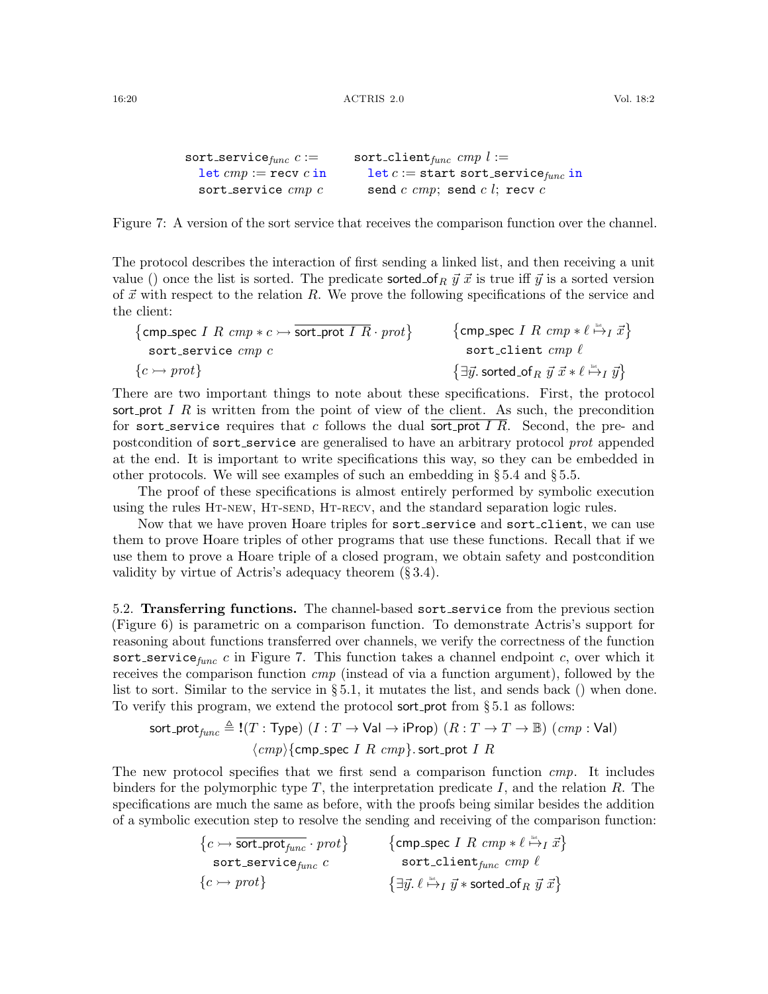```
sort_service_{func} c :=let cmp :=recv c in
  sort_service cmp csort_client_{func} cmp l :=let c := start sort_service_{func} in
                             send c cmp; send c l; recv c
```
<span id="page-19-1"></span>Figure 7: A version of the sort service that receives the comparison function over the channel.

The protocol describes the interaction of first sending a linked list, and then receiving a unit value () once the list is sorted. The predicate sorted of  $_R \vec{y} \cdot \vec{x}$  is true iff  $\vec{y}$  is a sorted version of  $\vec{x}$  with respect to the relation R. We prove the following specifications of the service and the client:

$$
{\begin{array}{ll}\text{comp\_spec }I \; R \; \textit{cmp} * c \rightarrow \overline{\text{sort\_prot } I \; R} \cdot \textit{prot} \} & \{ \text{cmp\_spec } I \; R \; \textit{cmp} * \ell \xrightarrow{\text{lin}} \vec{x} \} \\ \text{sort\_service } \textit{cmp } c & \text{sort\_client } \textit{cmp } \ell \\ \{ c \rightarrow \textit{prot} \} & \{ \exists \vec{y}. \; \text{sorted\_of}_R \; \vec{y} \; \vec{x} * \ell \xrightarrow{\text{lin}} \vec{y} \} \end{array}}
$$

There are two important things to note about these specifications. First, the protocol sort prot I R is written from the point of view of the client. As such, the precondition for sort service requires that c follows the dual sort prot I R. Second, the pre- and postcondition of sort service are generalised to have an arbitrary protocol prot appended at the end. It is important to write specifications this way, so they can be embedded in other protocols. We will see examples of such an embedding in § [5.4](#page-20-0) and § [5.5.](#page-21-0)

The proof of these specifications is almost entirely performed by symbolic execution using the rules [Ht-new](#page-16-2), [Ht-send](#page-16-3), [Ht-recv](#page-16-4), and the standard separation logic rules.

Now that we have proven Hoare triples for sort\_service and sort\_client, we can use them to prove Hoare triples of other programs that use these functions. Recall that if we use them to prove a Hoare triple of a closed program, we obtain safety and postcondition validity by virtue of Actris's adequacy theorem (§ [3.4\)](#page-15-1).

<span id="page-19-0"></span>5.2. Transferring functions. The channel-based sort service from the previous section (Figure [6\)](#page-18-1) is parametric on a comparison function. To demonstrate Actris's support for reasoning about functions transferred over channels, we verify the correctness of the function sort service<sub>func</sub> c in Figure [7.](#page-19-1) This function takes a channel endpoint c, over which it receives the comparison function cmp (instead of via a function argument), followed by the list to sort. Similar to the service in  $\S 5.1$ , it mutates the list, and sends back () when done. To verify this program, we extend the protocol sort prot from  $\S 5.1$  $\S 5.1$  as follows:

$$
\text{sort\_prot}_{func} \triangleq \text{!}(T: \text{Type}) \ (I: T \to \text{Val} \to \text{iProp}) \ (R: T \to T \to \mathbb{B}) \ (cmp: \text{Val})
$$
\n
$$
\langle cmp \rangle \{ \text{cmp\_spec} \ I \ R \ cmp \}.
$$
\n
$$
\text{sort\_prot} \ I \ R
$$

The new protocol specifies that we first send a comparison function *cmp*. It includes binders for the polymorphic type  $T$ , the interpretation predicate  $I$ , and the relation  $R$ . The specifications are much the same as before, with the proofs being similar besides the addition of a symbolic execution step to resolve the sending and receiving of the comparison function:

$$
\begin{array}{ll}\n\{c \mapsto \overline{\text{sort\_prot}_{func}} \cdot \text{prot}\} & \{ \text{cmp\_spec } I \ R \ \text{cmp} * \ell \xrightarrow{\text{in}} I \ \vec{x} \} \\
\text{sort\_service}_{func} \ c & \text{sort\_client}_{func} \ \text{cmp } \ell \\
\{c \mapsto \text{prot}\} & \{\exists \vec{y}. \ell \xrightarrow{\text{in}} I \ \vec{y} * \text{sorted\_of}_R \ \vec{y} \ \vec{x} \}\n\end{array}
$$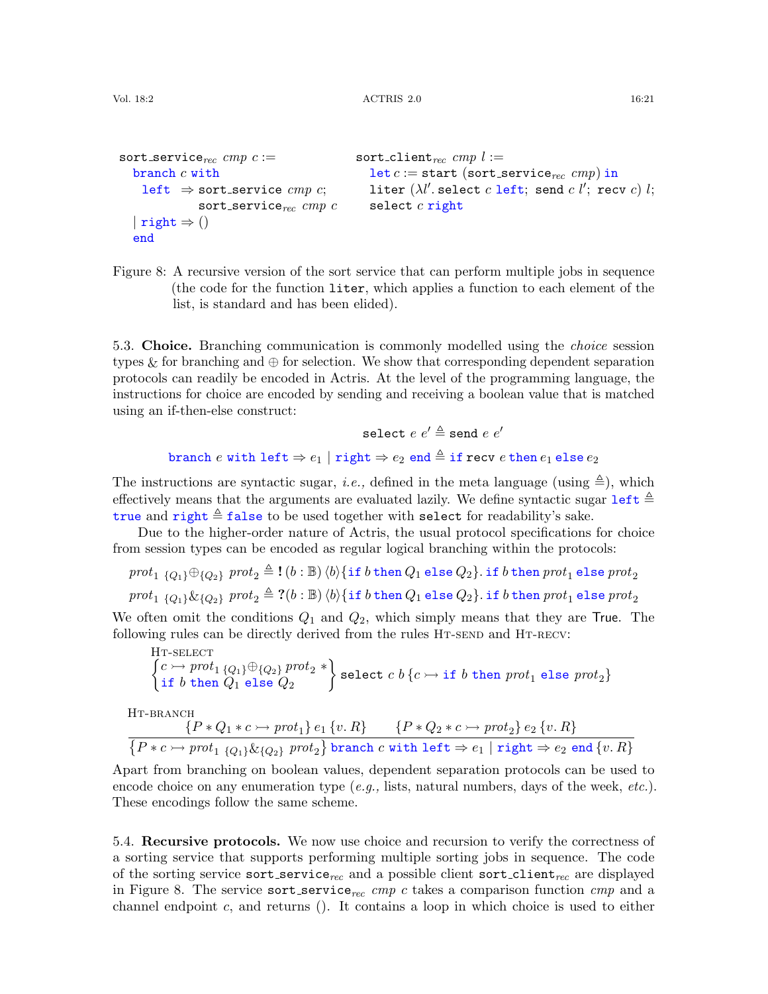```
sort_service<sub>rec</sub> cmp c :=branch c withleft \Rightarrow sort_service cmp c;
               sort_service_{rec} cmp c| right \Rightarrow ()
  end
                                               sort_client<sub>rec</sub> cmp l :=let c := start (sort_service<sub>rec</sub> cmp) in
                                                  liter (\lambda l'. select c left; send c l'; recv c) l;
                                                 select c right
```
<span id="page-20-1"></span>Figure 8: A recursive version of the sort service that can perform multiple jobs in sequence (the code for the function liter, which applies a function to each element of the list, is standard and has been elided).

<span id="page-20-4"></span>5.3. Choice. Branching communication is commonly modelled using the *choice* session types & for branching and  $\oplus$  for selection. We show that corresponding dependent separation protocols can readily be encoded in Actris. At the level of the programming language, the instructions for choice are encoded by sending and receiving a boolean value that is matched using an if-then-else construct:

```
select e e' \triangleq send e e'branch e with left \Rightarrow e_1 | right \Rightarrow e_2 end \triangleq if recv e then e_1 else e_2
```
The instructions are syntactic sugar, *i.e.*, defined in the meta language (using  $\triangleq$ ), which effectively means that the arguments are evaluated lazily. We define syntactic sugar  $\text{left} \triangleq$ true and right  $\triangleq$  false to be used together with select for readability's sake.

Due to the higher-order nature of Actris, the usual protocol specifications for choice from session types can be encoded as regular logical branching within the protocols:

```
prot_{1}\{Q_{1}\}\oplus_{\{Q_{2}\}}prot_{2} \triangleq !(b:\mathbb{B})\langle b\rangle{\{\text{if }b\text{ then }Q_{1}\text{ else }Q_{2}\}}. if b then prot_{1} else prot_{2}
```
 $prot_{1}\{Q_{1}\}\&{Q_{2}\}$ ,  $prot_{2} \triangleq ?(b : \mathbb{B})\langle b\rangle{\{\text{if } b \text{ then } Q_{1} \text{ else } Q_{2}\}}$ . if b then  $prot_{1}$  else  $prot_{2}$ 

We often omit the conditions  $Q_1$  and  $Q_2$ , which simply means that they are True. The following rules can be directly derived from the rules HT-SEND and HT-RECV:

<span id="page-20-3"></span>HT-SELECT

\n
$$
\begin{Bmatrix}\nc \rightarrow prot_1\{Q_1\} \oplus \{Q_2\} \text{ } prot_2 \ast \\
\text{if } b \text{ then } Q_1 \text{ else } Q_2\n\end{Bmatrix}
$$
\nselect  $c b \{c \rightarrow \text{if } b \text{ then } prot_1 \text{ else } prot_2\}$ 

HT-BRANCH

<span id="page-20-2"></span>
$$
\frac{\{P*Q_1*c\rightarrow prot_1\}e_1\{v,R\}}{\{P*c\rightarrow prot_1\{Q_1\}\&\{Q_2\} \;prot_2\} \text{ branch } c \text{ with left }\Rightarrow e_1 \mid \text{right }\Rightarrow e_2 \text{ end } \{v,R\}}
$$

Apart from branching on boolean values, dependent separation protocols can be used to encode choice on any enumeration type  $(e.g.,$  lists, natural numbers, days of the week,  $etc.$ ). These encodings follow the same scheme.

<span id="page-20-0"></span>5.4. Recursive protocols. We now use choice and recursion to verify the correctness of a sorting service that supports performing multiple sorting jobs in sequence. The code of the sorting service sort\_service<sub>rec</sub> and a possible client sort\_client<sub>rec</sub> are displayed in Figure [8.](#page-20-1) The service sort service<sub>rec</sub> cmp c takes a comparison function cmp and a channel endpoint  $c$ , and returns (). It contains a loop in which choice is used to either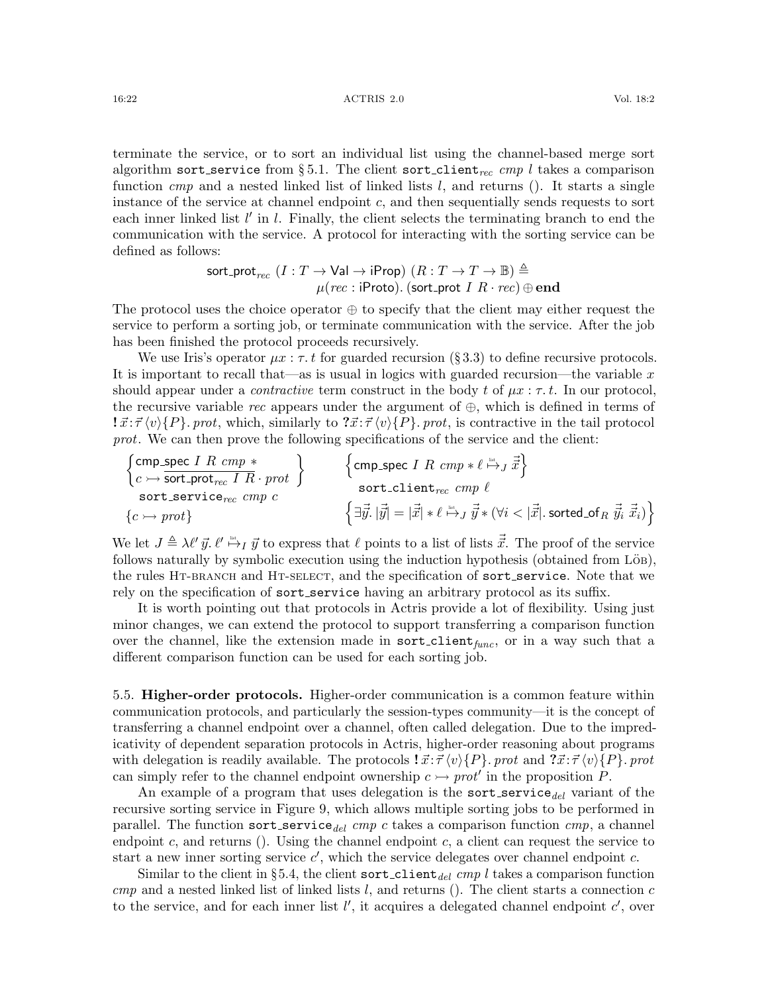16:22 ACTRIS 2.0 Vol. 18:2

terminate the service, or to sort an individual list using the channel-based merge sort algorithm sort service from §[5.1.](#page-18-0) The client sort client<sub>rec</sub> cmp l takes a comparison function  $cmp$  and a nested linked list of linked lists  $l$ , and returns (). It starts a single instance of the service at channel endpoint  $c$ , and then sequentially sends requests to sort each inner linked list  $l'$  in  $l$ . Finally, the client selects the terminating branch to end the communication with the service. A protocol for interacting with the sorting service can be defined as follows:

$$
\begin{array}{c}\n\text{sort\_prot}_{rec} \ (I: T \to \text{Val} \to \text{iProp}) \ (R: T \to T \to \mathbb{B}) \triangleq \\
\mu (rec: \text{iProb}). \ (\text{sort\_prot} \ I \ R \cdot rec) \oplus \text{end}\n\end{array}
$$

The protocol uses the choice operator  $\oplus$  to specify that the client may either request the service to perform a sorting job, or terminate communication with the service. After the job has been finished the protocol proceeds recursively.

We use Iris's operator  $\mu x : \tau t$  for guarded recursion (§ [3.3\)](#page-14-1) to define recursive protocols. It is important to recall that—as is usual in logics with guarded recursion—the variable  $x$ should appear under a *contractive* term construct in the body t of  $\mu x : \tau$ . In our protocol, the recursive variable rec appears under the argument of  $\oplus$ , which is defined in terms of  $\vec{x}$ :  $\vec{\tau} \langle v \rangle$ {P}. prot, which, similarly to  $\vec{x}$ :  $\vec{\tau} \langle v \rangle$ {P}. prot, is contractive in the tail protocol prot. We can then prove the following specifications of the service and the client:

$$
\begin{array}{ll}\n\left\{\text{cmp\_spec } I \ R \ cmp * \right\} & \left\{\text{cmp\_spec } I \ R \ cmp * \ell \overset{\text{in}}{\mapsto} J \ \vec{x}\right\} \\
\text{sort\_sort\_prot}_{rec} \ \text{cmp } c & \left\{\text{c} \mapsto \text{prot}\right\} & \left\{\exists \vec{y}. \ |\vec{y}| = |\vec{x}| * \ell \overset{\text{in}}{\mapsto} J \ \vec{y} * (\forall i < |\vec{x}|. \ \text{sorted\_of}_R \ \vec{y}_i \ \vec{x}_i)\right\}\n\end{array}
$$

We let  $J \triangleq \lambda \ell' \vec{y}$ .  $\ell' \stackrel{\text{def}}{\mapsto} I \vec{y}$  to express that  $\ell$  points to a list of lists  $\vec{\vec{x}}$ . The proof of the service follows naturally by symbolic execution using the induction hypothesis (obtained from  $\overline{\text{L}}$  $\ddot{\text{o}}$ B), the rules HT-BRANCH and HT-SELECT, and the specification of sort\_service. Note that we rely on the specification of sort\_service having an arbitrary protocol as its suffix.

It is worth pointing out that protocols in Actris provide a lot of flexibility. Using just minor changes, we can extend the protocol to support transferring a comparison function over the channel, like the extension made in  $sort$ -client<sub>func</sub>, or in a way such that a different comparison function can be used for each sorting job.

<span id="page-21-0"></span>5.5. Higher-order protocols. Higher-order communication is a common feature within communication protocols, and particularly the session-types community—it is the concept of transferring a channel endpoint over a channel, often called delegation. Due to the impredicativity of dependent separation protocols in Actris, higher-order reasoning about programs with delegation is readily available. The protocols  $\vec{x} \cdot \vec{\tau} \langle v \rangle \{P\}$ , prot and  $\vec{x} \cdot \vec{\tau} \langle v \rangle \{P\}$ , prot can simply refer to the channel endpoint ownership  $c \rightarrow prot'$  in the proposition P.

An example of a program that uses delegation is the sort service  $_{del}$  variant of the recursive sorting service in Figure [9,](#page-22-1) which allows multiple sorting jobs to be performed in parallel. The function sort service  $_{del}$  cmp c takes a comparison function cmp, a channel endpoint  $c$ , and returns (). Using the channel endpoint  $c$ , a client can request the service to start a new inner sorting service  $c'$ , which the service delegates over channel endpoint c.

Similar to the client in §[5.4,](#page-20-0) the client sort\_client<sub>del</sub> cmp l takes a comparison function  $cmp$  and a nested linked list of linked lists  $l$ , and returns (). The client starts a connection  $c$ to the service, and for each inner list  $l'$ , it acquires a delegated channel endpoint  $c'$ , over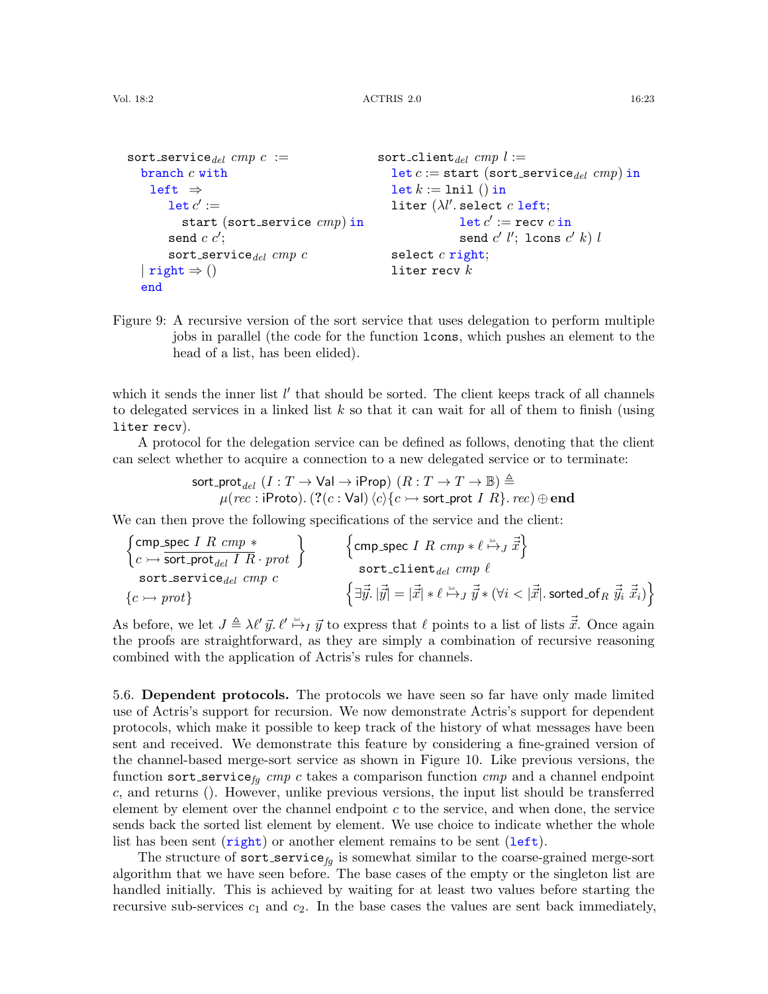```
sort_service_{del} cmp c :=branch c withleft \Rightarrow\det c':=start (sort_service cmp) in
         send c c';
        sort_service_{del} cmp c| right \Rightarrow ()
   end
                                                     sort-client<sub>del</sub> cmp l :=let c := start (sort_service<sub>del</sub> cmp) in
                                                        \texttt{let } k := \texttt{lnil}() \texttt{in}liter (\lambda l'. select c left;
                                                                       \mathtt{let}\,c' := \mathtt{recv}\,c\,\mathtt{in}send c' l'; lcons c' k) lselect c right;
                                                        liter recv k
```
<span id="page-22-1"></span>Figure 9: A recursive version of the sort service that uses delegation to perform multiple jobs in parallel (the code for the function lcons, which pushes an element to the head of a list, has been elided).

which it sends the inner list  $l'$  that should be sorted. The client keeps track of all channels to delegated services in a linked list  $k$  so that it can wait for all of them to finish (using liter recv).

A protocol for the delegation service can be defined as follows, denoting that the client can select whether to acquire a connection to a new delegated service or to terminate:

> $\mathsf{sort\_prot}_{del} \; (I : T \to \mathsf{Val} \to \mathsf{iProp}) \; (R : T \to T \to \mathbb{B}) \triangleq$  $\mu(rec: \mathsf{iProb})$ .  $(? (c : \mathsf{Val}) \left\langle c \right\rangle\!\{c \rightarrow \mathsf{sort\_prot}\ I\ R\}$ .  $rec) \oplus \mathbf{end}$

We can then prove the following specifications of the service and the client:

$$
\begin{array}{l}\n\left\{\text{cmp\_spec } I \ R \ \text{cmp} \ast \right\} \\
\left\{\text{cmp\_spec } I \ R \ \text{cmp} \ast \right\} \\
\text{sort\_perfect } \left\{\text{cmp} \ c \right\} \\
\text{sort\_service}_{del} \ \text{cmp } c \\
\left\{\overrightarrow{y} \cdot |\overrightarrow{y}| = |\overrightarrow{x}| \ast \ell \stackrel{\text{list.}}{\mapsto} J \ \overrightarrow{y} \ast \left(\forall i < |\overrightarrow{x}|. \ \text{sorted\_of}_R \ \overrightarrow{y}_i \ \overrightarrow{x}_i\right)\right\}\n\end{array}
$$

As before, we let  $J \triangleq \lambda \ell' \vec{y}$ .  $\ell' \stackrel{\text{def}}{\mapsto} I \vec{y}$  to express that  $\ell$  points to a list of lists  $\vec{\vec{x}}$ . Once again the proofs are straightforward, as they are simply a combination of recursive reasoning combined with the application of Actris's rules for channels.

<span id="page-22-0"></span>5.6. Dependent protocols. The protocols we have seen so far have only made limited use of Actris's support for recursion. We now demonstrate Actris's support for dependent protocols, which make it possible to keep track of the history of what messages have been sent and received. We demonstrate this feature by considering a fine-grained version of the channel-based merge-sort service as shown in Figure [10.](#page-23-0) Like previous versions, the function sort service<sub>fg</sub> cmp c takes a comparison function cmp and a channel endpoint c, and returns (). However, unlike previous versions, the input list should be transferred element by element over the channel endpoint c to the service, and when done, the service sends back the sorted list element by element. We use choice to indicate whether the whole list has been sent (right) or another element remains to be sent (left).

The structure of sort service<sub>fq</sub> is somewhat similar to the coarse-grained merge-sort algorithm that we have seen before. The base cases of the empty or the singleton list are handled initially. This is achieved by waiting for at least two values before starting the recursive sub-services  $c_1$  and  $c_2$ . In the base cases the values are sent back immediately,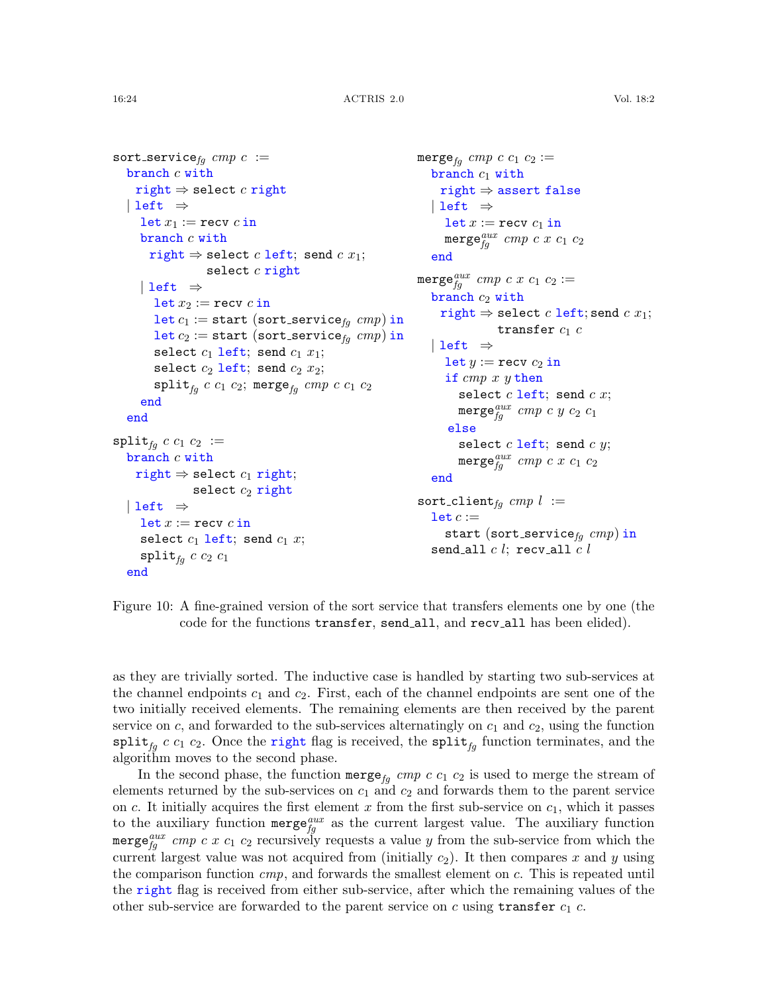```
sort_service_{fq} cmp c :=branch c with
    right \Rightarrow select c right
   | left \Rightarrowlet x_1 := \text{recv } c in
      branch c with
        right \Rightarrow select c left; send c x_1;
                    select c right
      | left \Rightarrowlet x_2 := \texttt{recv}~c in
         let c_1 := start (sort_service<sub>fa</sub> cmp) in
         let c_2 := start (sort_service<sub>fq</sub> cmp) in
        select c_1 left; send c_1 x_1;
        select c_2 left; send c_2 x_2;
        split_{fq} c c_1 c_2; merge<sub>fq</sub> cmp c c_1 c_2end
   end
split_{fa} c c_1 c_2 :=branch c with
    right \Rightarrow select c_1 right;
                 select c_2 right
   | left \Rightarrowlet x := recv c inselect c_1 left; send c_1 x;
      \texttt{split}_{fq} c c_2 c_1end
                                                                   merge<sub>fq</sub> cmp c c_1 c_2 :=branch c_1 with
                                                                        right ⇒ assert false
                                                                      | left \Rightarrowlet x := \text{recv } c_1 in
                                                                         \mathsf{merge}^{aux}_{fg} cmp c x c_1 c_2end
                                                                   \texttt{merge}^{aux}_{fg}\textit{cmp}\textit{c}\textit{x}\textit{c}_1\textit{c}_2 :=branch c_2 with
                                                                        \text{right} \Rightarrow \text{select } c \text{ left}; send c x_1;
                                                                                    transfer c_1 c
                                                                      | left \Rightarrowlet y := \text{recv } c_2 in
                                                                         if cmp x y then
                                                                            select c left; send c x;
                                                                            \texttt{merge}^{aux}_{fg} cmp c y c_2 c_1else
                                                                            select c left; send c y;
                                                                            merge_{fg}^{aux} cmp c x c<sub>1</sub> c<sub>2</sub>
                                                                      end
                                                                   sort_client<sub>fq</sub> cmp l :=let c :=start (sort_service_{fq} cmp) in
                                                                      send_all c l; recv_all c l
```
<span id="page-23-0"></span>Figure 10: A fine-grained version of the sort service that transfers elements one by one (the code for the functions transfer, send all, and recv all has been elided).

as they are trivially sorted. The inductive case is handled by starting two sub-services at the channel endpoints  $c_1$  and  $c_2$ . First, each of the channel endpoints are sent one of the two initially received elements. The remaining elements are then received by the parent service on  $c$ , and forwarded to the sub-services alternatingly on  $c_1$  and  $c_2$ , using the function  $\text{split}_{fg}$  c  $c_1$   $c_2$ . Once the right flag is received, the  $\text{split}_{fg}$  function terminates, and the algorithm moves to the second phase.

In the second phase, the function merge<sub>fq</sub> cmp c  $c_1$   $c_2$  is used to merge the stream of elements returned by the sub-services on  $c_1$  and  $c_2$  and forwards them to the parent service on  $c$ . It initially acquires the first element  $x$  from the first sub-service on  $c_1$ , which it passes to the auxiliary function  $\mathbf{merge}_{fg}^{aux}$  as the current largest value. The auxiliary function merge $f_g^{aux}$  cmp c x  $c_1$   $c_2$  recursively requests a value y from the sub-service from which the current largest value was not acquired from (initially  $c_2$ ). It then compares x and y using the comparison function  $cmp$ , and forwards the smallest element on c. This is repeated until the right flag is received from either sub-service, after which the remaining values of the other sub-service are forwarded to the parent service on c using transfer  $c_1$  c.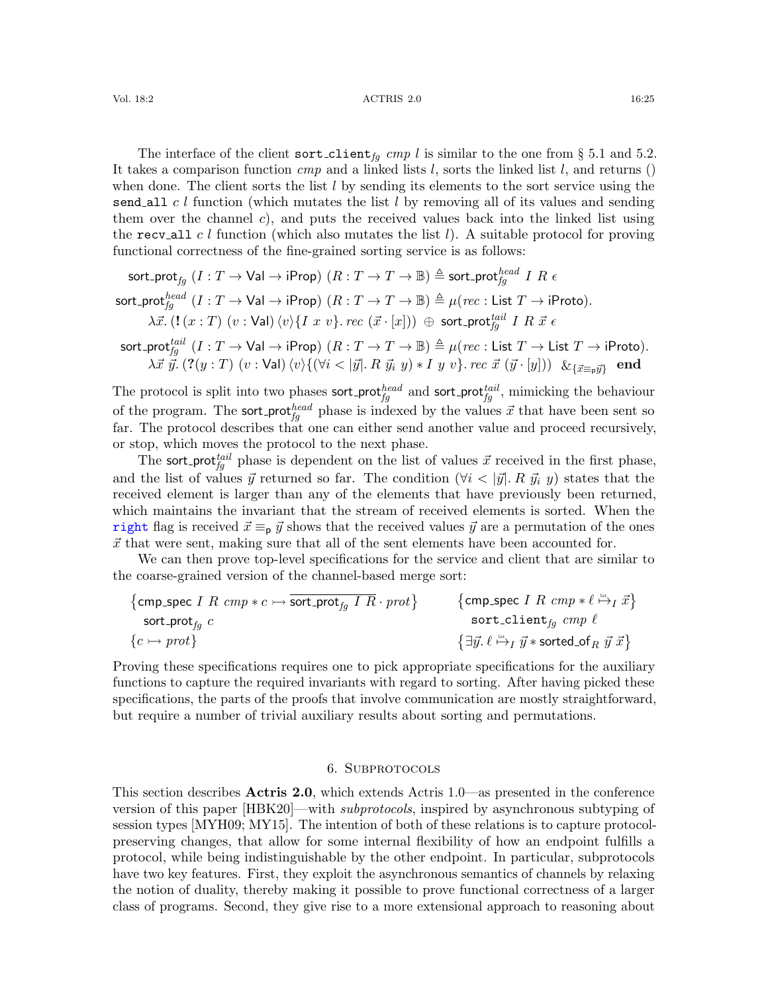The interface of the client sort client<sub>fg</sub> cmp l is similar to the one from § [5.1](#page-18-0) and [5.2.](#page-19-0) It takes a comparison function  $cmp$  and a linked lists l, sorts the linked list l, and returns () when done. The client sorts the list  $l$  by sending its elements to the sort service using the send all c l function (which mutates the list  $l$  by removing all of its values and sending them over the channel c), and puts the received values back into the linked list using the recv all c l function (which also mutates the list l). A suitable protocol for proving functional correctness of the fine-grained sorting service is as follows:

 ${\sf sort\_prot}_{fg}$   $(I:T\to \mathsf{Val}\to \mathsf{iProp}) \;(R:T\to T\to \mathbb B) \triangleq {\sf sort\_prot}_{fg}^{head} \; I \; R \; \epsilon$ 

$$
\text{sort\_prot}_{fg}^{head}(I: T \to \text{Val} \to \text{iProp})\ (R: T \to T \to \mathbb{B}) \triangleq \mu (rec: \text{List } T \to \text{iProb}).
$$
\n
$$
\lambda \vec{x}. \ (\mathbf{!} \ (x:T) \ (v: \text{Val}) \ \langle v \rangle \{ I \ x \ v \}.\ \text{rec } (\vec{x} \cdot [x])) \ \oplus \ \text{sort\_prot}_{fg}^{tail} \ I \ R \ \vec{x} \ \epsilon
$$

 $\mathsf{sort\_prot}^{\mathit{tail}}_{\mathit{fg}} \; (I : T \to \mathsf{Val} \to \mathsf{iProp}) \; (R : T \to T \to \mathbb{B}) \triangleq \mu(\mathit{rec} : \mathsf{List}\; T \to \mathsf{List}\; T \to \mathsf{iProb}).$  $\lambda\vec{x}~\vec{y}.~(?(\overline{y}~:~T)~(\overline{v}~:~\textsf{Val})~\langle \overline{v}\rangle\{(\forall i < |\vec{y}|.~R~\vec{y_i}~y) * I~y~\overline{v}\}$ . rec  $\vec{x}~(\vec{y}~\cdot~[\overline{y}])) ~\&_{\{\vec{x} \equiv_{\mathsf{p}}\vec{y}\}}$  end

The protocol is split into two phases sort-prot $f_g^{head}$  and sort-prot $f_g^{tail}$ , mimicking the behaviour of the program. The sort-prot $_{fg}^{head}$  phase is indexed by the values  $\vec{x}$  that have been sent so far. The protocol describes that one can either send another value and proceed recursively, or stop, which moves the protocol to the next phase.

The sort prot<sup>tail</sup> phase is dependent on the list of values  $\vec{x}$  received in the first phase, and the list of values  $\vec{y}$  returned so far. The condition ( $\forall i < |\vec{y}|$ . R  $\vec{y}_i$  y) states that the received element is larger than any of the elements that have previously been returned, which maintains the invariant that the stream of received elements is sorted. When the right flag is received  $\vec{x} \equiv_p \vec{y}$  shows that the received values  $\vec{y}$  are a permutation of the ones  $\vec{x}$  that were sent, making sure that all of the sent elements have been accounted for.

We can then prove top-level specifications for the service and client that are similar to the coarse-grained version of the channel-based merge sort:

$$
\begin{array}{ll}\text{comp\_spec }I \ \textit{R} \ \textit{cmp} * c \rightarrow \overline{\text{sort\_prot}_{fg} \ I \ R} \cdot \textit{prot}\} & \text{ \{cmp\_spec }I \ \textit{R} \ \textit{cmp} * \ell \xrightarrow{\text{int}}_I \vec{x}\} \\ \text{sort\_prot}_{fg} \ c \\ \{c \rightarrow \textit{prot}\} & \text{ \{d \rightarrow opt}\} & \text{ \{d \rightarrow eq \ i \} } \end{array}
$$

Proving these specifications requires one to pick appropriate specifications for the auxiliary functions to capture the required invariants with regard to sorting. After having picked these specifications, the parts of the proofs that involve communication are mostly straightforward, but require a number of trivial auxiliary results about sorting and permutations.

#### 6. Subprotocols

<span id="page-24-0"></span>This section describes Actris 2.0, which extends Actris 1.0—as presented in the conference version of this paper [\[HBK20\]](#page-61-7)—with *subprotocols*, inspired by asynchronous subtyping of session types [\[MYH09;](#page-62-6) [MY15\]](#page-62-7). The intention of both of these relations is to capture protocolpreserving changes, that allow for some internal flexibility of how an endpoint fulfills a protocol, while being indistinguishable by the other endpoint. In particular, subprotocols have two key features. First, they exploit the asynchronous semantics of channels by relaxing the notion of duality, thereby making it possible to prove functional correctness of a larger class of programs. Second, they give rise to a more extensional approach to reasoning about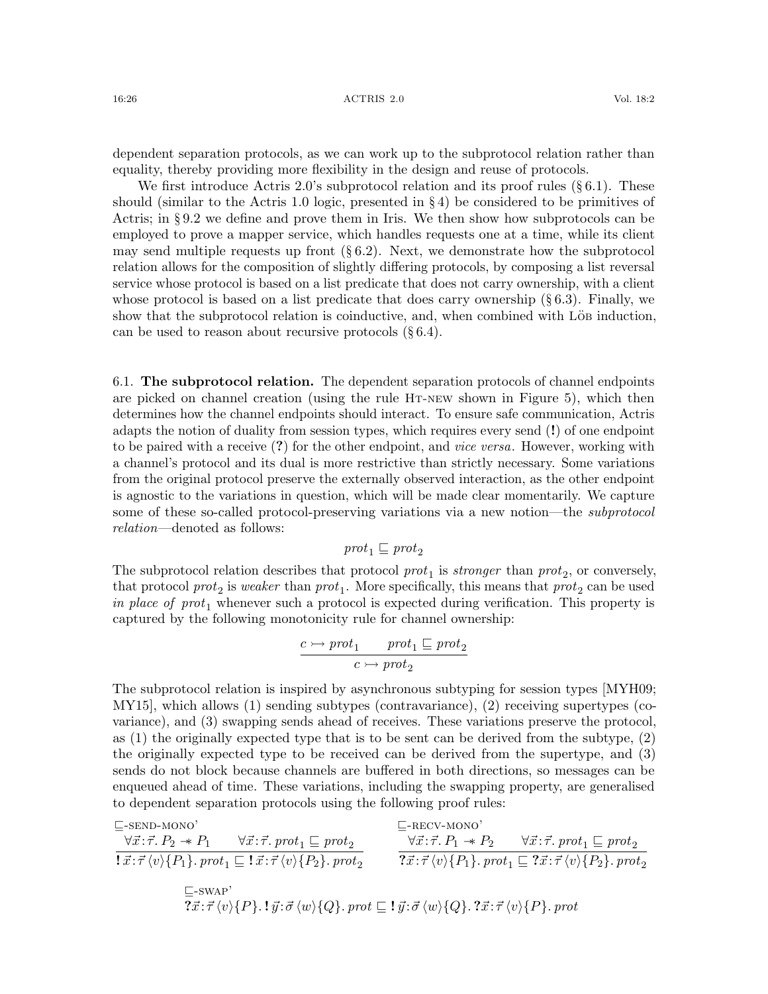dependent separation protocols, as we can work up to the subprotocol relation rather than equality, thereby providing more flexibility in the design and reuse of protocols.

We first introduce Actris 2.0's subprotocol relation and its proof rules  $(\S 6.1)$  $(\S 6.1)$ . These should (similar to the Actris 1.0 logic, presented in § [4\)](#page-15-0) be considered to be primitives of Actris; in § [9.2](#page-41-0) we define and prove them in Iris. We then show how subprotocols can be employed to prove a mapper service, which handles requests one at a time, while its client may send multiple requests up front  $(\S 6.2)$  $(\S 6.2)$ . Next, we demonstrate how the subprotocol relation allows for the composition of slightly differing protocols, by composing a list reversal service whose protocol is based on a list predicate that does not carry ownership, with a client whose protocol is based on a list predicate that does carry ownership  $(\S 6.3)$  $(\S 6.3)$ . Finally, we show that the subprotocol relation is coinductive, and, when combined with Löbe induction, can be used to reason about recursive protocols  $(\S 6.4)$  $(\S 6.4)$ .

<span id="page-25-0"></span>6.1. The subprotocol relation. The dependent separation protocols of channel endpoints are picked on channel creation (using the rule [Ht-new](#page-16-2) shown in Figure [5\)](#page-16-5), which then determines how the channel endpoints should interact. To ensure safe communication, Actris adapts the notion of duality from session types, which requires every send (!) of one endpoint to be paired with a receive (?) for the other endpoint, and *vice versa*. However, working with a channel's protocol and its dual is more restrictive than strictly necessary. Some variations from the original protocol preserve the externally observed interaction, as the other endpoint is agnostic to the variations in question, which will be made clear momentarily. We capture some of these so-called protocol-preserving variations via a new notion—the subprotocol relation—denoted as follows:

# $prot_1 \sqsubseteq prot_2$

The subprotocol relation describes that protocol  $prot_1$  is *stronger* than  $prot_2$ , or conversely, that protocol  $prot_2$  is weaker than  $prot_1$ . More specifically, this means that  $prot_2$  can be used in place of prot<sub>1</sub> whenever such a protocol is expected during verification. This property is captured by the following monotonicity rule for channel ownership:

<span id="page-25-2"></span>
$$
\cfrac{c \rightarrow \mathit{prot}_1}{c \rightarrow \mathit{prot}_2} \xrightarrow{prot_1} \; \sqsubseteq \mathit{prot}_2
$$

The subprotocol relation is inspired by asynchronous subtyping for session types [\[MYH09;](#page-62-6) [MY15\]](#page-62-7), which allows (1) sending subtypes (contravariance), (2) receiving supertypes (covariance), and (3) swapping sends ahead of receives. These variations preserve the protocol, as (1) the originally expected type that is to be sent can be derived from the subtype, (2) the originally expected type to be received can be derived from the supertype, and (3) sends do not block because channels are buffered in both directions, so messages can be enqueued ahead of time. These variations, including the swapping property, are generalised to dependent separation protocols using the following proof rules:

<span id="page-25-3"></span><span id="page-25-1"></span>
$$
\begin{array}{ll}\n\Xi\text{-SEND-MONO'} & \xrightarrow{\nabla \vec{x}:\vec{\tau}. P_2 \twoheadrightarrow P_1} & \forall \vec{x}:\vec{\tau}. \text{prot}_1 \sqsubseteq \text{prot}_2 \\
\hline\n\{\vec{x}:\vec{\tau}\langle v\rangle\{P_1\}. \text{prot}_1 \sqsubseteq \mathbf{1} \vec{x}:\vec{\tau}\langle v\rangle\{P_2\}. \text{prot}_2 & \nabla \vec{x}:\vec{\tau}\langle v\rangle\{P_1\}. \text{prot}_1 \sqsubseteq \mathbf{2} \vec{x}:\vec{\tau}\langle v\rangle\{P_2\}. \text{prot}_2 \\
\hline\n\Xi\text{-SWAP'} & \xrightarrow{\nabla \vec{x}:\vec{\tau}\langle v\rangle\{P_2\}. \text{prot}_2} & \nabla \vec{x}:\vec{\tau}\langle v\rangle\{P_1\}. \text{prot}_1 \sqsubseteq \mathbf{2} \vec{x}:\vec{\tau}\langle v\rangle\{P_2\}. \text{prot}_2 \\
\hline\n\Xi\text{-SWAP'} & \xrightarrow{\nabla \vec{x}:\vec{\tau}\langle v\rangle\{P_1\}. \text{prot}_1 \sqsubseteq \mathbf{2} \vec{x}:\vec{\tau}\langle v\rangle\{P_2\}. \text{prot}_2 \\
\end{array}
$$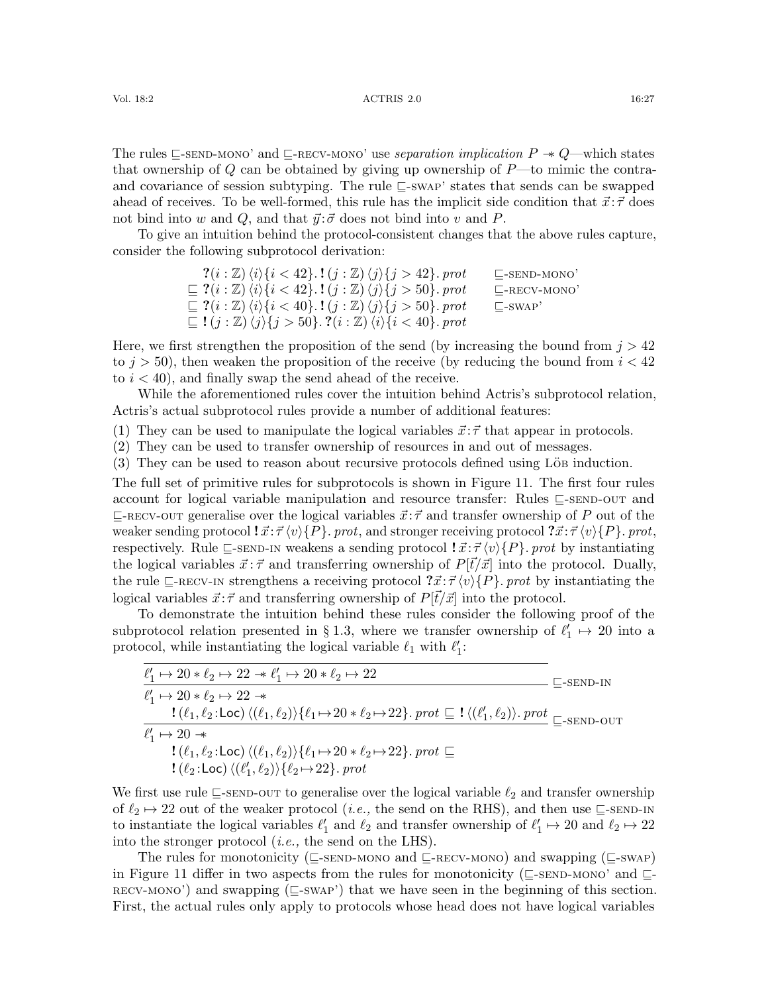#### Vol. 18:2 16:27 16:27 16:27 16:27 16:27 16:27 16:27 16:27

The rules  $\subseteq$ [-send-mono'](#page-25-1) and  $\subseteq$ [-recv-mono'](#page-25-2) use separation implication  $P \rightarrow Q$ —which states that ownership of  $Q$  can be obtained by giving up ownership of  $P$ —to mimic the contraand covariance of session subtyping. The rule  $\sqsubseteq$ [-swap'](#page-25-3) states that sends can be swapped ahead of receives. To be well-formed, this rule has the implicit side condition that  $\vec{x}$ : $\vec{\tau}$  does not bind into w and Q, and that  $\vec{y}$ : $\vec{\sigma}$  does not bind into v and P.

To give an intuition behind the protocol-consistent changes that the above rules capture, consider the following subprotocol derivation:

$$
7(i : \mathbb{Z}) \langle i \rangle \{i < 42\}.\mathbf{1}(j : \mathbb{Z}) \langle j \rangle \{j > 42\}.\text{prot} \qquad \text{E-sEND-MONO'}\n\subseteq ?(i : \mathbb{Z}) \langle i \rangle \{i < 42\}.\mathbf{1}(j : \mathbb{Z}) \langle j \rangle \{j > 50\}.\text{prot} \qquad \text{E-RECV-MONO'}\n\subseteq ?(i : \mathbb{Z}) \langle i \rangle \{i < 40\}.\mathbf{1}(j : \mathbb{Z}) \langle j \rangle \{j > 50\}.\text{prot} \qquad \text{E-swap'}\n\subseteq !(j : \mathbb{Z}) \langle j \rangle \{j > 50\}.\mathbf{2}(i : \mathbb{Z}) \langle i \rangle \{i < 40\}.\text{prot}
$$

Here, we first strengthen the proposition of the send (by increasing the bound from  $j > 42$ to  $j > 50$ , then weaken the proposition of the receive (by reducing the bound from  $i < 42$ ) to  $i < 40$ , and finally swap the send ahead of the receive.

While the aforementioned rules cover the intuition behind Actris's subprotocol relation, Actris's actual subprotocol rules provide a number of additional features:

(1) They can be used to manipulate the logical variables  $\vec{x}$ :  $\vec{\tau}$  that appear in protocols.

(2) They can be used to transfer ownership of resources in and out of messages.

 $(3)$  They can be used to reason about recursive protocols defined using Löb induction.

The full set of primitive rules for subprotocols is shown in Figure [11.](#page-27-0) The first four rules account for logical variable manipulation and resource transfer: Rules  $\Box$ [-send-out](#page-27-1) and  $\sqsubseteq$ [-recv-out](#page-27-2) generalise over the logical variables  $\vec{x}$ :  $\vec{\tau}$  and transfer ownership of P out of the weaker sending protocol  $\vec{x}:\vec{\tau} \langle v \rangle \{P\}$ . prot, and stronger receiving protocol  $\vec{x}:\vec{\tau} \langle v \rangle \{P\}$ . prot, respectively. Rule  $\subseteq$ [-send-in](#page-27-3) weakens a sending protocol  $\colon \vec{x} : \vec{\tau} \langle v \rangle \{P\}$ . prot by instantiating the logical variables  $\vec{x}$ :  $\vec{\tau}$  and transferring ownership of  $P[\vec{t}/\vec{x}]$  into the protocol. Dually, the rule  $\subseteq$ [-recv-in](#page-27-4) strengthens a receiving protocol  $\vec{x}$ : $\vec{\tau}$  (v)  $\{P\}$ . prot by instantiating the logical variables  $\vec{x}$ :  $\vec{\tau}$  and transferring ownership of  $P[\vec{t}/\vec{x}]$  into the protocol.

To demonstrate the intuition behind these rules consider the following proof of the subprotocol relation presented in § [1.3,](#page-5-0) where we transfer ownership of  $\ell'_1 \mapsto 20$  into a protocol, while instantiating the logical variable  $\ell_1$  with  $\ell'_1$ :

| $\ell'_1 \mapsto 20 * \ell_2 \mapsto 22 * \ell'_1 \mapsto 20 * \ell_2 \mapsto 22$                                                                                                         | $\mathsf{L}\text{-}\mathrm{SEND}\text{-}\mathrm{IN}$ |
|-------------------------------------------------------------------------------------------------------------------------------------------------------------------------------------------|------------------------------------------------------|
| $\ell'_1 \mapsto 20 * \ell_2 \mapsto 22 *$                                                                                                                                                |                                                      |
| $!(\ell_1, \ell_2:\text{Loc})\langle (\ell_1, \ell_2)\rangle \{\ell_1 \mapsto 20 * \ell_2 \mapsto 22\}.$ $prot \sqsubseteq !\langle (\ell'_1, \ell_2)\rangle.$ $prot \sqsubset$ -SEND-OUT |                                                      |
| $\ell'_1 \mapsto 20 \rightarrow$                                                                                                                                                          |                                                      |
| $!(\ell_1, \ell_2:\text{Loc})\langle(\ell_1, \ell_2)\rangle\{\ell_1 \mapsto 20 * \ell_2 \mapsto 22\}$ . prot $\sqsubseteq$                                                                |                                                      |
| $\langle \ell_2:\textsf{Loc}\rangle \langle \ell'_1,\ell_2\rangle \rangle \{\ell_2 \mapsto 22\}$ . prot                                                                                   |                                                      |

We first use rule  $\subseteq$ [-send-out](#page-27-1) to generalise over the logical variable  $\ell_2$  and transfer ownership of  $\ell_2 \to 22$  out of the weaker protocol (*i.e.*, the send on the RHS), and then use  $\subseteq$ [-send-in](#page-27-3) to instantiate the logical variables  $\ell'_1$  and  $\ell_2$  and transfer ownership of  $\ell'_1 \mapsto 20$  and  $\ell_2 \mapsto 22$ into the stronger protocol (i.e., the send on the LHS).

The rules for monotonicity ( $\subseteq$ [-send-mono](#page-27-5) and  $\subseteq$ [-recv-mono](#page-27-6)) and swapping ( $\subseteq$ [-swap](#page-27-7)) in Figure [11](#page-27-0) differ in two aspects from the rules for monotonicity ( $\subseteq$ [-send-mono'](#page-25-1) and  $\subseteq$  $recv-MONO'$  and swapping ( $\sqsubseteq$ [-swap'](#page-25-3)) that we have seen in the beginning of this section. First, the actual rules only apply to protocols whose head does not have logical variables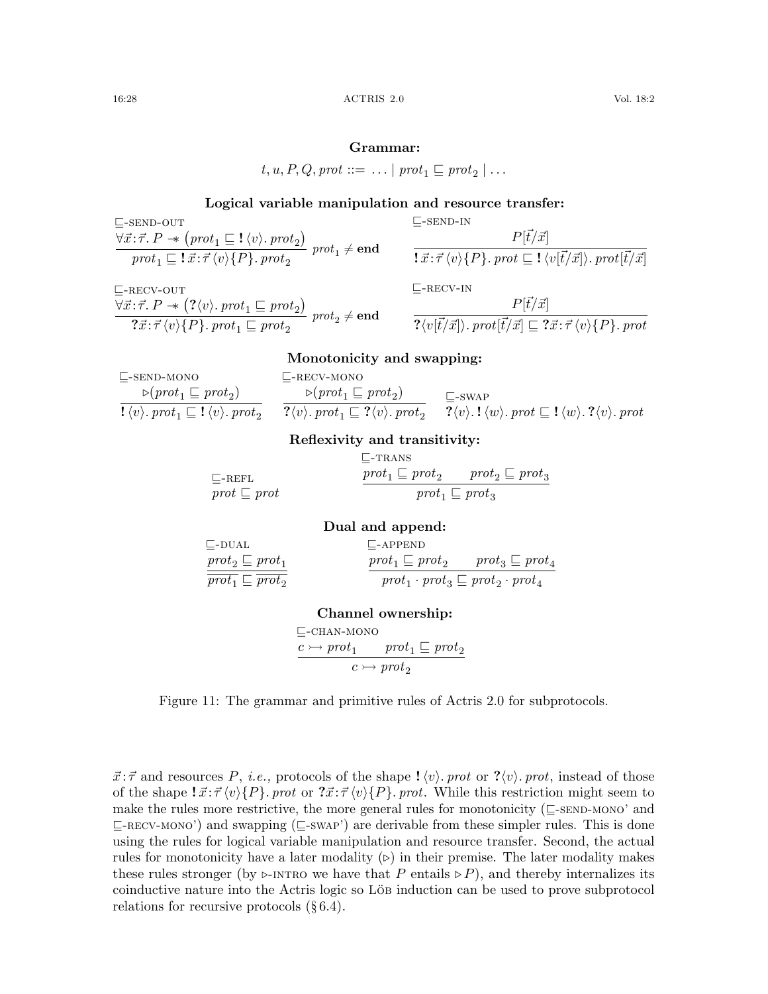#### Grammar:

$$
t, u, P, Q, prot ::= \dots | prot_1 \sqsubseteq prot_2 | \dots
$$

### <span id="page-27-1"></span>Logical variable manipulation and resource transfer:

 $\square$ -send-in

$$
\frac{\forall \vec{x} : \vec{\tau}. P \rightarrow (prot_1 \sqsubseteq ! \langle v \rangle. \text{ }prot_2)}{\text{ }prot_1 \sqsubseteq ! \vec{x} : \vec{\tau} \langle v \rangle \{P\}. \text{ }prot_2} \text{ } prot_1 \neq \text{end}
$$

$$
\sqsubseteq \text{-}RECV-OUT
$$

<span id="page-27-2"></span> $\forall \vec{x}$ : $\vec{\tau}$ .  $P \rightarrow (\langle v \rangle$ . pro $t_1 \sqsubseteq prot_2)$  $\overbrace{? \vec{x} : \vec{\tau} \langle v \rangle \{P\}.\;prot_1 \sqsubseteq prot_2}^{(v \lor v \lor T \lor \neg T \sqsubseteq \neg T \lor \neg Z)} \;prot_2 \neq \mathbf{end}$ 

 $\exists \vec{x}$ :  $\vec{\tau} \langle v \rangle \{P\}$ . prot  $\boxed{\underline{\tau}}$ ! $\langle v | \vec{t}/\vec{x} | \rangle$ . prot $| \vec{t}/\vec{x} |$  $\Box$ -RECV-IN

<span id="page-27-3"></span> $P[\vec{t}/\vec{x}]$ 

<span id="page-27-7"></span><span id="page-27-4"></span>
$$
\frac{P[\vec{t}/\vec{x}]}{? \langle v[\vec{t}/\vec{x}] \rangle.\;prot[\vec{t}/\vec{x}] \sqsubseteq ?\vec{x} : \vec{\tau} \langle v \rangle \{P\}.\;prot}
$$

# <span id="page-27-6"></span>Monotonicity and swapping:

<span id="page-27-5"></span> $\sqsubseteq$ -send-mono  $\triangleright$ (prot<sub>1</sub>  $\sqsubseteq$  prot<sub>2</sub>) !  $\langle v \rangle$ .  $prot_1 \sqsubseteq ! \langle v \rangle$ .  $prot_2$  $\sqsubseteq$ -RECV-MONO  $\triangleright$ (prot<sub>1</sub>  $\sqsubseteq$  prot<sub>2</sub>)  $? \langle v \rangle$ . pro $t_1 \sqsubseteq ?\langle v \rangle$ . pro $t_2$  $\sqsubseteq$ -swap  $? \langle v \rangle$ .!  $\langle w \rangle$ . prot  $\sqsubseteq$ ! $\langle w \rangle$ . ? $\langle v \rangle$ . prot

#### Reflexivity and transitivity:

<span id="page-27-8"></span>

|                         | $\mathsf{L}\text{-}\text{TRANS}$ |                             |
|-------------------------|----------------------------------|-----------------------------|
| $\n  –REFL\n$           | $prot_1 \sqsubseteq prot_2$      | $prot_2 \sqsubseteq prot_3$ |
| $prot \sqsubseteq prot$ | $prot_1 \sqsubseteq prot_3$      |                             |

#### <span id="page-27-11"></span><span id="page-27-9"></span>Dual and append:

<span id="page-27-10"></span> $\mathrel{{\sqsubseteq}\text{-}\mathrm{DUAL}}$  $\mathit{prot}_2 \sqsubseteq \mathit{prot}_1$  $\overline{\textit{prot}_1} \sqsubseteq \overline{\textit{prot}_2}$  $\sqsubseteq$ -APPEND  $\mathit{prot}_1 \sqsubseteq \mathit{prot}_2 \qquad \mathit{prot}_3 \sqsubseteq \mathit{prot}_4$  $\mathit{prot}_1 \cdot \mathit{prot}_3 \sqsubseteq \mathit{prot}_2 \cdot \mathit{prot}_4$ 

# Channel ownership:

 $\Box$ -CHAN-MONO  $c \rightarrow prot_1 \quad prot_1 \sqsubseteq prot_2$  $\overline{c \rightarrow prot_2}$ 

<span id="page-27-0"></span>Figure 11: The grammar and primitive rules of Actris 2.0 for subprotocols.

 $\vec{x}$ :  $\vec{\tau}$  and resources P, *i.e.*, protocols of the shape  $\psi$ . prot or ? $\langle v \rangle$ . prot, instead of those of the shape  $\vec{x}$ :  $\vec{\tau} \langle v \rangle$ { $P$ }. prot or  $\vec{x}$ :  $\vec{\tau} \langle v \rangle$ { $P$ }. prot. While this restriction might seem to make the rules more restrictive, the more general rules for monotonicity ( $\subseteq$ [-send-mono'](#page-25-1) and  $\sqsubseteq$ [-recv-mono'](#page-25-2)) and swapping ( $\sqsubseteq$ [-swap'](#page-25-3)) are derivable from these simpler rules. This is done using the rules for logical variable manipulation and resource transfer. Second, the actual rules for monotonicity have a later modality  $(\triangleright)$  in their premise. The later modality makes these rules stronger (by  $\triangleright$ [-intro](#page-13-5) we have that P entails  $\triangleright$  P), and thereby internalizes its coinductive nature into the Actris logic so Löbe induction can be used to prove subprotocol relations for recursive protocols (§ [6.4\)](#page-31-0).

 $\square$ -send-out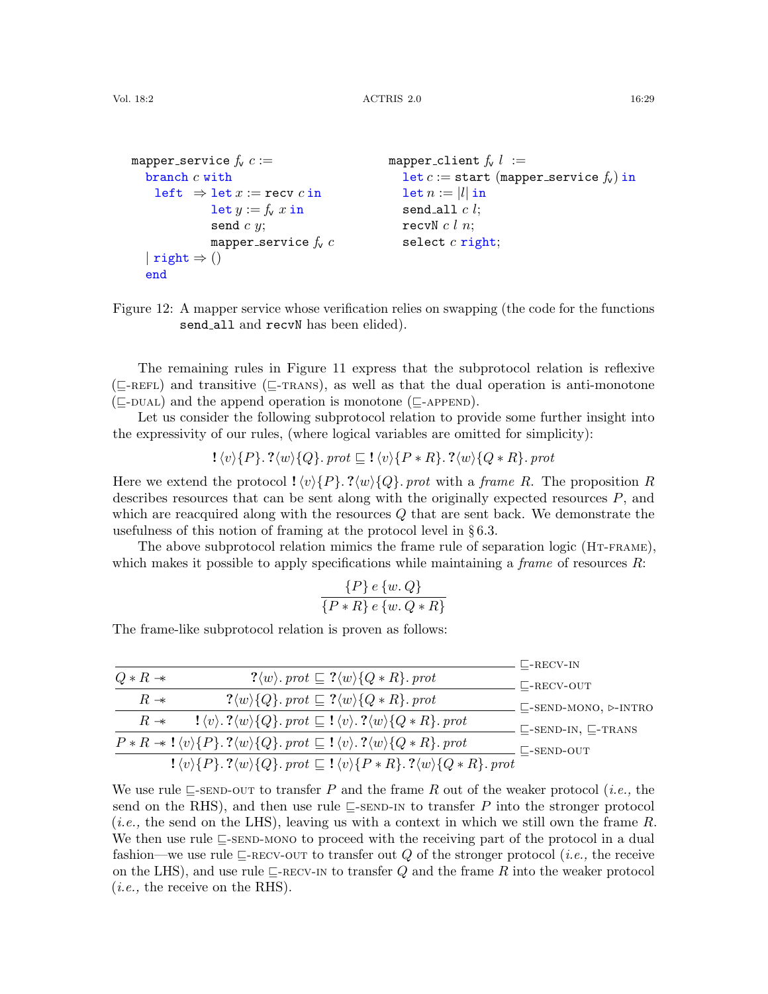```
mapper service f_v c :=branch c with
    left \Rightarrow let x := recv c in
             let y := f_v x in
              send c y;
             mapper service f_v c| right \Rightarrow ()
  end
                                             mapper_client f_v l :=let c := start (mapper_service f_v) in
                                                let n := |l| in
                                                send all c l;
                                               recvN c l n;
                                                select c right;
```
<span id="page-28-0"></span>Figure 12: A mapper service whose verification relies on swapping (the code for the functions send\_all and recvN has been elided).

The remaining rules in Figure [11](#page-27-0) express that the subprotocol relation is reflexive  $(\sqsubseteq$ -REFL) and transitive ( $\sqsubseteq$ -TRANS), as well as that the dual operation is anti-monotone  $(\square$ -DUAL) and the append operation is monotone ( $\square$ -APPEND).

Let us consider the following subprotocol relation to provide some further insight into the expressivity of our rules, (where logical variables are omitted for simplicity):

$$
\mathcal{!}\langle v \rangle \{P\}.\mathcal{?}\langle w \rangle \{Q\}.\;prot \sqsubseteq \mathcal{!}\langle v \rangle \{P * R\}.\mathcal{?}\langle w \rangle \{Q * R\}.\;prot
$$

Here we extend the protocol  $\langle \psi \rangle \{P\}$ . ? $\langle \psi \rangle \{Q\}$ . prot with a frame R. The proposition R describes resources that can be sent along with the originally expected resources  $P$ , and which are reacquired along with the resources  $Q$  that are sent back. We demonstrate the usefulness of this notion of framing at the protocol level in § [6.3.](#page-30-0)

The above subprotocol relation mimics the frame rule of separation logic (HT-FRAME), which makes it possible to apply specifications while maintaining a *frame* of resources  $R$ :

$$
\frac{\{P\} e \{w, Q\}}{\{P * R\} e \{w, Q * R\}}
$$

The frame-like subprotocol relation is proven as follows:

|                     |                                                                                                                                                                   | $\mathsf{L}\text{-}\mathrm{RECV-IN}$              |
|---------------------|-------------------------------------------------------------------------------------------------------------------------------------------------------------------|---------------------------------------------------|
| $Q * R \rightarrow$ | $? \langle w \rangle$ . prot $\subseteq ? \langle w \rangle \{Q * R\}$ . prot                                                                                     | $\mathrel{\Box}$ -RECV-OUT                        |
| $R \rightarrow$     | $? \langle w \rangle \{Q\}$ . prot $\subseteq ? \langle w \rangle \{Q \ast R\}$ . prot                                                                            | $\sqsubseteq$ -SEND-MONO, $\triangleright$ -INTRO |
| $R \rightarrow$     | $\{ \langle v \rangle \cdot \langle w \rangle \{Q\} \cdot \text{prot} \sqsubseteq \{ \langle v \rangle \cdot \langle w \rangle \{Q \ast R\} \cdot \text{prot} \}$ | $\sqsubseteq$ -SEND-IN, $\sqsubseteq$ -TRANS      |
|                     | $P * R \rightarrow \{\langle v \rangle\{P\}.\ ?\langle w \rangle\{Q\}.\ prot \sqsubseteq !\langle v \rangle.\ ?\langle w \rangle\{Q * R\}.\ prot$                 | $\Box$ -SEND-OUT                                  |
|                     | $! \langle v \rangle \{P\}$ . $? \langle w \rangle \{Q\}$ . prot $\subseteq ! \langle v \rangle \{P * R\}$ . $? \langle w \rangle \{Q * R\}$ . prot               |                                                   |

We use rule  $\Box$ [-send-out](#page-27-1) to transfer P and the frame R out of the weaker protocol (*i.e.*, the send on the RHS), and then use rule  $\subseteq$ [-send-in](#page-27-3) to transfer P into the stronger protocol  $(i.e.,$  the send on the LHS), leaving us with a context in which we still own the frame R. We then use rule  $\sqsubseteq$ [-send-mono](#page-27-5) to proceed with the receiving part of the protocol in a dual fashion—we use rule  $\sqsubseteq$ -RECV-OUT to transfer out Q of the stronger protocol (*i.e.*, the receive on the LHS), and use rule  $\Box$ [-recv-in](#page-27-4) to transfer Q and the frame R into the weaker protocol  $(i.e., the receive on the RHS).$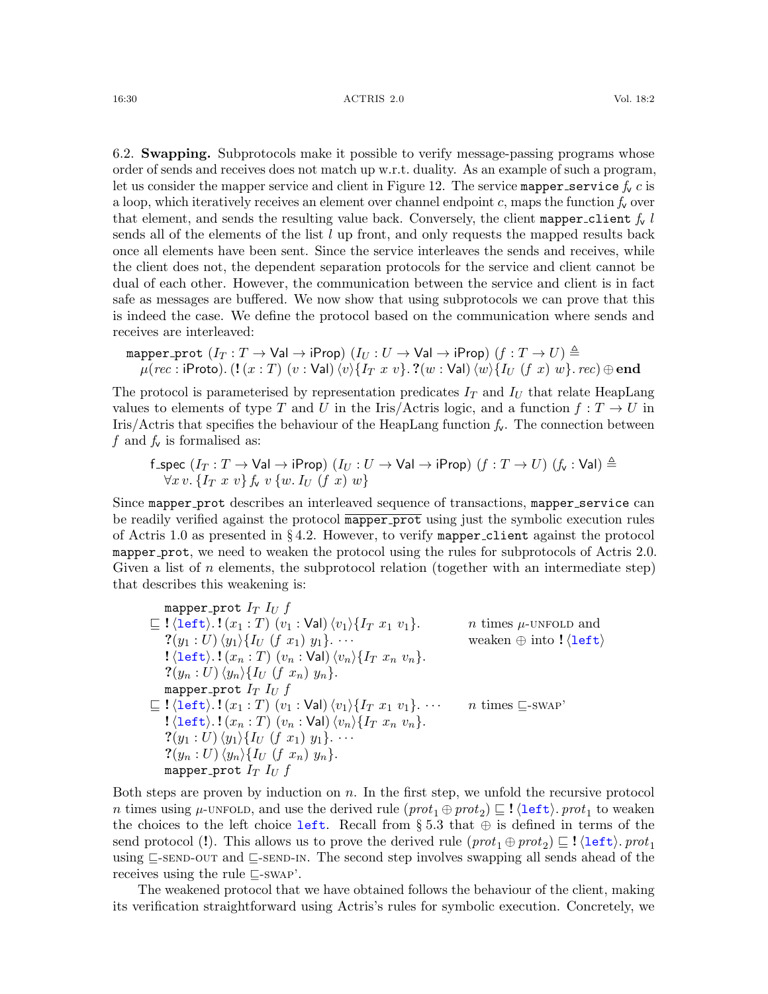<span id="page-29-0"></span>6.2. Swapping. Subprotocols make it possible to verify message-passing programs whose order of sends and receives does not match up w.r.t. duality. As an example of such a program, let us consider the mapper service and client in Figure [12.](#page-28-0) The service mapper service  $f_v c$  is a loop, which iteratively receives an element over channel endpoint c, maps the function  $f_v$  over that element, and sends the resulting value back. Conversely, the client mapper client  $f_v$  l sends all of the elements of the list  $l$  up front, and only requests the mapped results back once all elements have been sent. Since the service interleaves the sends and receives, while the client does not, the dependent separation protocols for the service and client cannot be dual of each other. However, the communication between the service and client is in fact safe as messages are buffered. We now show that using subprotocols we can prove that this is indeed the case. We define the protocol based on the communication where sends and receives are interleaved:

$$
\begin{array}{l} \texttt{mapper\_prot} \ (I_T : T \rightarrow \textsf{Val} \rightarrow \textsf{iProp}) \ (I_U : U \rightarrow \textsf{Val} \rightarrow \textsf{iProp}) \ (f : T \rightarrow U) \triangleq \\ \texttt{\mu} (rec : \textsf{iProb}) . \ (\texttt{!} \ (x : T) \ (v : \textsf{Val}) \ \langle v \rangle \{ I_T \ x \ v \} . \ ?(w : \textsf{Val}) \ \langle w \rangle \{ I_U \ (f \ x) \ w \} . \ rec) \oplus \texttt{end} \end{array}
$$

The protocol is parameterised by representation predicates  $I_T$  and  $I_U$  that relate HeapLang values to elements of type T and U in the Iris/Actris logic, and a function  $f: T \to U$  in Iris/Actris that specifies the behaviour of the HeapLang function  $f_v$ . The connection between f and  $f_{\mathsf{v}}$  is formalised as:

$$
\begin{array}{l} \texttt{f\_spec}\ (I_T: T \rightarrow \textsf{Val} \rightarrow \textsf{iProp})\ (I_U: U \rightarrow \textsf{Val} \rightarrow \textsf{iProp})\ (f: T \rightarrow U)\ (f_\mathsf{v}: \textsf{Val}) \triangleq \\ \forall x \, v.\, \{I_T\ x \ v\}\, f_\mathsf{v}\ v\, \{w.\, I_U\ (f\ x)\ w\} \end{array}
$$

Since mapper\_prot describes an interleaved sequence of transactions, mapper\_service can be readily verified against the protocol mapper prot using just the symbolic execution rules of Actris 1.0 as presented in §[4.2.](#page-16-0) However, to verify mapper client against the protocol mapper prot, we need to weaken the protocol using the rules for subprotocols of Actris 2.0. Given a list of n elements, the subprotocol relation (together with an intermediate step) that describes this weakening is:

mapper-prot 
$$
I_T I_U f
$$
  
\n
$$
\subseteq !\langle \text{left} \rangle .!(x_1:T) (v_1:Val) \langle v_1 \rangle \{I_T x_1 v_1\}.
$$
  
\n
$$
?(y_1:U) \langle y_1 \rangle \{I_U (f x_1) y_1\} ...
$$
  
\n
$$
?(y_n:U) \langle y_n \rangle \{I_U (f x_1) y_1\} ...
$$
  
\n
$$
?(y_n:U) \langle y_n \rangle \{I_U (f x_n) y_n\}.
$$
  
\n
$$
?(y_n:U) \langle y_n \rangle \{I_U (f x_n) y_n\}.
$$
  
\n
$$
?(y_n:U) \langle y_n \rangle \{I_U (f x_n) y_n\}.
$$
  
\n
$$
?(let) .!(x_1:T) (v_1:Val) \langle v_1 \rangle \{I_T x_1 v_1\} ...
$$
  
\n
$$
?((let) .!(x_n:T) (v_n:Val) \langle v_n \rangle \{I_T x_n v_n\}.
$$
  
\n
$$
?(y_1:U) \langle y_1 \rangle \{I_U (f x_1) y_1\} ...
$$
  
\n
$$
?(y_n:U) \langle y_n \rangle \{I_U (f x_n) y_n\}.
$$
  
\n
$$
?(y_n:U) \langle y_n \rangle \{I_U (f x_n) y_n\}.
$$
  
\n
$$
?(y_n:U) \langle y_n \rangle \{I_U (f x_n) y_n\}.
$$
  
\n
$$
?(y_n:U) \langle y_n \rangle \{I_U (f x_n) y_n\}.
$$

Both steps are proven by induction on  $n$ . In the first step, we unfold the recursive protocol n times using  $\mu$ -UNFOLD, and use the derived rule  $(\text{prot}_1 \oplus \text{prot}_2) \sqsubseteq ! \langle \text{left} \rangle$ .  $\text{prot}_1$  to weaken the choices to the left choice left. Recall from § [5.3](#page-20-4) that  $\oplus$  is defined in terms of the send protocol (!). This allows us to prove the derived rule  $(\text{prot}_1 \oplus \text{prot}_2) \sqsubseteq ! \langle \text{left} \rangle \text{. prot}_1$ using  $\subseteq$ [-send-out](#page-27-1) and  $\subseteq$ [-send-in](#page-27-3). The second step involves swapping all sends ahead of the receives using the rule  $\Box$ [-swap'](#page-25-3).

The weakened protocol that we have obtained follows the behaviour of the client, making its verification straightforward using Actris's rules for symbolic execution. Concretely, we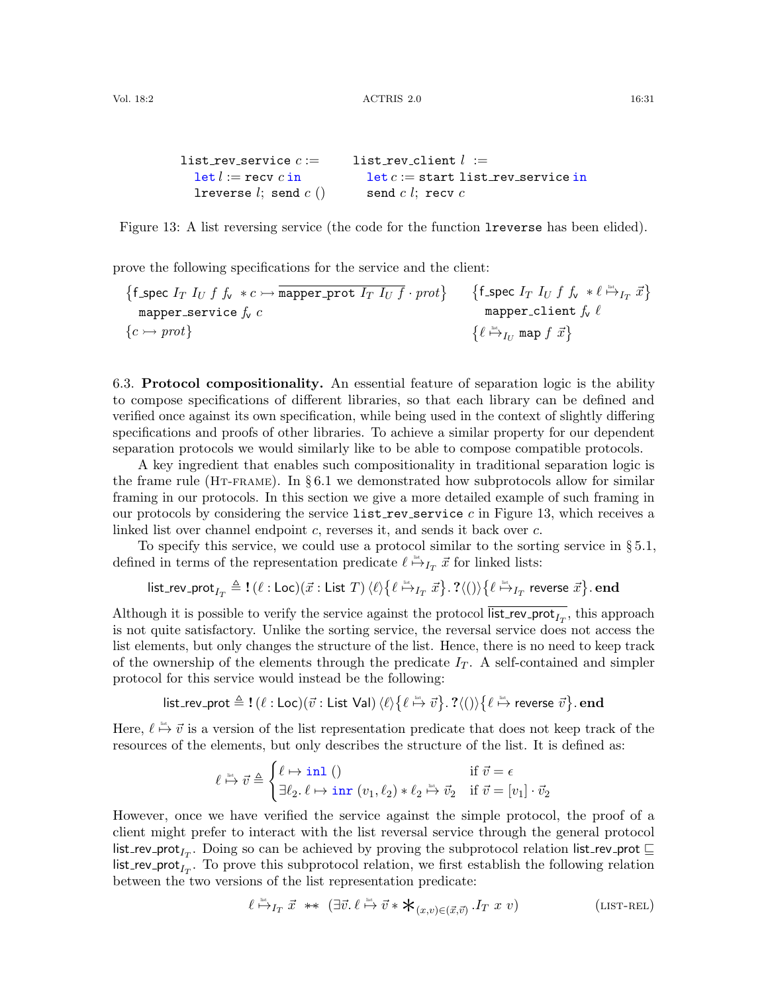```
list_rev_service c :=let l := recv c inlreverse l; send c ()
                           list_rev_client l :=let c := start list\_rev\_service insend c l; recv c
```
Figure 13: A list reversing service (the code for the function lreverse has been elided).

prove the following specifications for the service and the client:

$$
\begin{array}{ll}\n\{\text{f\_spec } I_T \ I_U \ f \ f_v \ *c \rightarrow \overline{\text{mapper\_prot } I_T \ I_U \ f} \cdot \text{prot}\} & \{\text{f\_spec } I_T \ I_U \ f \ f_v \ * \ell \overset{\text{int.}}{\mapsto} I_T \ \vec{x}\} \\
& \text{mapper\_client } f_v \ \ell \\
& \{c \rightarrow \text{prot}\} & \{\ell \overset{\text{int.}}{\mapsto} I_U \ \text{map } f \ \vec{x}\}\n\end{array}
$$

<span id="page-30-0"></span>6.3. Protocol compositionality. An essential feature of separation logic is the ability to compose specifications of different libraries, so that each library can be defined and verified once against its own specification, while being used in the context of slightly differing specifications and proofs of other libraries. To achieve a similar property for our dependent separation protocols we would similarly like to be able to compose compatible protocols.

A key ingredient that enables such compositionality in traditional separation logic is the frame rule (HT-FRAME). In § [6.1](#page-25-0) we demonstrated how subprotocols allow for similar framing in our protocols. In this section we give a more detailed example of such framing in our protocols by considering the service list rev service c in Figure [13,](#page-30-1) which receives a linked list over channel endpoint c, reverses it, and sends it back over c.

To specify this service, we could use a protocol similar to the sorting service in § [5.1,](#page-18-0) defined in terms of the representation predicate  $\ell \stackrel{\text{def}}{\mapsto} I_T \vec{x}$  for linked lists:

$$
\mathsf{list\_rev\_prot}_{I_T} \triangleq \mathbf{!}\ (\ell:\mathsf{Loc})(\vec{x}:\mathsf{List}\ T)\ \langle \ell \rangle \big\{\ell \stackrel{\text{\tiny{def}}}{\mapsto}_{I_T} \vec{x}\big\}.\ \mathsf{?}\langle ()\rangle \big\{\ell \stackrel{\text{\tiny{def}}}{\mapsto}_{I_T} \mathsf{reverse}\ \vec{x}\big\}.\ \mathbf{end}
$$

Although it is possible to verify the service against the protocol list\_rev\_prot<sub> $I_T$ </sub>, this approach is not quite satisfactory. Unlike the sorting service, the reversal service does not access the list elements, but only changes the structure of the list. Hence, there is no need to keep track of the ownership of the elements through the predicate  $I_T$ . A self-contained and simpler protocol for this service would instead be the following:

 ${\sf list\_rev\_prot} \triangleq {\sf !\ } (\ell : {\sf Loc})(\vec v : {\sf List~Val}) \: \langle \ell \rangle \{\ell \stackrel {\scriptscriptstyle{\sf list}}{\mapsto} \vec v \} . \; ? \langle () \rangle \{\ell \stackrel {\scriptscriptstyle{\sf list}}{\mapsto} \sf reverse \; \vec v \} . \; {\sf end}$ 

Here,  $\ell \stackrel{\text{def}}{\mapsto} \vec{v}$  is a version of the list representation predicate that does not keep track of the resources of the elements, but only describes the structure of the list. It is defined as:

$$
\ell \stackrel{\text{\tiny{list}}}{\mapsto} \vec{v} \triangleq \begin{cases} \ell \mapsto \text{\rm{in1}}~() & \text{if}~\vec{v} = \epsilon \\ \exists \ell_2 .~\ell \mapsto \text{\rm{inr}}~(v_1,\ell_2) * \ell_2 \stackrel{\text{\tiny{list}}}{\mapsto} \vec{v}_2 & \text{if}~\vec{v} = [v_1] \cdot \vec{v}_2 \end{cases}
$$

However, once we have verified the service against the simple protocol, the proof of a client might prefer to interact with the list reversal service through the general protocol list\_rev\_prot<sub>IT</sub>. Doing so can be achieved by proving the subprotocol relation list\_rev\_prot  $\sqsubseteq$  $\mathsf{list\_rev\_prot}_{I_T}$ . To prove this subprotocol relation, we first establish the following relation between the two versions of the list representation predicate:

<span id="page-30-2"></span>
$$
\ell \stackrel{\text{list.}}{\mapsto} I_T \ \vec{x} \ \ast \ast \ (\exists \vec{v}.\ \ell \stackrel{\text{list.}}{\mapsto} \vec{v} \ast \mathbf{\ast}_{(x,v) \in (\vec{x}, \vec{v})} . I_T \ x \ v)
$$
\n(LIST-REL)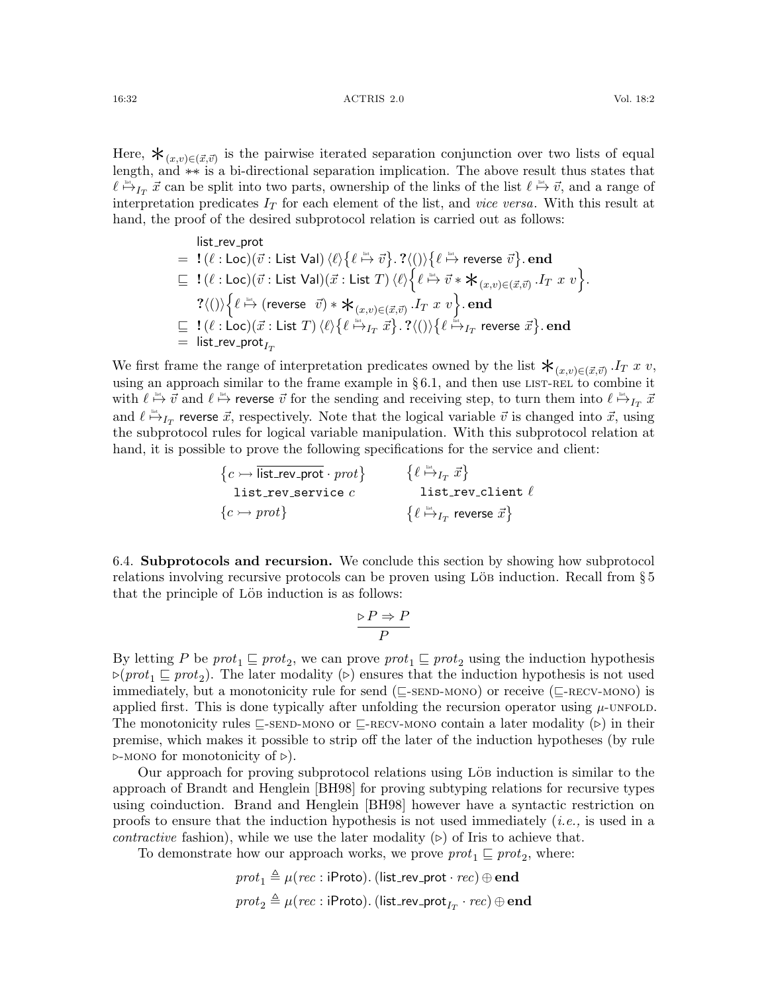Here,  $\mathbf{\dot{X}}_{(x,v)\in(\vec{x},\vec{v})}$  is the pairwise iterated separation conjunction over two lists of equal length, and ∗−∗ is a bi-directional separation implication. The above result thus states that  $\ell \stackrel{\text{list}}{\mapsto} I_T \vec{x}$  can be split into two parts, ownership of the links of the list  $\ell \stackrel{\text{list}}{\mapsto} \vec{v}$ , and a range of interpretation predicates  $I_T$  for each element of the list, and *vice versa*. With this result at

$$
\begin{array}{rl} &\text{list\_rev\_prot} \\ = &\text{!}\ (\ell:\text{Loc})(\vec{v}:\text{List Val}) \braket{\ell}{\{\ell \stackrel{\text{ins}}{\mapsto}\vec{v}\}}.\ ? \langle () \rangle \big\{\ell \stackrel{\text{ins}}{\mapsto}\text{reverse }\vec{v} \big\}.\ \text{end} \\ \sqsubseteq & \text{!}\ (\ell:\text{Loc})(\vec{v}:\text{List Val})(\vec{x}:\text{List }T) \braket{\ell}{\{\ell \stackrel{\text{ins}}{\mapsto}\vec{v}*\bigstar_{(x,v)\in (\vec{x},\vec{v})}. I_T\ x\ v} }. \\ & \text{?}\langle () \big\{\ell \stackrel{\text{ins}}{\mapsto}\text{(reverse }\vec{v})*\bigstar_{(x,v)\in (\vec{x},\vec{v})}. I_T\ x\ v \big\}.\ \text{end} \\ \sqsubseteq & \text{!}\ (\ell:\text{Loc})(\vec{x}:\text{List }T) \braket{\ell}{\{\ell \stackrel{\text{ins}}{\mapsto}\! I_T\ \vec{x}\}}.\ ? \langle () \big\{\ell \stackrel{\text{ins}}{\mapsto}\! I_T\ \text{reverse }\vec{x} \big\}.\ \text{end} \\ & = \text{ list\_rev\_prot}_{I_T} \end{array}
$$

hand, the proof of the desired subprotocol relation is carried out as follows:

We first frame the range of interpretation predicates owned by the list  $\mathbf{\dot{*}}_{(x,v)\in(\vec{x},\vec{v})}$ . IT x v, using an approach similar to the frame example in  $\S 6.1$ , and then use LIST-REL to combine it with  $\ell \overset{\text{list}}{\mapsto} \vec{v}$  and  $\ell \overset{\text{list}}{\mapsto}$  reverse  $\vec{v}$  for the sending and receiving step, to turn them into  $\ell \overset{\text{list}}{\mapsto} _{I_T} \vec{x}$ and  $\ell \stackrel{\text{list}}{\mapsto}_{I_T}$  reverse  $\vec{x}$ , respectively. Note that the logical variable  $\vec{v}$  is changed into  $\vec{x}$ , using the subprotocol rules for logical variable manipulation. With this subprotocol relation at hand, it is possible to prove the following specifications for the service and client:

> $\{c \rightarrow \overline{\text{list\_rev\_prot}} \cdot \text{prot}\}$ list\_rev\_service  $c$  ${c \rightarrow prot}$  $\left\{\ell \stackrel{\mbox{\tiny{list}}}{\mapsto}_{I_T} \vec{x}\right\}$ list\_rev\_client  $\ell$  $\{ \ell \stackrel{\text{\tiny{list}}}{\mapsto} _{I_T}$  reverse  $\vec{x} \}$

<span id="page-31-0"></span>6.4. Subprotocols and recursion. We conclude this section by showing how subprotocol relations involving recursive protocols can be proven using LöB induction. Recall from  $\S 5$  $\S 5$ that the principle of Löb induction is as follows:

$$
\frac{\triangleright P \Rightarrow P}{P}
$$

By letting P be  $prot_1 \sqsubseteq prot_2$ , we can prove  $prot_1 \sqsubseteq prot_2$  using the induction hypothesis  $\triangleright(prot_1 \sqsubseteq prot_2)$ . The later modality  $(\triangleright)$  ensures that the induction hypothesis is not used immediately, but a monotonicity rule for send ( $\sqsubset$ -SEND-MONO) or receive ( $\sqsubset$ -RECV-MONO) is applied first. This is done typically after unfolding the recursion operator using  $\mu$ [-unfold](#page-13-7). The monotonicity rules  $\subseteq$ [-send-mono](#page-27-5) or  $\subseteq$ [-recv-mono](#page-27-6) contain a later modality ( $\triangleright$ ) in their premise, which makes it possible to strip off the later of the induction hypotheses (by rule  $\triangleright$ -MONO for monotonicity of  $\triangleright$ ).

Our approach for proving subprotocol relations using Löb induction is similar to the approach of Brandt and Henglein [\[BH98\]](#page-60-4) for proving subtyping relations for recursive types using coinduction. Brand and Henglein [\[BH98\]](#page-60-4) however have a syntactic restriction on proofs to ensure that the induction hypothesis is not used immediately (i.e., is used in a *contractive* fashion), while we use the later modality  $(\triangleright)$  of Iris to achieve that.

To demonstrate how our approach works, we prove  $prot_1 \sqsubseteq prot_2$ , where:

$$
prot_1 \triangleq \mu (rec: \mathsf{iProb}) \text{. (list\_rev\_prot} \cdot rec) \oplus \mathbf{end}
$$

$$
prot_2 \triangleq \mu (rec: \mathsf{iProb}) \text{. (list\_rev\_prot}_{I_T} \cdot rec) \oplus \mathbf{end}
$$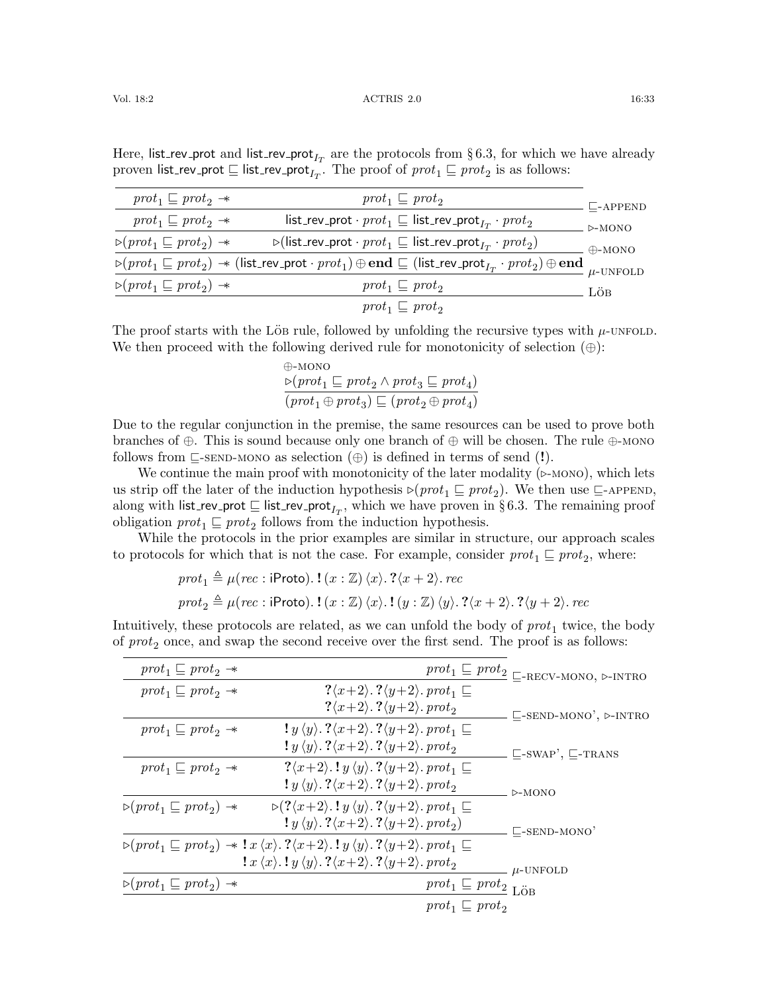| $prot_1 \sqsubseteq prot_2 \rightarrow$                                             | $prot_1 \sqsubseteq prot_2$                                                                                                                                                                                                                                                  | $\mathsf{L}\mathsf{-APPEND}$ |
|-------------------------------------------------------------------------------------|------------------------------------------------------------------------------------------------------------------------------------------------------------------------------------------------------------------------------------------------------------------------------|------------------------------|
| $prot_1 \sqsubseteq prot_2 \rightarrow$                                             | list_rev_prot · $prot_1 \sqsubseteq$ list_rev_prot <sub>I<math>r</math></sub> · $prot_2$                                                                                                                                                                                     | $\triangleright$ -MONO       |
| $\triangleright$ (prot <sub>1</sub> $\sqsubseteq$ prot <sub>2</sub> ) $\rightarrow$ | $\triangleright$ (list_rev_prot · pro $t_1 \sqsubseteq$ list_rev_prot <sub>I<math>\tau</math></sub> · pro $t_2$ )                                                                                                                                                            | $+AONO$                      |
|                                                                                     | $\overline{\triangleright(\textit{prot}_1 \sqsubseteq \textit{prot}_2) \twoheadrightarrow (\textsf{list\_rev\_prot} \cdot \textit{prot}_1) \oplus \textbf{end}} \sqsubseteq (\textsf{list\_rev\_prot}_{I_T} \cdot \textit{prot}_2) \oplus \textbf{end}}_{\mu\text{-UNFOLD}}$ |                              |
| $\triangleright$ (prot <sub>1</sub> $\sqsubseteq$ prot <sub>2</sub> ) $\rightarrow$ | $prot_1 \sqsubseteq prot_2$                                                                                                                                                                                                                                                  | LÖB                          |
|                                                                                     | $prot_1 \sqsubseteq prot_2$                                                                                                                                                                                                                                                  |                              |

Here, list\_rev\_prot and list\_rev\_prot<sub>IT</sub> are the protocols from §[6.3,](#page-30-0) for which we have already proven list\_rev\_prot  $\sqsubseteq$  list\_rev\_prot $_{I_T}.$  The proof of  $prot_1 \sqsubseteq prot_2$  is as follows:

The proof starts with the Löb rule, followed by unfolding the recursive types with  $\mu$ [-unfold](#page-13-7). We then proceed with the following derived rule for monotonicity of selection  $(\oplus)$ :

> <span id="page-32-0"></span>⊕-mono  $\triangleright(prot_1 \sqsubseteq prot_2 \wedge prot_3 \sqsubseteq prot_4)$  $(\text{prot}_1 \oplus \text{prot}_3) \sqsubseteq (\text{prot}_2 \oplus \text{prot}_4)$

Due to the regular conjunction in the premise, the same resources can be used to prove both branches of ⊕. This is sound because only one branch of  $\oplus$  will be chosen. The rule  $\oplus$ [-mono](#page-32-0) follows from  $\subseteq$ [-send-mono](#page-27-5) as selection  $(\oplus)$  is defined in terms of send (!).

We continue the main proof with monotonicity of the later modality  $(\triangleright$ -MONO), which lets us strip off the later of the induction hypothesis  $\triangleright(prot_1 \sqsubseteq prot_2)$ . We then use  $\sqsubseteq$ [-append](#page-27-11), along with list\_rev\_prot  $\sqsubseteq$  list\_rev\_prot<sub>IT</sub>, which we have proven in §[6.3.](#page-30-0) The remaining proof obligation  $prot_1 \sqsubseteq prot_2$  follows from the induction hypothesis.

While the protocols in the prior examples are similar in structure, our approach scales to protocols for which that is not the case. For example, consider  $prot_1 \sqsubseteq prot_2$ , where:

> $prot_1 \triangleq \mu (rec : \text{iProto}).$   $!(x : \mathbb{Z})\langle x\rangle$ .  $? \langle x + 2\rangle$ . rec  $prot_2 \triangleq \mu (rec : \text{iProb}. \cdot ! (x : \mathbb{Z}) \langle x \rangle . ! (y : \mathbb{Z}) \langle y \rangle . ?\langle x + 2 \rangle . ?\langle y + 2 \rangle . rec$

Intuitively, these protocols are related, as we can unfold the body of  $prot_1$  twice, the body of  $prot_2$  once, and swap the second receive over the first send. The proof is as follows:

| $prot_1 \sqsubseteq prot_2 \rightarrow$                                             |                                                                                                                                                                                                                                          | $\mathit{prot}_1 \sqsubseteq \mathit{prot}_2 \sqsubseteq \textsc{recv-Mono}, \texttt{\unr}.\textsc{intra}$ |
|-------------------------------------------------------------------------------------|------------------------------------------------------------------------------------------------------------------------------------------------------------------------------------------------------------------------------------------|------------------------------------------------------------------------------------------------------------|
| $prot_1 \sqsubseteq prot_2 \rightarrow$                                             | $? \langle x+2 \rangle$ . $? \langle y+2 \rangle$ . prot <sub>1</sub> $\sqsubseteq$                                                                                                                                                      |                                                                                                            |
|                                                                                     | $? \langle x+2 \rangle$ . $? \langle y+2 \rangle$ . prot <sub>2</sub>                                                                                                                                                                    | $\sqsubseteq$ -SEND-MONO', $\triangleright$ -INTRO                                                         |
| $prot_1 \sqsubseteq prot_2 \rightarrow$                                             | $\langle y \rangle \langle y \rangle$ . $\langle x+2 \rangle$ . $\langle y+2 \rangle$ . prot <sub>1</sub> $\sqsubseteq$                                                                                                                  |                                                                                                            |
|                                                                                     | $\langle y \rangle \langle y \rangle$ . $\langle x+2 \rangle$ . $\langle y+2 \rangle$ . prot <sub>2</sub>                                                                                                                                | $\sqsubseteq$ -SWAP', $\sqsubseteq$ -TRANS                                                                 |
| $prot_1 \sqsubseteq prot_2 \rightarrow$                                             | $? \langle x+2 \rangle$ .! $y \langle y \rangle$ .? $\langle y+2 \rangle$ . prot <sub>1</sub> $\sqsubseteq$                                                                                                                              |                                                                                                            |
|                                                                                     | $\langle y \rangle \langle y \rangle$ . $\langle x+2 \rangle$ . $\langle y+2 \rangle$ . prot <sub>2</sub>                                                                                                                                | $\triangleright$ -MONO                                                                                     |
| $\triangleright$ (prot <sub>1</sub> $\sqsubseteq$ prot <sub>2</sub> ) $\rightarrow$ | $\triangleright$ (? $\langle x+2 \rangle$ .! $y \langle y \rangle$ .? $\langle y+2 \rangle$ . prot <sub>1</sub> $\sqsubseteq$                                                                                                            |                                                                                                            |
|                                                                                     | $(y \langle y \rangle \cdot ? \langle x+2 \rangle \cdot ? \langle y+2 \rangle \cdot prot_2)$                                                                                                                                             | $\Box$ -SEND-MONO'                                                                                         |
|                                                                                     | $\triangleright$ $(\text{prot}_1 \sqsubseteq \text{prot}_2) \rightarrow \mathbf{l} \cdot x \langle x \rangle$ . $? \langle x+2 \rangle$ . $\mathbf{l} \cdot y \langle y \rangle$ . $? \langle y+2 \rangle$ . $\text{prot}_1 \sqsubseteq$ |                                                                                                            |
|                                                                                     | $\langle x \rangle \langle x \rangle$ . $\langle y \rangle$ , $\langle x+2 \rangle$ , $\langle y+2 \rangle$ , prot <sub>2</sub>                                                                                                          | $\mu$ -UNFOLD                                                                                              |
| $\triangleright$ (prot <sub>1</sub> $\sqsubseteq$ prot <sub>2</sub> ) $\rightarrow$ | $prot_1 \sqsubseteq prot_2$ <sub>LÖB</sub>                                                                                                                                                                                               |                                                                                                            |
|                                                                                     | $prot_1 \sqsubseteq prot_2$                                                                                                                                                                                                              |                                                                                                            |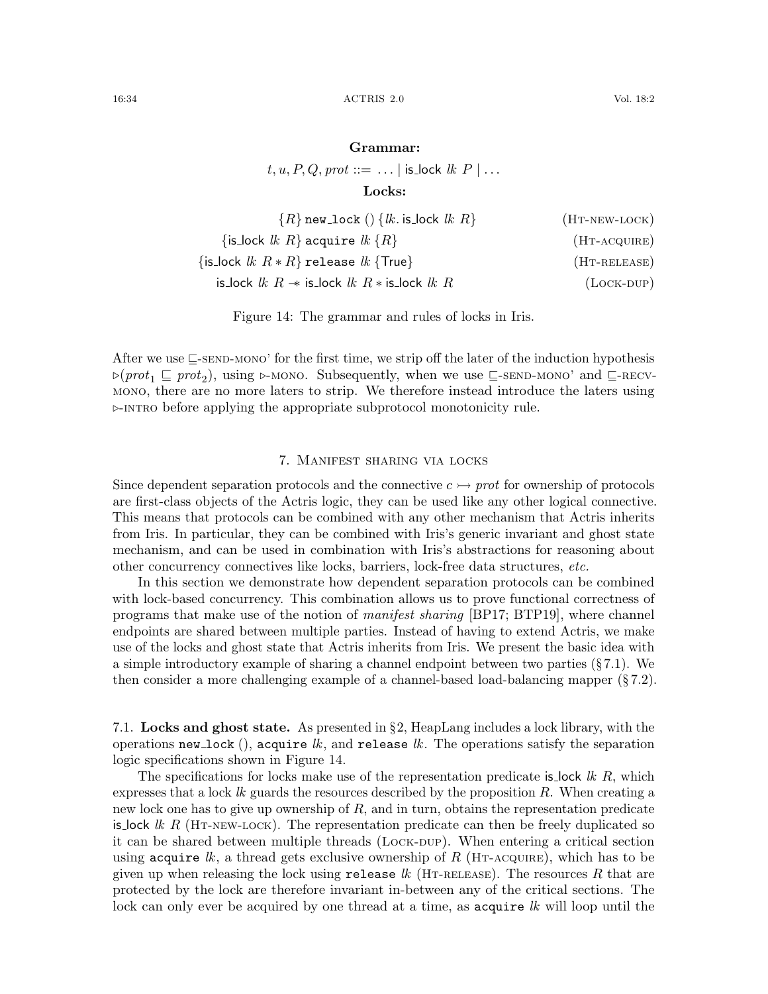#### Grammar:

 $t, u, P, Q, prot ::= \dots |$  is lock  $lk \ P | \dots$ 

<span id="page-33-6"></span><span id="page-33-5"></span><span id="page-33-4"></span><span id="page-33-3"></span>Locks:

| ${R}$ new_lock () ${lk. is\_lock lk R}$                    | $(HT-NEW-LOCK)$ |
|------------------------------------------------------------|-----------------|
| {is_lock $lk R$ } acquire $lk \{R\}$                       | $(HT-ACQUIRE)$  |
| $\{$ is_lock $lk R * R\}$ release $lk \{True\}$            | $(HT-RELEASE)$  |
| is_lock $lk R \rightarrow$ is_lock $lk R *$ is_lock $lk R$ | $(Lock-DUP)$    |

<span id="page-33-2"></span>Figure 14: The grammar and rules of locks in Iris.

After we use  $\subseteq$ [-send-mono'](#page-25-1) for the first time, we strip off the later of the induction hypothesis  $\triangleright(prot_1 \sqsubseteq prot_2)$ , using  $\triangleright$ -MONO. Subsequently, when we use  $\sqsubseteq$ -SEND-MONO' and  $\sqsubseteq$ -RECV[mono](#page-27-6), there are no more laters to strip. We therefore instead introduce the laters using  $\triangleright$ -INTRO before applying the appropriate subprotocol monotonicity rule.

#### 7. Manifest sharing via locks

<span id="page-33-0"></span>Since dependent separation protocols and the connective  $c \rightarrow$  prot for ownership of protocols are first-class objects of the Actris logic, they can be used like any other logical connective. This means that protocols can be combined with any other mechanism that Actris inherits from Iris. In particular, they can be combined with Iris's generic invariant and ghost state mechanism, and can be used in combination with Iris's abstractions for reasoning about other concurrency connectives like locks, barriers, lock-free data structures, etc.

In this section we demonstrate how dependent separation protocols can be combined with lock-based concurrency. This combination allows us to prove functional correctness of programs that make use of the notion of *manifest sharing* [\[BP17;](#page-60-8) [BTP19\]](#page-60-9), where channel endpoints are shared between multiple parties. Instead of having to extend Actris, we make use of the locks and ghost state that Actris inherits from Iris. We present the basic idea with a simple introductory example of sharing a channel endpoint between two parties  $(\xi 7.1)$  $(\xi 7.1)$ . We then consider a more challenging example of a channel-based load-balancing mapper (§ [7.2\)](#page-35-0).

<span id="page-33-1"></span>7.1. Locks and ghost state. As presented in  $\S$ [2,](#page-7-0) HeapLang includes a lock library, with the operations new lock (), acquire  $lk$ , and release  $lk$ . The operations satisfy the separation logic specifications shown in Figure [14.](#page-33-2)

The specifications for locks make use of the representation predicate is lock  $lk R$ , which expresses that a lock  $lk$  guards the resources described by the proposition  $R$ . When creating a new lock one has to give up ownership of  $R$ , and in turn, obtains the representation predicate is lock  $lk R$  (HT-NEW-LOCK). The representation predicate can then be freely duplicated so it can be shared between multiple threads (Lock-DUP). When entering a critical section using acquire lk, a thread gets exclusive ownership of R (HT-ACQUIRE), which has to be given up when releasing the lock using release  $lk$  (HT-RELEASE). The resources R that are protected by the lock are therefore invariant in-between any of the critical sections. The lock can only ever be acquired by one thread at a time, as acquire lk will loop until the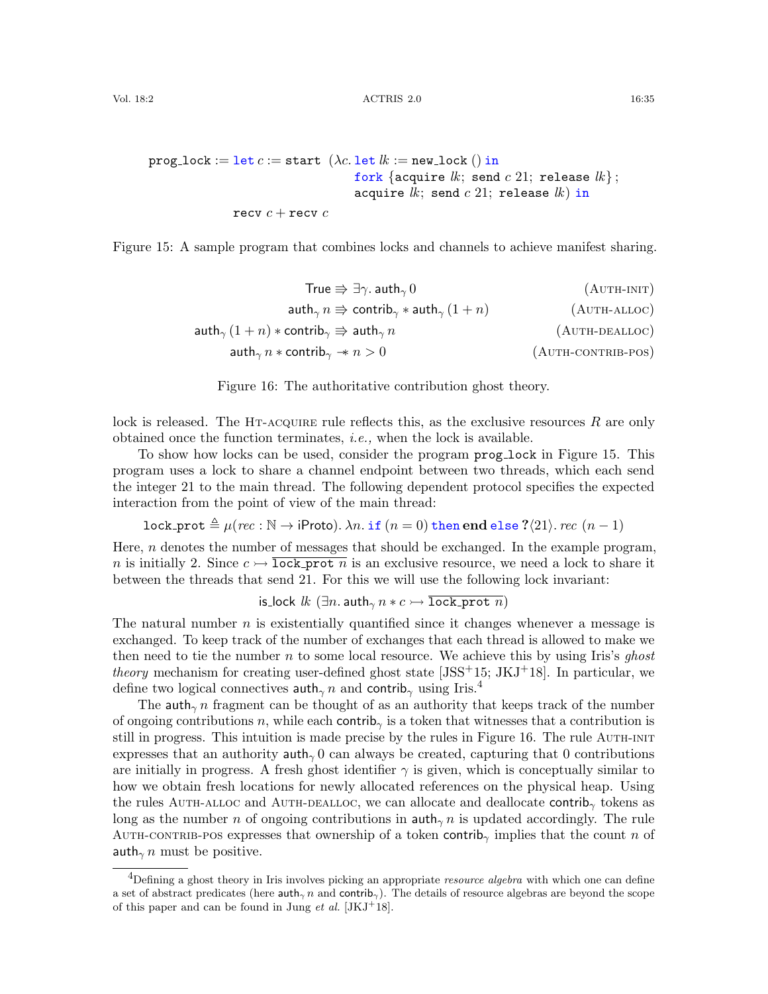```
prog_lock := let c := start (\lambda c. let lk := new_lock () in
                                  fork {acquire lk; send c 21; release lk};
                                  acquire lk; send c 21; release lk) in
              recv c + recv c
```
<span id="page-34-0"></span>Figure 15: A sample program that combines locks and channels to achieve manifest sharing.

True V ∃γ. auth<sup>γ</sup> 0 (Auth-init) auth<sup>γ</sup> n V contrib<sup>γ</sup> ∗ auth<sup>γ</sup> (1 + n) (Auth-alloc) auth<sup>γ</sup> (1 + n) ∗ contrib<sup>γ</sup> V auth<sup>γ</sup> n (Auth-dealloc) auth<sup>γ</sup> n ∗ contrib<sup>γ</sup> −∗ n > 0 (Auth-contrib-pos)

<span id="page-34-6"></span><span id="page-34-5"></span><span id="page-34-4"></span><span id="page-34-3"></span><span id="page-34-2"></span>Figure 16: The authoritative contribution ghost theory.

lock is released. The HT-ACQUIRE rule reflects this, as the exclusive resources  $R$  are only obtained once the function terminates, i.e., when the lock is available.

To show how locks can be used, consider the program prog lock in Figure [15.](#page-34-0) This program uses a lock to share a channel endpoint between two threads, which each send the integer 21 to the main thread. The following dependent protocol specifies the expected interaction from the point of view of the main thread:

$$
\text{lock\_prot} \triangleq \mu(rec: \mathbb{N} \to \text{iProb}). \ \lambda n. \ \text{if} \ (n=0) \ \text{then end} \ \text{else} \ ?\langle 21 \rangle. \ rec \ (n-1)
$$

Here,  $n$  denotes the number of messages that should be exchanged. In the example program, n is initially 2. Since  $c \mapsto \overline{\text{lock}}$  prot n is an exclusive resource, we need a lock to share it between the threads that send 21. For this we will use the following lock invariant:

is lock  $lk$   $(\exists n$ . auth<sub>γ</sub>  $n * c \rightarrow \overline{\text{lock\_prot } n}$ )

The natural number  $n$  is existentially quantified since it changes whenever a message is exchanged. To keep track of the number of exchanges that each thread is allowed to make we then need to tie the number  $n$  to some local resource. We achieve this by using Iris's ghost *theory* mechanism for creating user-defined ghost state  $[JSS<sup>+</sup>15; JKJ<sup>+</sup>18]$  $[JSS<sup>+</sup>15; JKJ<sup>+</sup>18]$  $[JSS<sup>+</sup>15; JKJ<sup>+</sup>18]$  $[JSS<sup>+</sup>15; JKJ<sup>+</sup>18]$ . In particular, we define two logical connectives auth<sub>γ</sub> n and contrib<sub>γ</sub> using Iris.<sup>[4](#page-34-1)</sup>

The auth<sub> $\gamma$ </sub> n fragment can be thought of as an authority that keeps track of the number of ongoing contributions n, while each contrib<sub>γ</sub> is a token that witnesses that a contribution is still in progress. This intuition is made precise by the rules in Figure [16.](#page-34-2) The rule [Auth-init](#page-34-3) expresses that an authority  $\text{auth}_{\gamma}$  0 can always be created, capturing that 0 contributions are initially in progress. A fresh ghost identifier  $\gamma$  is given, which is conceptually similar to how we obtain fresh locations for newly allocated references on the physical heap. Using the rules AUTH-alloc and AUTH-DEALLOC, we can allocate and deallocate contrib<sub>γ</sub> tokens as long as the number n of ongoing contributions in  $\text{auth}_{\gamma}$  n is updated accordingly. The rule AUTH-CONTRIB-POS expresses that ownership of a token contrib<sub>γ</sub> implies that the count n of auth<sub> $\gamma$ </sub> must be positive.

<span id="page-34-1"></span><sup>&</sup>lt;sup>4</sup>Defining a ghost theory in Iris involves picking an appropriate *resource algebra* with which one can define a set of abstract predicates (here  $\text{auth}_{\gamma}$  n and  $\text{contrib}_{\gamma}$ ). The details of resource algebras are beyond the scope of this paper and can be found in Jung *et al.* [\[JKJ](#page-62-2)<sup>+</sup>18].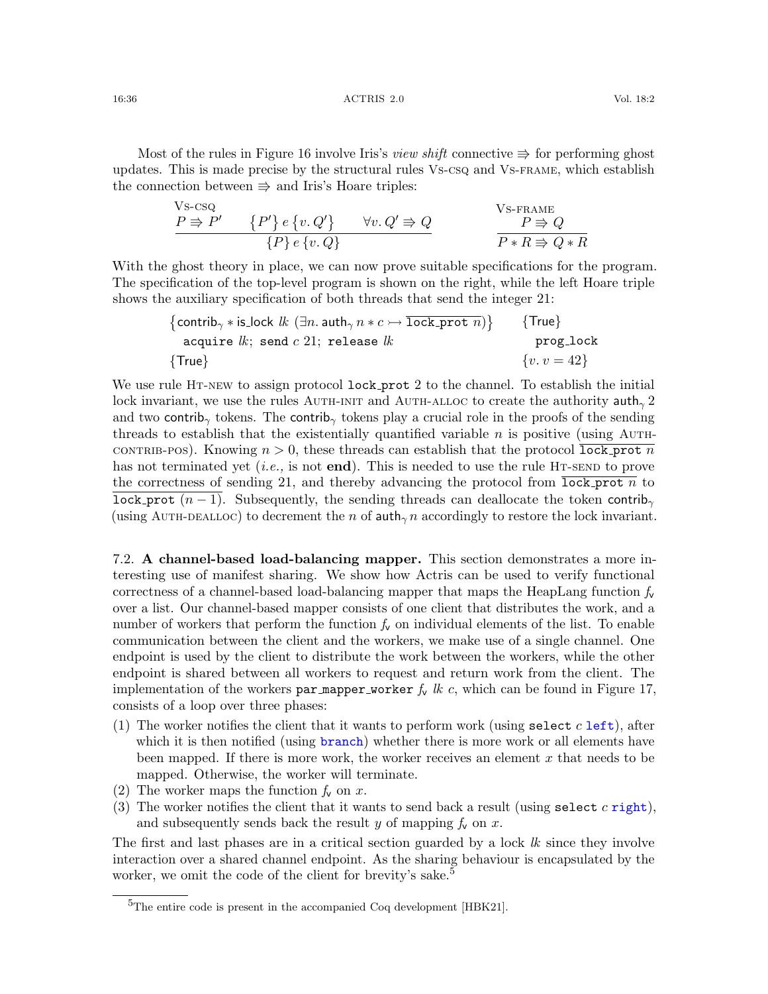Most of the rules in Figure [16](#page-34-2) involve Iris's *view shift* connective  $\Rightarrow$  for performing ghost updates. This is made precise by the structural rules [Vs-csq](#page-35-1) and [Vs-frame](#page-35-2), which establish the connection between  $\Rightarrow$  and Iris's Hoare triples:

<span id="page-35-2"></span><span id="page-35-1"></span>
$$
\frac{V \text{s-csq}}{P \Rightarrow P'} \qquad \{P'\} e \{v, Q'\} \qquad \forall v, Q' \Rightarrow Q
$$
\n
$$
\frac{V \text{s-Frame}}{P \Rightarrow Q}
$$
\n
$$
\frac{V \text{s-Frame}}{P * R \Rightarrow Q * R}
$$

With the ghost theory in place, we can now prove suitable specifications for the program. The specification of the top-level program is shown on the right, while the left Hoare triple shows the auxiliary specification of both threads that send the integer 21:

$$
{\begin{array}{ll}\left\{\text{contrib}_{\gamma}* \text{is\_lock } lk \ (\exists n.\ \text{auth}_{\gamma}\ n \ast c \rightarrow \overline{\text{lock\_prot }} n) \right\} & \{\text{True}\} \\ \text{acquire } lk; \ \text{send } c \ 21; \ \text{release } lk & \text{prog\_lock} \\ \{\text{True}\} & \{v.v=42\} & \end{array}
$$

We use rule HT-NEW to assign protocol lock prot 2 to the channel. To establish the initial lock invariant, we use the rules AUTH-INIT and AUTH-ALLOC to create the authority  $\text{auth}_\gamma 2$ and two contrib<sub>γ</sub> tokens. The contrib<sub>γ</sub> tokens play a crucial role in the proofs of the sending threads to establish that the existentially quantified variable  $n$  is positive (using AUTHcontribation-pros). Knowing  $n > 0$ , these threads can establish that the protocol lock prot n has not terminated yet (*i.e.*, is not end). This is needed to use the rule HT-SEND to prove the correctness of sending 21, and thereby advancing the protocol from  $\overline{lock\ post}$  n to lock prot  $(n-1)$ . Subsequently, the sending threads can deallocate the token contrib<sub>γ</sub> (using AUTH-DEALLOC) to decrement the n of auth $\gamma$  n accordingly to restore the lock invariant.

<span id="page-35-0"></span>7.2. A channel-based load-balancing mapper. This section demonstrates a more interesting use of manifest sharing. We show how Actris can be used to verify functional correctness of a channel-based load-balancing mapper that maps the HeapLang function  $f_{\mathbf{v}}$ over a list. Our channel-based mapper consists of one client that distributes the work, and a number of workers that perform the function  $f_v$  on individual elements of the list. To enable communication between the client and the workers, we make use of a single channel. One endpoint is used by the client to distribute the work between the workers, while the other endpoint is shared between all workers to request and return work from the client. The implementation of the workers par mapper worker  $f_v$  lk c, which can be found in Figure [17,](#page-36-0) consists of a loop over three phases:

- (1) The worker notifies the client that it wants to perform work (using select  $c$  left), after which it is then notified (using branch) whether there is more work or all elements have been mapped. If there is more work, the worker receives an element x that needs to be mapped. Otherwise, the worker will terminate.
- (2) The worker maps the function  $f_v$  on x.
- (3) The worker notifies the client that it wants to send back a result (using select  $c$  right), and subsequently sends back the result y of mapping  $f_v$  on x.

The first and last phases are in a critical section guarded by a lock  $lk$  since they involve interaction over a shared channel endpoint. As the sharing behaviour is encapsulated by the worker, we omit the code of the client for brevity's sake.<sup>[5](#page-35-3)</sup>

<span id="page-35-3"></span> ${}^{5}$ The entire code is present in the accompanied Coq development [\[HBK21\]](#page-61-6).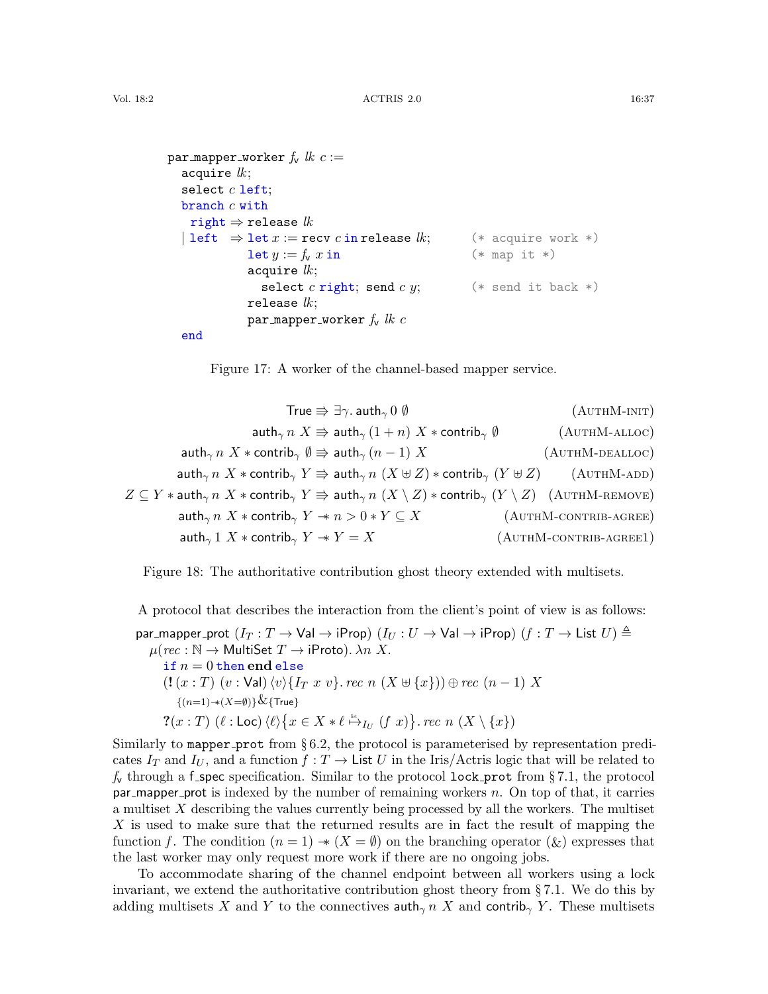```
par mapper worker f_v lk c :=acquire lk;
  select c left;
  branch c withright \Rightarrow release lk\vert left \Rightarrow let x := recv c in release lk; (* acquire work *)
            \text{let } y := f_y \ x \text{ in} (* map it *)
            acquire lk;
               select c right; send c y; (*) send it back *)release lk;
            par mapper worker f_v lk c
  end
```
<span id="page-36-8"></span><span id="page-36-7"></span><span id="page-36-6"></span><span id="page-36-5"></span><span id="page-36-4"></span><span id="page-36-3"></span><span id="page-36-2"></span><span id="page-36-0"></span>Figure 17: A worker of the channel-based mapper service.

| True $\Rightarrow \exists \gamma$ . auth <sub><math>\gamma</math></sub> 0 $\emptyset$                                                                                    | $(AUTHM-INT)$             |
|--------------------------------------------------------------------------------------------------------------------------------------------------------------------------|---------------------------|
| $\int \mathsf{auth}_{\gamma} n \; X \Rightarrow \mathsf{auth}_{\gamma} (1+n) \; X * \mathsf{contrib}_{\gamma} \; \emptyset$                                              | $(AUTHM-ALLOC)$           |
| auth <sub><math>\gamma</math></sub> $n$ $X$ $*$ contrib $\gamma$ $\emptyset \Rightarrow$ auth $\gamma$ $(n-1)$ $X$                                                       | $(AUTHM-DEALLOC)$         |
| $\mathsf{auth}_{\gamma} \, n \; X * \mathsf{contrib}_{\gamma} \; Y \Rightarrow \mathsf{auth}_{\gamma} \, n \; (X \uplus Z) * \mathsf{contrib}_{\gamma} \; (Y \uplus Z)$  | $(AUTHM-ADD)$             |
| $Z \subseteq Y *$ auth $_{\gamma} n X *$ contrib $_{\gamma} Y \Rrightarrow$ auth $_{\gamma} n (X \setminus Z) *$ contrib $_{\gamma} (Y \setminus Z)$ $\;$ (AUTHM-REMOVE) |                           |
| $\int$ auth <sub><math>\gamma</math></sub> $n \times \infty$ scontrib $\gamma$ $Y \rightarrow n > 0 * Y \subseteq X$                                                     | $(AUTHM-CONTRIB-AGREE)$   |
| $\mathsf{auth}_{\gamma} 1 \; X * \mathsf{contrib}_{\gamma} \; Y \to Y = X$                                                                                               | $(AUTHM$ -CONTRIB-AGREE1) |

<span id="page-36-1"></span>Figure 18: The authoritative contribution ghost theory extended with multisets.

A protocol that describes the interaction from the client's point of view is as follows: par mapper prot  $(I_T : T \to \text{Val} \to \text{iProp})$   $(I_U : U \to \text{Val} \to \text{iProp})$   $(f : T \to \text{List } U) \triangleq$  $\mu(rec: \mathbb{N} \to \text{MultiSet } T \to \text{iProto}).$   $\lambda n X$ . if  $n = 0$  then end else  $(!(x : T) (v : \text{Val}) \langle v \rangle \{I_T x v\}$ . rec  $n (X \oplus \{x\}) \oplus rec (n - 1) X$  $\{(n=1) \rightarrow (X=\emptyset)\}\&$ {True}  $\mathcal{R}(x:T) \; (\ell : \mathsf{Loc}) \, \langle \ell \rangle \big\{ x \in X * \ell \stackrel{\text{\tiny{list}}}{\mapsto}_{I_U} (f \ x) \big\} \text{. } rec \ n \; (X \setminus \{x\})$ 

Similarly to mapper prot from § [6.2,](#page-29-0) the protocol is parameterised by representation predicates  $I_T$  and  $I_U$ , and a function  $f: T \to \text{List } U$  in the Iris/Actris logic that will be related to  $f_{\mathbf{v}}$  through a f-spec specification. Similar to the protocol lock-prot from §[7.1,](#page-33-1) the protocol  $par$ -mapper prot is indexed by the number of remaining workers n. On top of that, it carries a multiset X describing the values currently being processed by all the workers. The multiset X is used to make sure that the returned results are in fact the result of mapping the function f. The condition  $(n = 1) \rightarrow (X = \emptyset)$  on the branching operator  $(\&)$  expresses that the last worker may only request more work if there are no ongoing jobs.

To accommodate sharing of the channel endpoint between all workers using a lock invariant, we extend the authoritative contribution ghost theory from § [7.1.](#page-33-1) We do this by adding multisets X and Y to the connectives  $\text{auth}_{\gamma}$  n X and contrib<sub> $\gamma$ </sub> Y. These multisets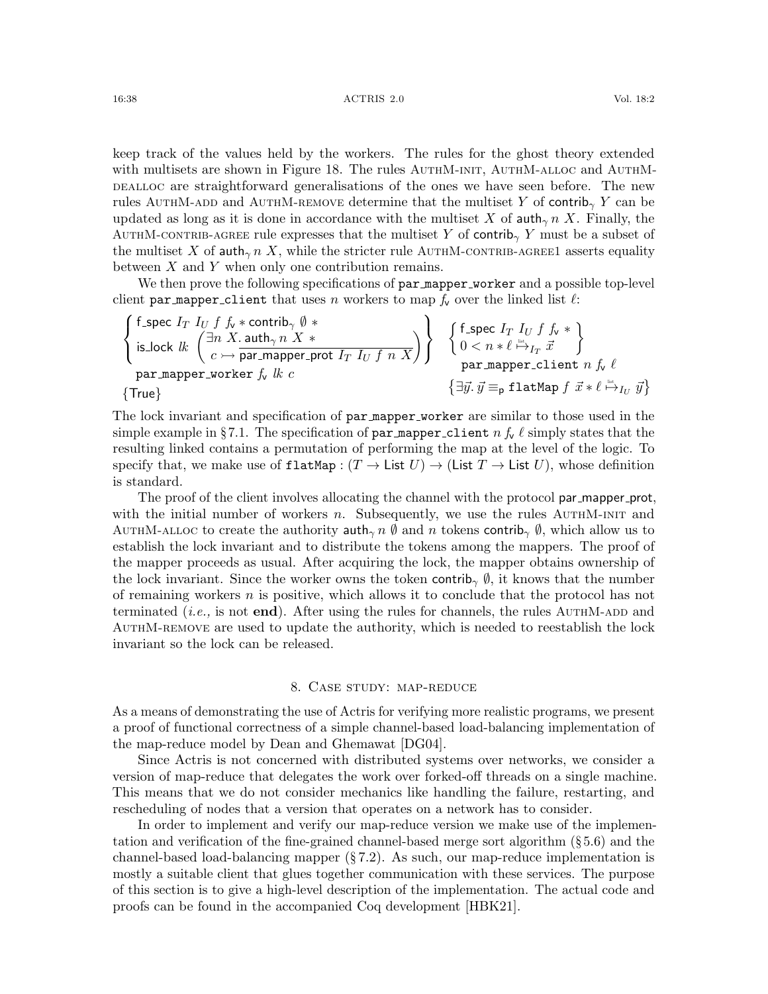keep track of the values held by the workers. The rules for the ghost theory extended with multisets are shown in Figure [18.](#page-36-1) The rules AUTHM-INIT, AUTHM-ALLOC and AUTHMdefinition are straightforward generalisations of the ones we have seen before. The new rules AUTHM-ADD and AUTHM-REMOVE determine that the multiset Y of contrib<sub>γ</sub> Y can be updated as long as it is done in accordance with the multiset X of  $\text{auth}_{\gamma}$  n X. Finally, the AUTHM-CONTRIB-AGREE rule expresses that the multiset Y of contrib<sub>γ</sub> Y must be a subset of the multiset X of auth<sub> $\gamma$ </sub> n X, while the stricter rule AUTHM-CONTRIB-AGREE1 asserts equality between  $X$  and  $Y$  when only one contribution remains.

We then prove the following specifications of par mapper worker and a possible top-level client par mapper client that uses n workers to map  $f_v$  over the linked list  $\ell$ :

$$
\begin{Bmatrix} \text{f\_spec } I_T \ I_U \ f \ f_\mathsf{v} \ast \text{contribution} \ \emptyset \ \text{is\_lock } \ lk \ \begin{Bmatrix} \exists n \ X \ \mathsf{.} \ \mathsf{auth}_\gamma \ n \ X \ast \end{Bmatrix} \end{Bmatrix} \quad \begin{Bmatrix} \text{f\_spec } I_T \ I_U \ f \ f_\mathsf{v} \ast \end{Bmatrix} \\ \text{par\_mapper\_worker } \ f_\mathsf{v} \ lk \ c \\ \text{array} \end{Bmatrix} \quad \begin{Bmatrix} \text{f\_spec } I_T \ I_U \ f \ f_\mathsf{v} \ast \end{Bmatrix} \\ \text{par\_mapper\_cluster } \ f \ \ lk \ c \\ \begin{Bmatrix} \exists \vec{y} \ \mathsf{.} \ \vec{y} \equiv_\text{p} \ \mathsf{flatMap } \ f \ \vec{x} \ast \ell \ \stackrel{\text{int}}{\mapsto} \ I_U \ \vec{y} \end{Bmatrix} \end{Bmatrix}
$$

The lock invariant and specification of par mapper worker are similar to those used in the simple example in §[7.1.](#page-33-1) The specification of par mapper client n  $f_v \ell$  simply states that the resulting linked contains a permutation of performing the map at the level of the logic. To specify that, we make use of  $\texttt{flatMap}: (T \to \textsf{List } U) \to (\textsf{List } T \to \textsf{List } U)$ , whose definition is standard.

The proof of the client involves allocating the channel with the protocol par mapper prot, with the initial number of workers n. Subsequently, we use the rules  $AUTHM-INT$  and AUTHM-ALLOC to create the authority auth<sub>γ</sub> n  $\emptyset$  and n tokens contrib<sub>γ</sub>  $\emptyset$ , which allow us to establish the lock invariant and to distribute the tokens among the mappers. The proof of the mapper proceeds as usual. After acquiring the lock, the mapper obtains ownership of the lock invariant. Since the worker owns the token contrib<sub>γ</sub>  $\emptyset$ , it knows that the number of remaining workers  $n$  is positive, which allows it to conclude that the protocol has not terminated (*i.e.*, is not **end**). After using the rules for channels, the rules AUTHM-ADD and [AuthM-remove](#page-36-6) are used to update the authority, which is needed to reestablish the lock invariant so the lock can be released.

## 8. Case study: map-reduce

<span id="page-37-0"></span>As a means of demonstrating the use of Actris for verifying more realistic programs, we present a proof of functional correctness of a simple channel-based load-balancing implementation of the map-reduce model by Dean and Ghemawat [\[DG04\]](#page-60-5).

Since Actris is not concerned with distributed systems over networks, we consider a version of map-reduce that delegates the work over forked-off threads on a single machine. This means that we do not consider mechanics like handling the failure, restarting, and rescheduling of nodes that a version that operates on a network has to consider.

In order to implement and verify our map-reduce version we make use of the implementation and verification of the fine-grained channel-based merge sort algorithm (§ [5.6\)](#page-22-0) and the channel-based load-balancing mapper  $(\S 7.2)$  $(\S 7.2)$ . As such, our map-reduce implementation is mostly a suitable client that glues together communication with these services. The purpose of this section is to give a high-level description of the implementation. The actual code and proofs can be found in the accompanied Coq development [\[HBK21\]](#page-61-6).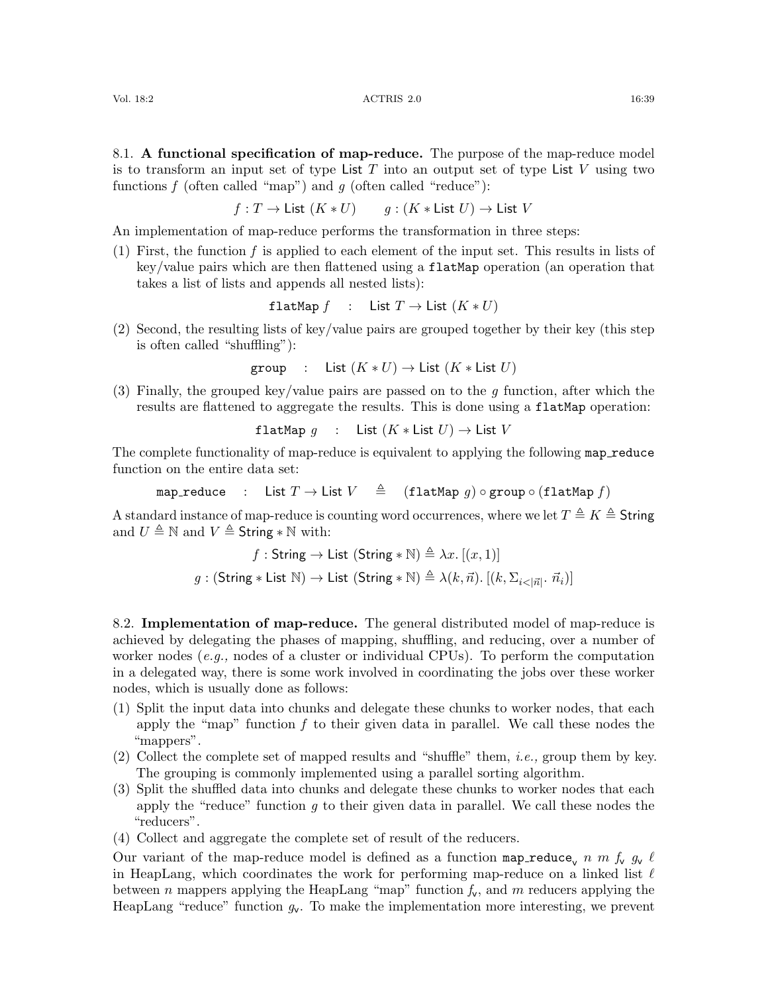<span id="page-38-0"></span>8.1. A functional specification of map-reduce. The purpose of the map-reduce model is to transform an input set of type List T into an output set of type List V using two functions  $f$  (often called "map") and  $g$  (often called "reduce"):

$$
f: T \to \mathsf{List}(K * U) \qquad g: (K * \mathsf{List} U) \to \mathsf{List} V
$$

An implementation of map-reduce performs the transformation in three steps:

(1) First, the function f is applied to each element of the input set. This results in lists of key/value pairs which are then flattened using a flatMap operation (an operation that takes a list of lists and appends all nested lists):

$$
flatMap f : List T \to List (K * U)
$$

(2) Second, the resulting lists of key/value pairs are grouped together by their key (this step is often called "shuffling"):

$$
\text{group} \quad : \quad \text{List } (K * U) \to \text{List } (K * \text{List } U)
$$

(3) Finally, the grouped key/value pairs are passed on to the  $g$  function, after which the results are flattened to aggregate the results. This is done using a flatMap operation:

$$
\mathtt{flatMap}\ g\quad:\quad \mathsf{List}\ (K\ast\mathsf{List}\ U)\to\mathsf{List}\ V
$$

The complete functionality of map-reduce is equivalent to applying the following map reduce function on the entire data set:

map reduce : List  $T \to L$ ist  $V \triangleq$  (flatMap g)  $\circ$  group  $\circ$  (flatMap f)

A standard instance of map-reduce is counting word occurrences, where we let  $T \triangleq K \triangleq$  String and  $U \triangleq \mathbb{N}$  and  $V \triangleq$  String  $* \mathbb{N}$  with:

$$
f: \text{String} \to \text{List } (\text{String} * \mathbb{N}) \triangleq \lambda x. [(x, 1)]
$$

$$
g: (\text{String} * \text{List } \mathbb{N}) \to \text{List } (\text{String} * \mathbb{N}) \triangleq \lambda (k, \vec{n}). [(k, \Sigma_{i \leq |\vec{n}|} \cdot \vec{n}_i)]
$$

8.2. Implementation of map-reduce. The general distributed model of map-reduce is achieved by delegating the phases of mapping, shuffling, and reducing, over a number of worker nodes  $(e.g.,\,n$  nodes of a cluster or individual CPUs). To perform the computation in a delegated way, there is some work involved in coordinating the jobs over these worker nodes, which is usually done as follows:

- (1) Split the input data into chunks and delegate these chunks to worker nodes, that each apply the "map" function  $f$  to their given data in parallel. We call these nodes the "mappers".
- (2) Collect the complete set of mapped results and "shuffle" them, *i.e.*, group them by key. The grouping is commonly implemented using a parallel sorting algorithm.
- (3) Split the shuffled data into chunks and delegate these chunks to worker nodes that each apply the "reduce" function  $g$  to their given data in parallel. We call these nodes the "reducers".
- (4) Collect and aggregate the complete set of result of the reducers.

Our variant of the map-reduce model is defined as a function map reduce, n m f,  $g_v \ell$ in HeapLang, which coordinates the work for performing map-reduce on a linked list  $\ell$ between n mappers applying the HeapLang "map" function  $f_v$ , and m reducers applying the HeapLang "reduce" function  $g_v$ . To make the implementation more interesting, we prevent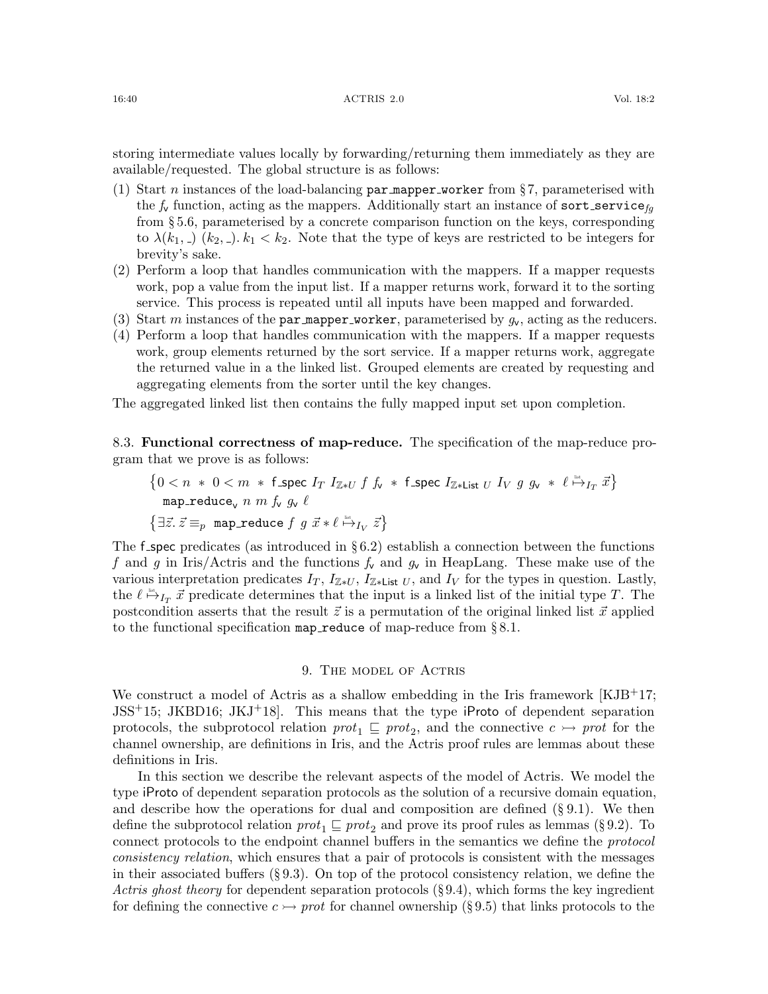#### 16:40 ACTRIS 2.0 Vol. 18:2

storing intermediate values locally by forwarding/returning them immediately as they are available/requested. The global structure is as follows:

- (1) Start *n* instances of the load-balancing  $\text{par\_mapper\_worker}$  from §[7,](#page-33-0) parameterised with the  $f_v$  function, acting as the mappers. Additionally start an instance of sort\_service<sub>fg</sub> from § [5.6,](#page-22-0) parameterised by a concrete comparison function on the keys, corresponding to  $\lambda(k_1, \ldots)$   $(k_2, \ldots)$ .  $k_1 < k_2$ . Note that the type of keys are restricted to be integers for brevity's sake.
- (2) Perform a loop that handles communication with the mappers. If a mapper requests work, pop a value from the input list. If a mapper returns work, forward it to the sorting service. This process is repeated until all inputs have been mapped and forwarded.
- (3) Start m instances of the par mapper worker, parameterised by  $g_v$ , acting as the reducers.
- (4) Perform a loop that handles communication with the mappers. If a mapper requests work, group elements returned by the sort service. If a mapper returns work, aggregate the returned value in a the linked list. Grouped elements are created by requesting and aggregating elements from the sorter until the key changes.

The aggregated linked list then contains the fully mapped input set upon completion.

8.3. Functional correctness of map-reduce. The specification of the map-reduce program that we prove is as follows:

$$
\{0 < n * 0 < m * f\_spec \ I_T \ I_{\mathbb{Z}*U} \ f \ f_v * f\_spec \ I_{\mathbb{Z}*List \ U} \ I_V \ g \ g_v * \ell \overset{\text{def}}{\mapsto}_{I_T} \vec{x}\}
$$
\n
$$
\{\exists \vec{z}.\ \vec{z} \equiv_p \text{map\_reduce} \ f \ g \ \vec{x} * \ell \overset{\text{def}}{\mapsto}_{I_V} \vec{z}\}
$$

The f spec predicates (as introduced in  $\S 6.2$ ) establish a connection between the functions f and g in Iris/Actris and the functions  $f_v$  and  $g_v$  in HeapLang. These make use of the various interpretation predicates  $I_T$ ,  $I_{\mathbb{Z}*U}$ ,  $I_{\mathbb{Z}*List}$  U, and  $I_V$  for the types in question. Lastly, the  $\ell \stackrel{\text{list}}{\mapsto} I_T \vec{x}$  predicate determines that the input is a linked list of the initial type T. The postcondition asserts that the result  $\vec{z}$  is a permutation of the original linked list  $\vec{x}$  applied to the functional specification map reduce of map-reduce from  $\S 8.1$ .

### 9. The model of Actris

<span id="page-39-0"></span>We construct a model of Actris as a shallow embedding in the Iris framework  $[KJB^{+}17;$  $[KJB^{+}17;$ [JSS](#page-62-0)+15; [JKBD16;](#page-61-1) [JKJ](#page-62-2)+18]. This means that the type iProto of dependent separation protocols, the subprotocol relation  $prot_1 \subseteq prot_2$ , and the connective  $c \rightarrow prot$  for the channel ownership, are definitions in Iris, and the Actris proof rules are lemmas about these definitions in Iris.

In this section we describe the relevant aspects of the model of Actris. We model the type iProto of dependent separation protocols as the solution of a recursive domain equation, and describe how the operations for dual and composition are defined  $(\S 9.1)$  $(\S 9.1)$ . We then define the subprotocol relation  $prot_1 \sqsubseteq prot_2$  and prove its proof rules as lemmas (§ [9.2\)](#page-41-0). To connect protocols to the endpoint channel buffers in the semantics we define the protocol consistency relation, which ensures that a pair of protocols is consistent with the messages in their associated buffers (§ [9.3\)](#page-42-0). On top of the protocol consistency relation, we define the Actris ghost theory for dependent separation protocols  $(\S 9.4)$  $(\S 9.4)$ , which forms the key ingredient for defining the connective  $c \rightarrow prot$  for channel ownership (§ [9.5\)](#page-45-0) that links protocols to the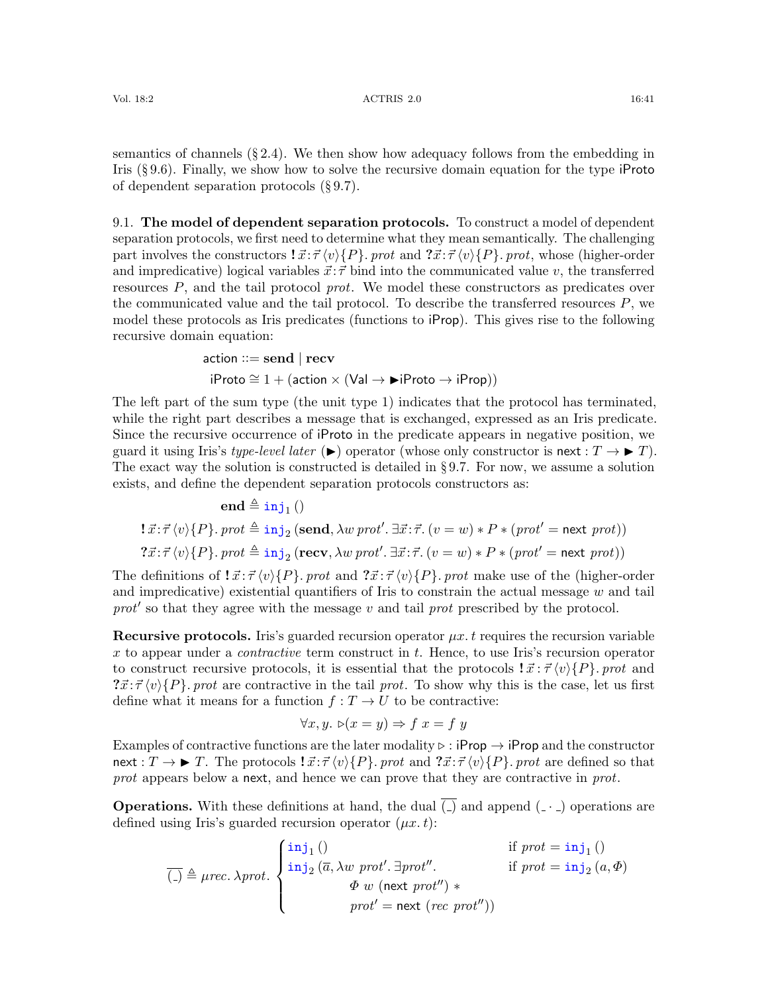semantics of channels  $(\S 2.4)$  $(\S 2.4)$ . We then show how adequacy follows from the embedding in Iris  $(\S 9.6)$  $(\S 9.6)$ . Finally, we show how to solve the recursive domain equation for the type iProto of dependent separation protocols (§ [9.7\)](#page-46-1).

<span id="page-40-0"></span>9.1. The model of dependent separation protocols. To construct a model of dependent separation protocols, we first need to determine what they mean semantically. The challenging part involves the constructors  $\vec{x} \cdot \vec{\tau} \langle v \rangle \{P\}$ . prot and  $\vec{x} \cdot \vec{\tau} \langle v \rangle \{P\}$ . prot, whose (higher-order and impredicative) logical variables  $\vec{x}$ :  $\vec{\tau}$  bind into the communicated value v, the transferred resources P, and the tail protocol prot. We model these constructors as predicates over the communicated value and the tail protocol. To describe the transferred resources  $P$ , we model these protocols as Iris predicates (functions to iProp). This gives rise to the following recursive domain equation:

$$
\begin{aligned}\n\text{action} & ::= \mathbf{send} \mid \mathbf{recv} \\
\text{if} \quad \cong 1 + (\text{action} \times (\text{Val} \to \blacktriangleright \text{if} \quad \text{Proto} \to \text{if} \quad \text{Prop}))\n\end{aligned}
$$

The left part of the sum type (the unit type 1) indicates that the protocol has terminated, while the right part describes a message that is exchanged, expressed as an Iris predicate. Since the recursive occurrence of iProto in the predicate appears in negative position, we guard it using Iris's type-level later  $(\blacktriangleright)$  operator (whose only constructor is next :  $T \to \blacktriangleright T$ ). The exact way the solution is constructed is detailed in § [9.7.](#page-46-1) For now, we assume a solution exists, and define the dependent separation protocols constructors as:

 $\mathbf{end} \triangleq \mathbf{inj}_1()$  $\exists \vec{x}:\vec{\tau}\left\langle v\right\rangle \{P\}.\;prot\triangleq \verb"inj|_{2} \left(\textbf{send}, \lambda w\,prot'. \exists \vec{x}:\vec{\tau}.\left(v=w\right)*P*(prot'=\textbf{next} \,prot)\right)$  $? \vec{x}$ : $\vec{\tau} \langle v \rangle \{P\}$ . prot  $\triangleq \text{inj}_2$  (recv,  $\lambda w$  prot'.  $\exists \vec{x}$ : $\vec{\tau}$ .  $(v = w) * P * (prot' = \text{next} prot))$ 

The definitions of  $\vec{x} : \vec{\tau} \langle v \rangle \{P\}$ . prot and  $\vec{x} : \vec{\tau} \langle v \rangle \{P\}$ . prot make use of the (higher-order and impredicative) existential quantifiers of Iris to constrain the actual message  $w$  and tail prot' so that they agree with the message  $v$  and tail prot prescribed by the protocol.

**Recursive protocols.** Iris's guarded recursion operator  $\mu x$ . t requires the recursion variable x to appear under a *contractive* term construct in t. Hence, to use Iris's recursion operator to construct recursive protocols, it is essential that the protocols  $\vec{x} : \vec{\tau} \langle v \rangle \{P\}$ . prot and  $\mathcal{T}x:\mathcal{T}\langle v\rangle\{P\}$ . prot are contractive in the tail prot. To show why this is the case, let us first define what it means for a function  $f: T \to U$  to be contractive:

$$
\forall x, y. \; \mathbf{D}(x = y) \Rightarrow f \; x = f \; y
$$

Examples of contractive functions are the later modality  $\triangleright$  : iProp  $\rightarrow$  iProp and the constructor  $\text{next}: T \to \blacktriangleright T$ . The protocols  $\exists \vec{x} : \vec{\tau} \langle v \rangle \{P\}$ . prot and  $\exists \vec{x} : \vec{\tau} \langle v \rangle \{P\}$ . prot are defined so that prot appears below a next, and hence we can prove that they are contractive in prot.

**Operations.** With these definitions at hand, the dual  $\overline{(.)}$  and append  $\overline{(-)}$  operations are defined using Iris's guarded recursion operator  $(\mu x. t)$ :

$$
\overline{(-)} \triangleq \mu rec. \lambda prot. \begin{cases} \text{inj}_1() & \text{if } prot = \text{inj}_1() \\ \text{inj}_2(\overline{a}, \lambda w \text{ prot}'. \exists prot''. \\ \Phi w \text{ (next } prot') * \\ prot' = \text{next } (rec \text{ prot}'') \end{cases}
$$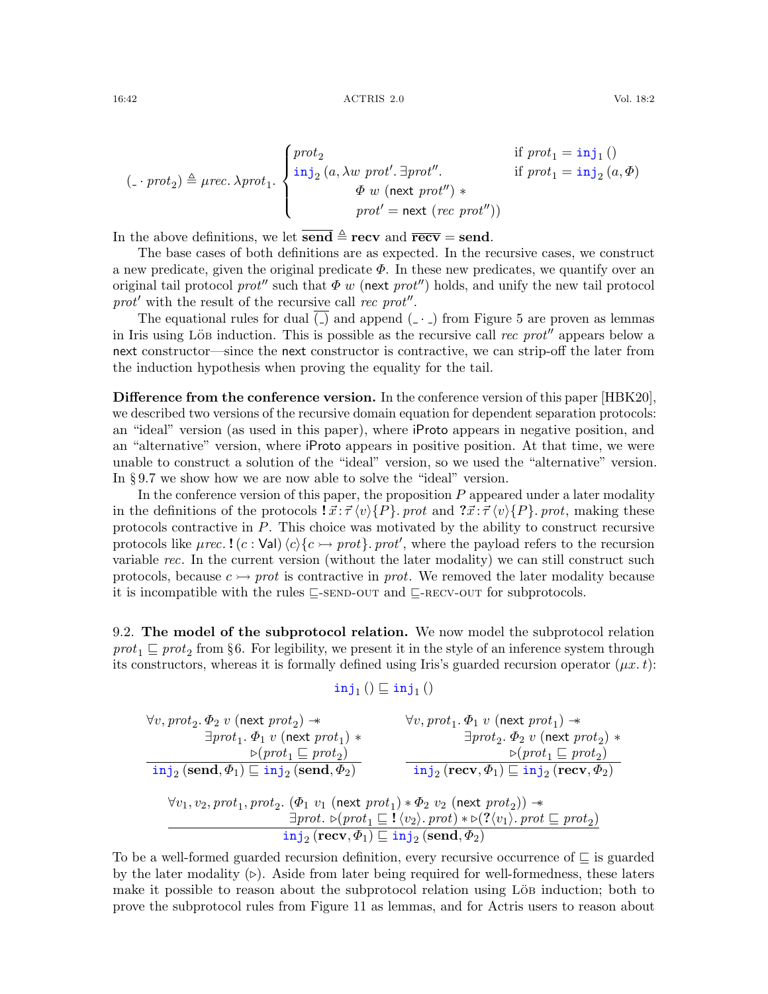$$
(\text{-} \cdot \text{prot}_2) \triangleq \text{prec. } \lambda \text{prot}_1. \begin{cases} \text{prot}_2 & \text{if } \text{prot}_1 = \text{inj}_1 \text{ } ( ) \\ \text{inj}_2 \text{ } (a, \lambda w \text{ prot'. } \exists \text{prot''}. & \text{if } \text{prot}_1 = \text{inj}_2 \text{ } (a, \Phi) \\ \varPhi \text{ } w \text{ } (\text{next } \text{prot''}) * \\ \text{prot' = next } (\text{rec } \text{prot''}) ) \end{cases}
$$

In the above definitions, we let  $\overline{\text{send}} \triangleq \text{recv}$  and  $\overline{\text{recv}} = \text{send}$ .

The base cases of both definitions are as expected. In the recursive cases, we construct a new predicate, given the original predicate  $\Phi$ . In these new predicates, we quantify over an original tail protocol prot<sup>n</sup> such that  $\Phi w$  (next prot<sup>n</sup>) holds, and unify the new tail protocol  $prot'$  with the result of the recursive call rec prot".

The equational rules for dual  $\Box$  and append  $\Box$  from Figure [5](#page-16-5) are proven as lemmas in Iris using Löb induction. This is possible as the recursive call rec prot<sup> $n$ </sup> appears below a next constructor—since the next constructor is contractive, we can strip-off the later from the induction hypothesis when proving the equality for the tail.

Difference from the conference version. In the conference version of this paper [\[HBK20\]](#page-61-7), we described two versions of the recursive domain equation for dependent separation protocols: an "ideal" version (as used in this paper), where iProto appears in negative position, and an "alternative" version, where iProto appears in positive position. At that time, we were unable to construct a solution of the "ideal" version, so we used the "alternative" version. In § [9.7](#page-46-1) we show how we are now able to solve the "ideal" version.

In the conference version of this paper, the proposition  $P$  appeared under a later modality in the definitions of the protocols  $\vec{x}$ :  $\vec{\tau} \langle v \rangle \{P\}$ . prot and  $\vec{x}$ :  $\vec{\tau} \langle v \rangle \{P\}$ . prot, making these protocols contractive in P. This choice was motivated by the ability to construct recursive protocols like  $\mu$ rec. ! (c: Val)  $\langle c \rangle \{c \rightarrow prot\}$ . prot', where the payload refers to the recursion variable rec. In the current version (without the later modality) we can still construct such protocols, because  $c \rightarrow prot$  is contractive in *prot*. We removed the later modality because it is incompatible with the rules  $\sqsubseteq$ [-send-out](#page-27-1) and  $\sqsubseteq$ [-recv-out](#page-27-2) for subprotocols.

<span id="page-41-0"></span>9.2. The model of the subprotocol relation. We now model the subprotocol relation  $prot_1 \sqsubseteq prot_2$  from §[6.](#page-24-0) For legibility, we present it in the style of an inference system through its constructors, whereas it is formally defined using Iris's guarded recursion operator  $(\mu x. t)$ :

$$
\mathtt{inj}_1\left(\right) \sqsubseteq \mathtt{inj}_1\left(\right)
$$

$$
\forall v, prot_2.\Phi_2\ v\ (\textrm{next}\ prot_2)\ *\ \exists prot_1.\Phi_1\ v\ (\textrm{next}\ prot_1)\ *\ \textrm{short}\ \exists prot_2.\Phi_2\ v\ (\textrm{next}\ prot_2)\ *\ \textrm{not}_1.\Phi_1\ v\ (\textrm{next}\ prot_1)\ *\ \textrm{short}\ \exists prot_2.\Phi_2\ v\ (\textrm{next}\ prot_2)\ *\ \textrm{not}_2.\Phi_2\ v\ (\textrm{next}\ prot_2)\ *\ \textrm{not}_1\ \textrm{not}_2\ (\textrm{send},\Phi_1)\sqsubseteq\textrm{inj}_2\ (\textrm{send},\Phi_2)\ \hspace{2.5cm}\ \textrm{inj}_2\ (\textrm{recv},\Phi_1)\sqsubseteq\textrm{inj}_2\ (\textrm{recv},\Phi_2)\ \hspace{2.5cm}\ \textrm{not}_2\ \textrm{not}_1,\ \textrm{prot}_2.\ (\Phi_1\ v_1\ (\textrm{next}\ prot_1)\ * \Phi_2\ v_2\ (\textrm{next}\ prot_2))\ *\ \hspace{2.5cm}\ \textrm{inj}_2\ (\textrm{recv},\Phi_1)\sqsubseteq\textrm{inj}_2\ (\textrm{send},\Phi_2)\ \hspace{2.5cm}\ \textrm{inj}_2\ (\textrm{send},\Phi_2)
$$

To be a well-formed guarded recursion definition, every recursive occurrence of  $\Box$  is guarded by the later modality  $(\triangleright)$ . Aside from later being required for well-formedness, these laters make it possible to reason about the subprotocol relation using Löb induction; both to prove the subprotocol rules from Figure [11](#page-27-0) as lemmas, and for Actris users to reason about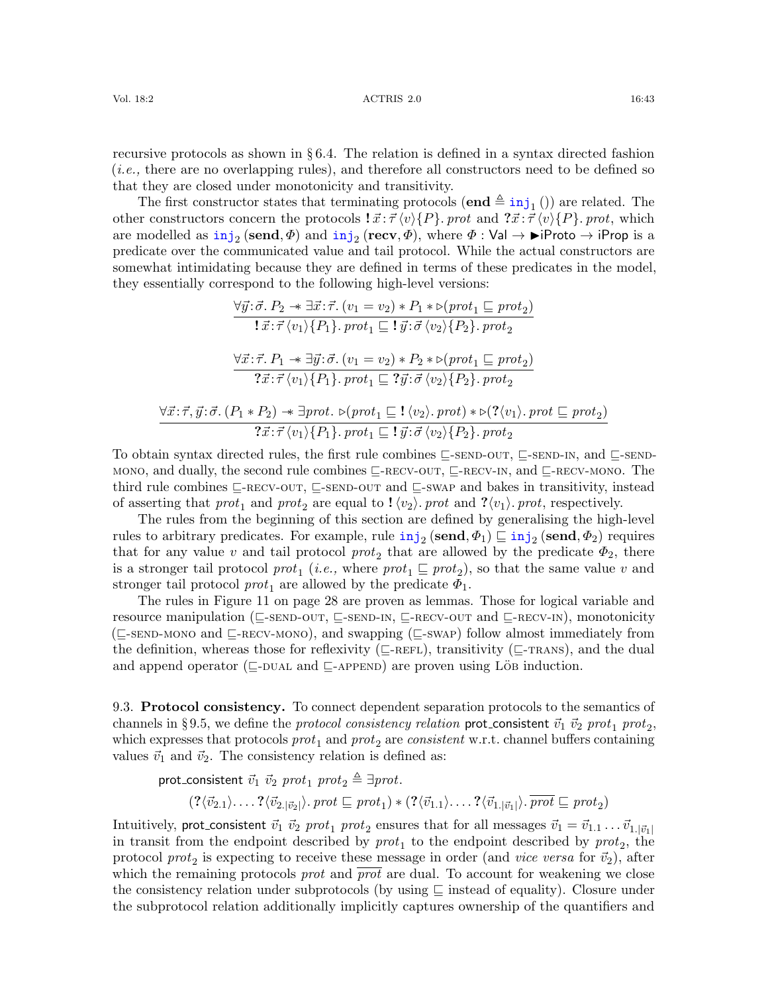recursive protocols as shown in § [6.4.](#page-31-0) The relation is defined in a syntax directed fashion (i.e., there are no overlapping rules), and therefore all constructors need to be defined so that they are closed under monotonicity and transitivity.

The first constructor states that terminating protocols  $(\mathbf{end} \triangleq \text{inj}_1()$  are related. The other constructors concern the protocols  $\vec{x}$ :  $\vec{\tau} \langle v \rangle \{P\}$ . prot and  $\vec{x}$ :  $\vec{\tau} \langle v \rangle \{P\}$ . prot, which are modelled as  $\text{inj}_2(\text{send}, \Phi)$  and  $\text{inj}_2(\text{recv}, \Phi)$ , where  $\Phi : \text{Val} \to \text{Piroto} \to \text{iProp}$  is a predicate over the communicated value and tail protocol. While the actual constructors are somewhat intimidating because they are defined in terms of these predicates in the model, they essentially correspond to the following high-level versions:

$$
\frac{\forall \vec{y} \colon \vec{\sigma} \colon P_2 \twoheadrightarrow \exists \vec{x} \colon \vec{\tau}. (v_1 = v_2) * P_1 * \triangleright (prot_1 \sqsubseteq prot_2) \n\mathbf{1} \vec{x} \colon \vec{\tau} \langle v_1 \rangle \{P_1\}. \text{ }prot_1 \sqsubseteq \mathbf{1} \vec{y} \colon \vec{\sigma} \langle v_2 \rangle \{P_2\}. \text{ }prot_2
$$
\n
$$
\frac{\forall \vec{x} \colon \vec{\tau}. P_1 \twoheadrightarrow \exists \vec{y} \colon \vec{\sigma}. (v_1 = v_2) * P_2 * \triangleright (prot_1 \sqsubseteq prot_2) \n\mathbf{2} \vec{x} \colon \vec{\tau} \langle v_1 \rangle \{P_1\}. \text{ }prot_1 \sqsubseteq \mathbf{2} \vec{y} \colon \vec{\sigma} \langle v_2 \rangle \{P_2\}. \text{ }prot_2
$$
\n
$$
\frac{\forall \vec{x} \colon \vec{\tau}, \vec{y} \colon \vec{\sigma}. (P_1 * P_2) \twoheadrightarrow \exists prot. \triangleright (prot_1 \sqsubseteq \mathbf{1} \langle v_2 \rangle. \text{ }prot) * \triangleright (\mathbf{2} \langle v_1 \rangle. \text{ }prot \sqsubseteq prot_2)}{? \vec{x} \colon \vec{\tau} \langle v_1 \rangle \{P_1\}. \text{ }prot_1 \sqsubseteq \mathbf{1} \vec{y} \colon \vec{\sigma} \langle v_2 \rangle \{P_2\}. \text{ }prot_2
$$

To obtain syntax directed rules, the first rule combines  $\sqsubseteq$ [-send-out](#page-27-1),  $\sqsubseteq$ [-send-in](#page-27-3), and  $\sqsubseteq$ [-send](#page-27-5)[mono](#page-27-5), and dually, the second rule combines  $\sqsubseteq$ [-recv-out](#page-27-2),  $\sqsubseteq$ -recv- $\sqcap$ , and  $\sqsubseteq$ [-recv-mono](#page-27-6). The third rule combines  $\sqsubseteq$ [-recv-out](#page-27-2),  $\sqsubseteq$ [-send-out](#page-27-1) and  $\sqsubseteq$ [-swap](#page-27-7) and bakes in transitivity, instead of asserting that  $prot_1$  and  $prot_2$  are equal to  $! \langle v_2 \rangle$ . prot and  $? \langle v_1 \rangle$ . prot, respectively.

The rules from the beginning of this section are defined by generalising the high-level rules to arbitrary predicates. For example, rule  $\text{inj}_2$  (send,  $\Phi_1$ )  $\sqsubseteq$   $\text{inj}_2$  (send,  $\Phi_2$ ) requires that for any value v and tail protocol  $prot_2$  that are allowed by the predicate  $\Phi_2$ , there is a stronger tail protocol  $prot_1$  (*i.e.*, where  $prot_1 \sqsubseteq prot_2$ ), so that the same value v and stronger tail protocol  $prot_1$  are allowed by the predicate  $\Phi_1$ .

The rules in Figure [11](#page-27-0) on page [28](#page-27-0) are proven as lemmas. Those for logical variable and resource manipulation ( $\sqsubseteq$ [-send-out](#page-27-1),  $\sqsubseteq$ [-send-in](#page-27-3),  $\sqsubseteq$ [-recv-out](#page-27-2) and  $\sqsubseteq$ [-recv-in](#page-27-4)), monotonicity  $(\sqsubseteq$ -SEND-MONO and  $\sqsubseteq$ -RECV-MONO), and swapping ( $\sqsubseteq$ -SWAP) follow almost immediately from the definition, whereas those for reflexivity ( $\subseteq$ [-refl](#page-27-8)exivity ( $\subseteq$ -reflexivity ( $\subseteq$ -reflexivity ( $\subseteq$ -reflexivity ( $\subseteq$ -reflexivity ( $\subseteq$ -reflexivity ( $\subseteq$ -reflexivity ( $\subseteq$ -reflexivity ( $\subseteq$ -reflexivity ( $\subseteq$ -reflexi and append operator ( $\sqsubseteq$ -DUAL and  $\sqsubseteq$ -APPEND) are proven using LöB induction.

<span id="page-42-0"></span>9.3. Protocol consistency. To connect dependent separation protocols to the semantics of channels in §[9.5,](#page-45-0) we define the *protocol consistency relation* prot\_consistent  $\vec{v}_1 ~ \vec{v}_2 ~prot_1 ~prot_2,$ which expresses that protocols  $prot_1$  and  $prot_2$  are consistent w.r.t. channel buffers containing values  $\vec{v}_1$  and  $\vec{v}_2$ . The consistency relation is defined as:

prot\_consistent  $\vec{v}_1$   $\vec{v}_2$  prot<sub>1</sub> prot<sub>2</sub>  $\triangleq \exists \text{prot.}$ 

 $(?\langle \vec{v}_{2.1} \rangle \ldots ?\langle \vec{v}_{2.|\vec{v}_2|} \rangle$ . prot  $\sqsubseteq \text{prot}_1) * (?\langle \vec{v}_{1.1} \rangle \ldots ?\langle \vec{v}_{1.|\vec{v}_1|} \rangle$ .  $\overline{\text{prot}} \sqsubseteq \text{prot}_2)$ 

Intuitively, prot\_consistent  $\vec{v}_1 ~\vec{v}_2 ~prot_1 ~prot_2$  ensures that for all messages  $\vec{v}_1 = \vec{v}_{1,1} \ldots \vec{v}_{1,|\vec{v}_1|}$ in transit from the endpoint described by  $prot_1$  to the endpoint described by  $prot_2$ , the protocol  $prot_2$  is expecting to receive these message in order (and *vice versa* for  $\vec{v}_2$ ), after which the remaining protocols *prot* and *prot* are dual. To account for weakening we close the consistency relation under subprotocols (by using  $\subseteq$  instead of equality). Closure under the subprotocol relation additionally implicitly captures ownership of the quantifiers and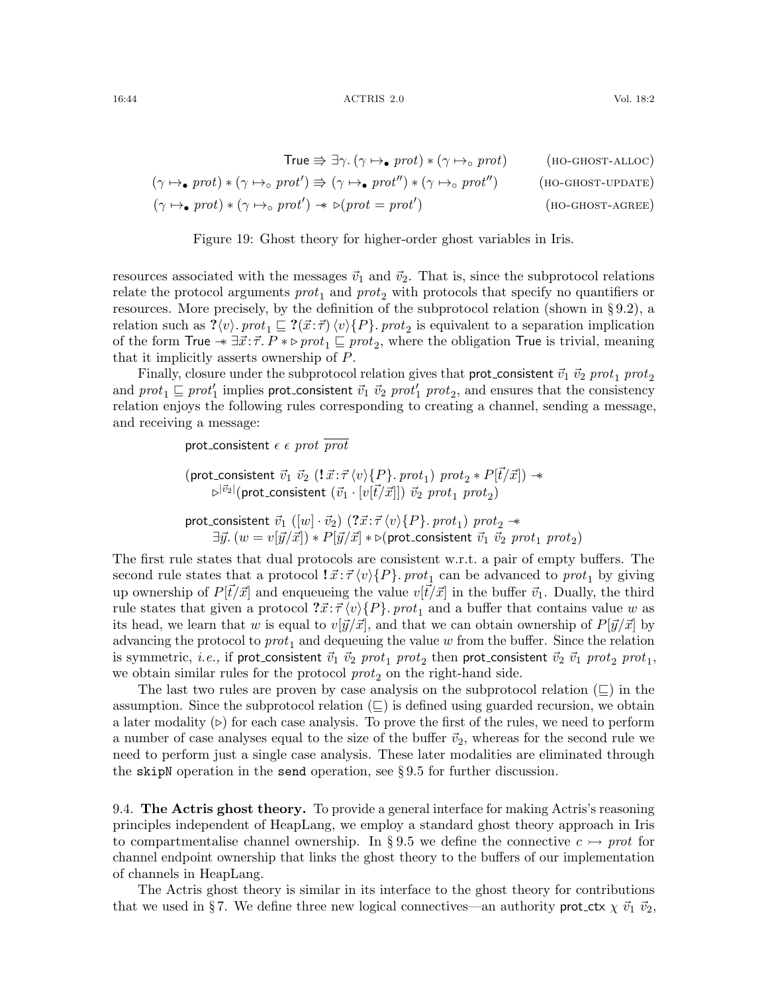$$
True \nArr \exists \gamma. (\gamma \mapsto prot) * (\gamma \mapsto prot) \qquad (HO-GHOST-ALLOC)
$$
\n
$$
(\gamma \mapsto prot) * (\gamma \mapsto port') \nArr (\gamma \mapsto prot'') * (\gamma \mapsto prot'')
$$
\n
$$
(\gamma \mapsto prot) * (\gamma \mapsto port') * \triangleright (prot = prot')
$$
\n
$$
(HO-GHOST-UPDATE)
$$
\n
$$
(\gamma \mapsto prot) * (\gamma \mapsto port') * \triangleright (prot = prot')
$$
\n
$$
(HO-GHOST-AGREE)
$$

<span id="page-43-4"></span><span id="page-43-3"></span><span id="page-43-2"></span><span id="page-43-1"></span>Figure 19: Ghost theory for higher-order ghost variables in Iris.

resources associated with the messages  $\vec{v}_1$  and  $\vec{v}_2$ . That is, since the subprotocol relations relate the protocol arguments  $prot_1$  and  $prot_2$  with protocols that specify no quantifiers or resources. More precisely, by the definition of the subprotocol relation (shown in § [9.2\)](#page-41-0), a relation such as  $? \langle v \rangle$ . prot<sub>1</sub>  $\subseteq ?(\vec{x}:\vec{\tau}) \langle v \rangle \{P\}$ . prot<sub>2</sub> is equivalent to a separation implication of the form True  $* \exists \vec{x} : \vec{r}$ .  $P * \triangleright prot_1 \sqsubseteq prot_2$ , where the obligation True is trivial, meaning that it implicitly asserts ownership of P.

Finally, closure under the subprotocol relation gives that prot\_consistent  $\vec{v}_1$   $\vec{v}_2$  prot<sub>1</sub> prot<sub>2</sub> and  $prot_1 \sqsubseteq prot'_1$  implies prot\_consistent  $\vec{v}_1$   $\vec{v}_2$   $prot'_1$   $prot_2$ , and ensures that the consistency relation enjoys the following rules corresponding to creating a channel, sending a message, and receiving a message:

prot\_consistent  $\epsilon \epsilon$  prot  $\overline{prot}$ 

 $(\mathsf{prot}\_\mathsf{consistent} ~ \vec{v}_1 ~ \vec{v}_2 ~(\mathbf{!} ~ \vec{x}~:~ \vec{\tau}~ \langle v \rangle \{P\}~. ~prot_1) ~prot_2 * P[\vec{t}/\vec{x}] ) \twoheadrightarrow$  $\varphi^{|\vec v_2|}(\mathsf{prot}\_\mathsf{consistent}\;(\vec v_1\cdot[v[\vec t/\vec x]])\;\vec v_2\;prot_1\;prot_2)$ 

prot\_consistent  $~\vec{v}_1 ~([w] \cdot \vec{v}_2) ~ (?\vec{x} \!:\! \vec{\tau} \, \langle v \rangle \{P\} .~ prot_1)~prot_2~\! \rightarrow$  $\exists \vec{y}.~(w=v[\vec{y}/\vec{x}]) * P[\vec{y}/\vec{x}] * \triangleright$ (prot\_consistent  $\vec{v}_1$   $\vec{v}_2$   $prot_1$   $prot_2)$ 

The first rule states that dual protocols are consistent w.r.t. a pair of empty buffers. The second rule states that a protocol  $\vec{x} \cdot \vec{\tau} \langle v \rangle \{P\}$ . pro $t_1$  can be advanced to pro $t_1$  by giving up ownership of  $P[\vec{t}/\vec{x}]$  and enqueueing the value  $v[\vec{t}/\vec{x}]$  in the buffer  $\vec{v}_1$ . Dually, the third rule states that given a protocol  $\mathcal{Z} \vec{x} : \vec{\tau} \langle v \rangle \{P\}$ . prot<sub>1</sub> and a buffer that contains value w as its head, we learn that w is equal to  $v[\vec{y}/\vec{x}]$ , and that we can obtain ownership of  $P[\vec{y}/\vec{x}]$  by advancing the protocol to  $prot_1$  and dequeuing the value w from the buffer. Since the relation is symmetric,  $i.e.,$  if prot\_consistent  $\vec{v}_1 ~\vec{v}_2 ~prot_1 ~prot_2$  then prot\_consistent  $\vec{v}_2 ~\vec{v}_1 ~prot_2 ~prot_1,$ we obtain similar rules for the protocol  $prot<sub>2</sub>$  on the right-hand side.

The last two rules are proven by case analysis on the subprotocol relation  $(\sqsubseteq)$  in the assumption. Since the subprotocol relation  $(\subseteq)$  is defined using guarded recursion, we obtain a later modality  $(\triangleright)$  for each case analysis. To prove the first of the rules, we need to perform a number of case analyses equal to the size of the buffer  $\vec{v}_2$ , whereas for the second rule we need to perform just a single case analysis. These later modalities are eliminated through the skipN operation in the send operation, see  $\S 9.5$  $\S 9.5$  for further discussion.

<span id="page-43-0"></span>9.4. The Actris ghost theory. To provide a general interface for making Actris's reasoning principles independent of HeapLang, we employ a standard ghost theory approach in Iris to compartmentalise channel ownership. In §[9.5](#page-45-0) we define the connective  $c \rightarrow$  prot for channel endpoint ownership that links the ghost theory to the buffers of our implementation of channels in HeapLang.

The Actris ghost theory is similar in its interface to the ghost theory for contributions that we used in §[7.](#page-33-0) We define three new logical connectives—an authority prot\_ctx  $\chi \vec{v}_1 \vec{v}_2$ ,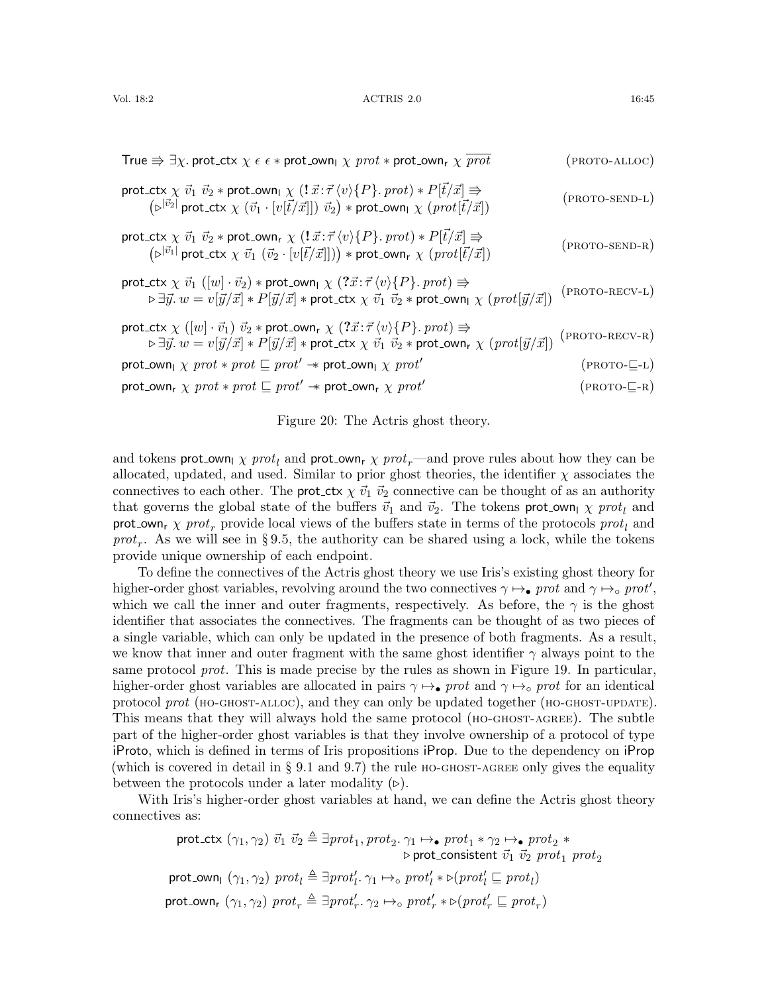| True $\Rightarrow \exists \chi$ . prot_ctx $\chi \in \epsilon *$ prot_own <sub>1</sub> $\chi$ prot $*$ prot_own <sub>r</sub> $\chi$ prot                                                                                                                                                                                                                                                                                                                       | (PROTO-ALLOC)                    |
|----------------------------------------------------------------------------------------------------------------------------------------------------------------------------------------------------------------------------------------------------------------------------------------------------------------------------------------------------------------------------------------------------------------------------------------------------------------|----------------------------------|
| $\begin{array}{c} \textnormal{prot\_ctx} \ \chi \ \vec{v_1} \ \vec{v_2} * \textnormal{prot\_own}_1 \ \chi \ (!\ \vec{x} \!:\! \vec{\tau} \ \langle v \rangle \{P\}.\ \textnormal{prot}) * P[\vec{t}/\vec{x}] \Rrightarrow \\ \left(\triangleright^{ \vec{v_2} } \textnormal{prot\_ctx} \ \chi \ \left(\vec{v_1} \cdot [v[\vec{t}/\vec{x}]]) \ \vec{v_2}\right) * \textnormal{prot\_own}_1 \ \chi \ \left(\textnormal{prot}[\vec{t}/\vec{x}]\right)\end{array}$ | $(PROTO-SEND-L)$                 |
| prot_ctx $\chi \vec{v_1} \vec{v_2} * \text{prot\_own}_{r} \chi (\vec{1} \vec{x} : \vec{\tau} \langle v \rangle \{P\} \cdot \text{prot}) * P[\vec{t}/\vec{x}] \Rightarrow$<br>$(\triangleright^{ \vec{v_1} } \text{prot\_ctx} \chi \vec{v_1} (\vec{v_2} \cdot [v[\vec{t}/\vec{x}]])) * \text{prot\_own}_{r} \chi (\text{prot}[\vec{t}/\vec{x}])$                                                                                                                | $(PROTO-SEND-R)$                 |
| $\begin{array}{l} \mbox{prot\_ctx} \ \chi \ \vec{v}_1 \ ([w] \cdot \vec{v}_2) * \mbox{prot\_own}_\textsf{I} \ \chi \ (? \vec{x} \!:\! \vec{\tau} \ \langle v \rangle \{P\}. \ \mbox{prot} ) \Rrightarrow \\ \mbox{$\triangleright$} \exists \vec{y}. \ w = v[\vec{y}/\vec{x}] * P[\vec{y}/\vec{x}] * \mbox{prot\_ctx} \ \chi \ \vec{v}_1 \ \vec{v}_2 * \mbox{prot\_own}_\textsf{I} \ \chi \ (prot[\vec{y}/\vec{x}]) \end{array}$                               | $(PROTO-RECV-L)$                 |
| $\begin{array}{l} \mbox{prot\_ctx} \ \chi \ ([w] \cdot \vec{v_1}) \ \vec{v_2} * \mbox{prot\_own}_r \ \chi \ (? \vec{x} \!:\! \vec{\tau} \ \langle v \rangle \{P\}. \ \mbox{prot} ) \Rrightarrow \\ \triangleright \exists \vec{y}. \ w = v[\vec{y}/\vec{x}] * P[\vec{y}/\vec{x}] * \mbox{prot\_ctx} \ \chi \ \vec{v_1} \ \vec{v_2} * \mbox{prot\_own}_r \ \chi \ (prot[\vec{y}/\vec{x}]) \end{array}$                                                          | $(PROTO-RECV-R)$                 |
| prot_own <sub>l</sub> $\chi$ prot $*$ prot $\sqsubseteq$ prot' $*$ prot_own <sub>l</sub> $\chi$ prot'                                                                                                                                                                                                                                                                                                                                                          | $(PROTO-\sqsubseteq-\mathbb{L})$ |
| prot_own <sub>r</sub> $\chi$ prot $*$ prot $\sqsubseteq$ prot' $*$ prot_own <sub>r</sub> $\chi$ prot'                                                                                                                                                                                                                                                                                                                                                          | $(PROTO-E-R)$                    |
|                                                                                                                                                                                                                                                                                                                                                                                                                                                                |                                  |

<span id="page-44-7"></span><span id="page-44-6"></span><span id="page-44-5"></span><span id="page-44-4"></span><span id="page-44-3"></span><span id="page-44-2"></span><span id="page-44-1"></span><span id="page-44-0"></span>Figure 20: The Actris ghost theory.

and tokens prot\_own<sub>l</sub>  $\chi$  prot<sub>l</sub> and prot\_own<sub>r</sub>  $\chi$  prot<sub>r</sub>—and prove rules about how they can be allocated, updated, and used. Similar to prior ghost theories, the identifier  $\chi$  associates the connectives to each other. The **prot**\_ctx  $\chi \vec{v_1} \vec{v_2}$  connective can be thought of as an authority that governs the global state of the buffers  $\vec{v}_1$  and  $\vec{v}_2$ . The tokens prot-own<sub>l</sub>  $\chi$  prot<sub>l</sub> and prot own<sub>r</sub>  $\chi$  prot<sub>r</sub> provide local views of the buffers state in terms of the protocols prot<sub>l</sub> and prot<sub>r</sub>. As we will see in §[9.5,](#page-45-0) the authority can be shared using a lock, while the tokens provide unique ownership of each endpoint.

To define the connectives of the Actris ghost theory we use Iris's existing ghost theory for higher-order ghost variables, revolving around the two connectives  $\gamma \mapsto_{\bullet} \text{prot}$  and  $\gamma \mapsto_{\circ} \text{prot}',$ which we call the inner and outer fragments, respectively. As before, the  $\gamma$  is the ghost identifier that associates the connectives. The fragments can be thought of as two pieces of a single variable, which can only be updated in the presence of both fragments. As a result, we know that inner and outer fragment with the same ghost identifier  $\gamma$  always point to the same protocol *prot*. This is made precise by the rules as shown in Figure [19.](#page-43-1) In particular, higher-order ghost variables are allocated in pairs  $\gamma \mapsto_{\bullet} \text{prot}$  and  $\gamma \mapsto_{\circ} \text{prot}$  for an identical protocol prot (HO-GHOST-ALLOC), and they can only be updated together (HO-GHOST-UPDATE). This means that they will always hold the same protocol ([ho-ghost-agree](#page-43-4)). The subtle part of the higher-order ghost variables is that they involve ownership of a protocol of type iProto, which is defined in terms of Iris propositions iProp. Due to the dependency on iProp (which is covered in detail in  $\S 9.1$  $\S 9.1$  and  $9.7$ ) the rule HO-GHOST-AGREE only gives the equality between the protocols under a later modality  $(\triangleright)$ .

With Iris's higher-order ghost variables at hand, we can define the Actris ghost theory connectives as:

$$
\begin{array}{l} \text{prot\_ctx } (\gamma_1, \gamma_2) \ \vec{v}_1 \ \vec{v}_2 \triangleq \exists prot_1, prot_2. \ \gamma_1 \mapsto_\bullet \ prot_1 * \gamma_2 \mapsto_\bullet \ prot_2 * \\ \text{prot\_consistent } \ \vec{v}_1 \ \vec{v}_2 \ prot_1 \ prot_2 \ \text{prot\_own}_1 \ (\gamma_1, \gamma_2) \ prot_1 \triangleq \exists prot'_1. \ \gamma_1 \mapsto_\circ \ prot'_1 * \triangleright (prot'_1 \sqsubseteq prot_1) \\ \text{prot\_own}_r \ (\gamma_1, \gamma_2) \ prot_r \triangleq \exists prot'_r. \ \gamma_2 \mapsto_\circ \ prot'_r * \triangleright (prot'_r \sqsubseteq prot_r) \end{array}
$$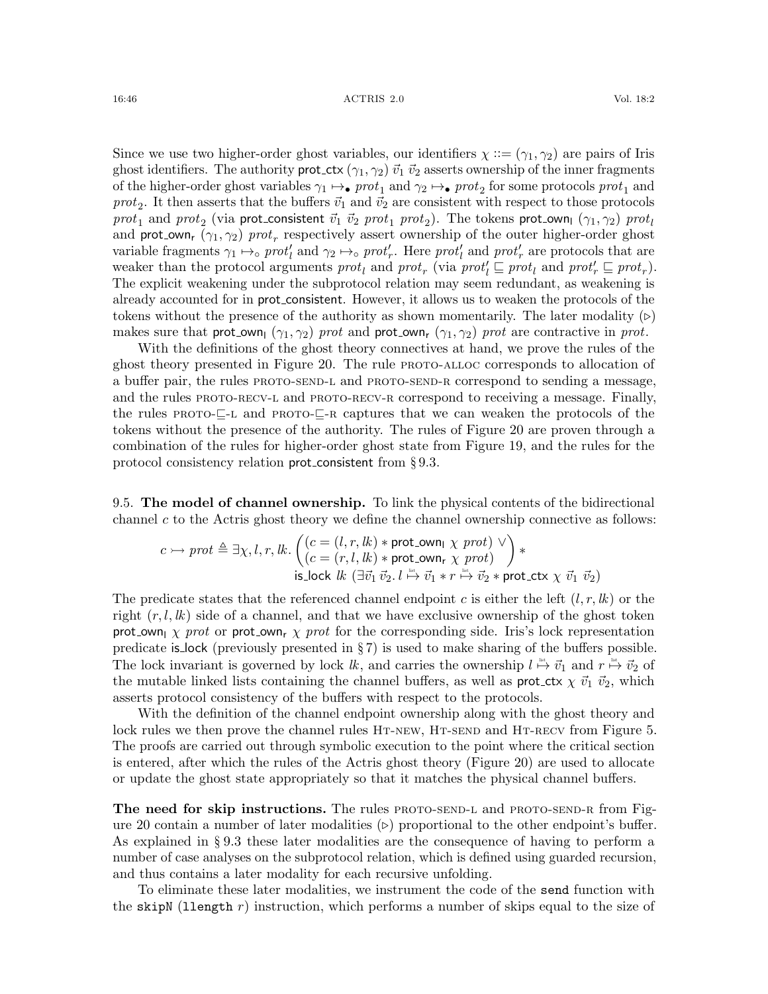Since we use two higher-order ghost variables, our identifiers  $\chi ::= (\gamma_1, \gamma_2)$  are pairs of Iris ghost identifiers. The authority prot\_ctx  $(\gamma_1, \gamma_2) \vec{v}_1 \vec{v}_2$  asserts ownership of the inner fragments of the higher-order ghost variables  $\gamma_1 \mapsto$  pro $t_1$  and  $\gamma_2 \mapsto$  pro $t_2$  for some protocols pro $t_1$  and *prot*<sub>2</sub>. It then asserts that the buffers  $\vec{v}_1$  and  $\vec{v}_2$  are consistent with respect to those protocols  $prot_1$  and  $prot_2$  (via prot\_consistent  $\vec{v}_1$   $\vec{v}_2$   $prot_1$   $prot_2).$  The tokens prot\_own<sub>l</sub>  $(\gamma_1,\gamma_2)$   $prot_l$ and prot-own<sub>r</sub> ( $\gamma_1, \gamma_2$ ) prot<sub>r</sub> respectively assert ownership of the outer higher-order ghost variable fragments  $\gamma_1 \mapsto_{\circ} prot'_l$  and  $\gamma_2 \mapsto_{\circ} prot'_r$ . Here  $prot'_l$  and  $prot'_r$  are protocols that are weaker than the protocol arguments  $prot_l$  and  $prot_r$  (via  $prot_l' \sqsubseteq prot_l$  and  $prot_r' \sqsubseteq prot_r$ ). The explicit weakening under the subprotocol relation may seem redundant, as weakening is already accounted for in prot consistent. However, it allows us to weaken the protocols of the tokens without the presence of the authority as shown momentarily. The later modality  $(\triangleright)$ makes sure that prot own<sub>l</sub>  $(\gamma_1, \gamma_2)$  prot and prot own<sub>r</sub>  $(\gamma_1, \gamma_2)$  prot are contractive in prot.

With the definitions of the ghost theory connectives at hand, we prove the rules of the ghost theory presented in Figure [20.](#page-44-0) The rule PROTO-ALLOC corresponds to allocation of a buffer pair, the rules PROTO-SEND-L and PROTO-SEND-R correspond to sending a message, and the rules PROTO-RECV-L and PROTO-RECV-R correspond to receiving a message. Finally, the rules  $PROTO-\subseteq$ -L and  $PROTO-\subseteq$ -R captures that we can weaken the protocols of the tokens without the presence of the authority. The rules of Figure [20](#page-44-0) are proven through a combination of the rules for higher-order ghost state from Figure [19,](#page-43-1) and the rules for the protocol consistency relation prot consistent from § [9.3.](#page-42-0)

<span id="page-45-0"></span>9.5. The model of channel ownership. To link the physical contents of the bidirectional channel  $c$  to the Actris ghost theory we define the channel ownership connective as follows:

$$
c \rightarrow \text{prot} \triangleq \exists \chi, l, r, \text{lk.} \begin{pmatrix} (c = (l, r, \text{lk}) * \text{prot\_own}_l \chi \text{ prot}) \\ (c = (r, l, \text{lk}) * \text{prot\_own}_r \chi \text{ prot}) \end{pmatrix} * \text{is\_lock } \text{lk } (\exists \vec{v}_1 \ \vec{v}_2. \ l \stackrel{\text{int}}{\mapsto} \vec{v}_1 * r \stackrel{\text{int}}{\mapsto} \vec{v}_2 * \text{prot\_ctx} \chi \ \vec{v}_1 \ \vec{v}_2)
$$

The predicate states that the referenced channel endpoint c is either the left  $(l, r, lk)$  or the right  $(r, l, lk)$  side of a channel, and that we have exclusive ownership of the ghost token prot own  $\chi$  prot or prot own<sub>r</sub>  $\chi$  prot for the corresponding side. Iris's lock representation predicate is lock (previously presented in  $\S 7$ ) is used to make sharing of the buffers possible. The lock invariant is governed by lock  $lk$ , and carries the ownership  $l \stackrel{\text{def}}{\mapsto} \vec{v}_1$  and  $r \stackrel{\text{def}}{\mapsto} \vec{v}_2$  of the mutable linked lists containing the channel buffers, as well as prot  $c$ tx  $\chi \vec{v}_1 \vec{v}_2$ , which asserts protocol consistency of the buffers with respect to the protocols.

With the definition of the channel endpoint ownership along with the ghost theory and lock rules we then prove the channel rules HT-NEW, HT-SEND and HT-RECV from Figure [5.](#page-16-5) The proofs are carried out through symbolic execution to the point where the critical section is entered, after which the rules of the Actris ghost theory (Figure [20\)](#page-44-0) are used to allocate or update the ghost state appropriately so that it matches the physical channel buffers.

The need for skip instructions. The rules PROTO-SEND-L and PROTO-SEND-R from Fig-ure [20](#page-44-0) contain a number of later modalities  $(\triangleright)$  proportional to the other endpoint's buffer. As explained in § [9.3](#page-42-0) these later modalities are the consequence of having to perform a number of case analyses on the subprotocol relation, which is defined using guarded recursion, and thus contains a later modality for each recursive unfolding.

To eliminate these later modalities, we instrument the code of the send function with the skipN (llength  $r$ ) instruction, which performs a number of skips equal to the size of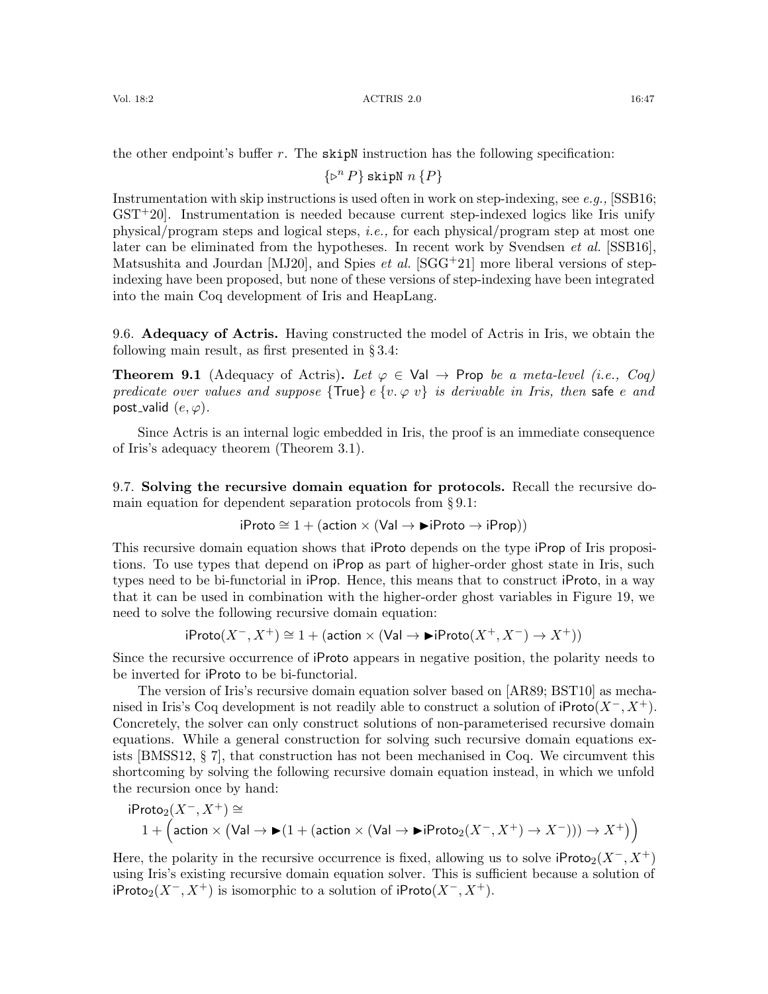Vol. 18:2 16:47 16:47 16:47 16:47 16:47 16:47 16:47

the other endpoint's buffer  $r$ . The skipN instruction has the following specification:

 $\{\triangleright^n P\}$  skipN  $n \{P\}$ 

Instrumentation with skip instructions is used often in work on step-indexing, see e.g.,  $[SSB16;$  $\text{GST}^+20$  $\text{GST}^+20$  $\text{GST}^+20$ . Instrumentation is needed because current step-indexed logics like Iris unify physical/program steps and logical steps, i.e., for each physical/program step at most one later can be eliminated from the hypotheses. In recent work by Svendsen *et al.* [\[SSB16\]](#page-63-7), Matsushita and Jourdan [\[MJ20\]](#page-62-9), and Spies *et al.* [\[SGG](#page-63-8)<sup>+</sup>21] more liberal versions of stepindexing have been proposed, but none of these versions of step-indexing have been integrated into the main Coq development of Iris and HeapLang.

<span id="page-46-0"></span>9.6. Adequacy of Actris. Having constructed the model of Actris in Iris, we obtain the following main result, as first presented in § [3.4:](#page-15-1)

**Theorem 9.1** (Adequacy of Actris). Let  $\varphi \in \text{Val} \to \text{Prop }$  be a meta-level (i.e., Coq) predicate over values and suppose {True} e {v.  $\varphi$  v} is derivable in Iris, then safe e and post\_valid  $(e, \varphi)$ .

Since Actris is an internal logic embedded in Iris, the proof is an immediate consequence of Iris's adequacy theorem (Theorem [3.1\)](#page-15-3).

<span id="page-46-1"></span>9.7. Solving the recursive domain equation for protocols. Recall the recursive domain equation for dependent separation protocols from § [9.1:](#page-40-0)

$$
iProb \cong 1 + (action \times (Val \rightarrow \blacktriangleright iProb \rightarrow iProp))
$$

This recursive domain equation shows that iProto depends on the type iProp of Iris propositions. To use types that depend on iProp as part of higher-order ghost state in Iris, such types need to be bi-functorial in iProp. Hence, this means that to construct iProto, in a way that it can be used in combination with the higher-order ghost variables in Figure [19,](#page-43-1) we need to solve the following recursive domain equation:

$$
\mathsf{iProb}(X^-, X^+) \cong 1 + (\mathsf{action} \times (\mathsf{Val} \to \mathbf{I}) \mathsf{Proto}(X^+, X^-) \to X^+))
$$

Since the recursive occurrence of iProto appears in negative position, the polarity needs to be inverted for iProto to be bi-functorial.

The version of Iris's recursive domain equation solver based on [\[AR89;](#page-59-6) [BST10\]](#page-60-10) as mechanised in Iris's Coq development is not readily able to construct a solution of  $iProof(X^-, X^+).$ Concretely, the solver can only construct solutions of non-parameterised recursive domain equations. While a general construction for solving such recursive domain equations exists [\[BMSS12,](#page-60-11) § 7], that construction has not been mechanised in Coq. We circumvent this shortcoming by solving the following recursive domain equation instead, in which we unfold the recursion once by hand:

$$
iProb_2(X^-, X^+) \cong 1 + \Big(\text{action} \times (\text{Val} \to \blacktriangleright (1 + (\text{action} \times (\text{Val} \to \blacktriangleright iProb_2(X^-, X^+) \to X^-))) \to X^+\big)\Big)
$$

Here, the polarity in the recursive occurrence is fixed, allowing us to solve  $iProto<sub>2</sub>(X<sup>-</sup>, X<sup>+</sup>)$ using Iris's existing recursive domain equation solver. This is sufficient because a solution of iProto<sub>2</sub>( $X^-$ ,  $X^+$ ) is isomorphic to a solution of iProto( $X^-$ ,  $X^+$ ).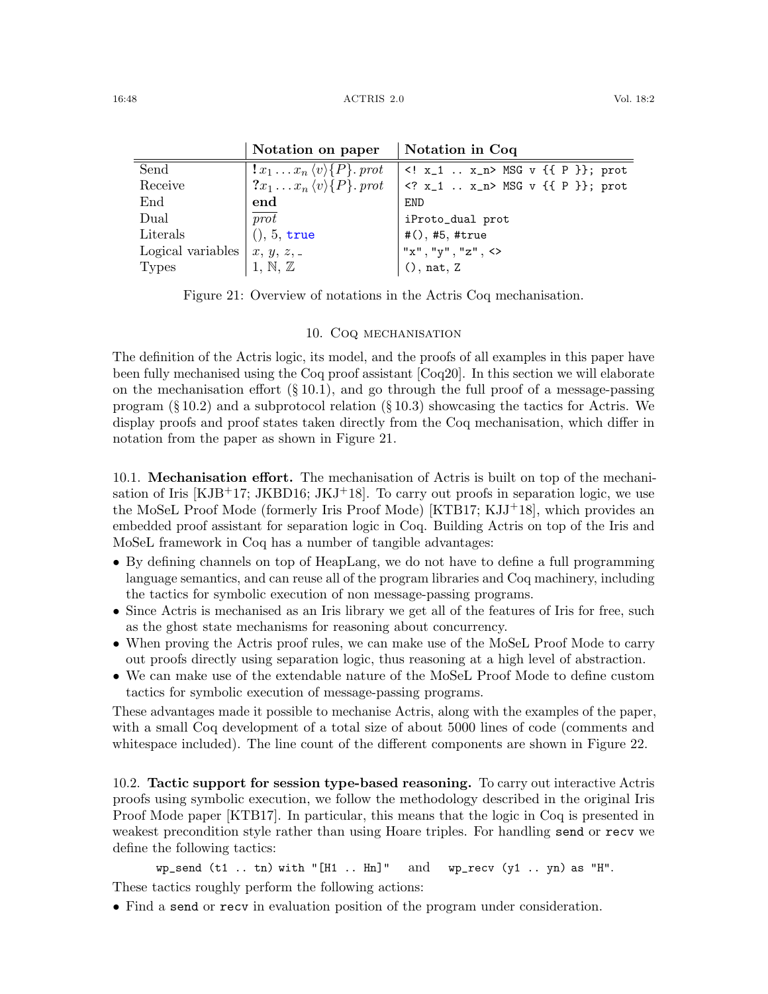|                                                  | Notation on paper                                 | Notation in Coq                  |
|--------------------------------------------------|---------------------------------------------------|----------------------------------|
| Send                                             | $x_1 \ldots x_n \langle v \rangle \{P\}$ . prot   | x_1  x_n MSG v {{ P }}; prot     |
| Receive                                          | $\{x_1 \ldots x_n \langle v \rangle \{P\}.\;prot$ | $ $ x_1  x_n MSG v {{ P }}; prot |
| End                                              | end                                               | <b>END</b>                       |
| Dual                                             | $\overline{prot}$                                 | iProto_dual prot                 |
| Literals                                         | (), 5, true                                       | # $(),$ #5, #true                |
| Logical variables $\mid x, y, z, \ldots \rangle$ |                                                   | $''x''$ , "y", "z", <>           |
| <b>Types</b>                                     | 1, N, Z                                           | (), nat, Z                       |

<span id="page-47-3"></span>Figure 21: Overview of notations in the Actris Coq mechanisation.

## 10. COQ MECHANISATION

<span id="page-47-0"></span>The definition of the Actris logic, its model, and the proofs of all examples in this paper have been fully mechanised using the Coq proof assistant [\[Coq20\]](#page-60-12). In this section we will elaborate on the mechanisation effort  $(\S 10.1)$  $(\S 10.1)$ , and go through the full proof of a message-passing program  $(\S 10.2)$  $(\S 10.2)$  and a subprotocol relation  $(\S 10.3)$  $(\S 10.3)$  showcasing the tactics for Actris. We display proofs and proof states taken directly from the Coq mechanisation, which differ in notation from the paper as shown in Figure [21.](#page-47-3)

<span id="page-47-1"></span>10.1. Mechanisation effort. The mechanisation of Actris is built on top of the mechanisation of Iris  $[KJB^+17$  $[KJB^+17$ ; [JKBD16;](#page-61-1) [JKJ](#page-62-2)<sup>+</sup>18. To carry out proofs in separation logic, we use the MoSeL Proof Mode (formerly Iris Proof Mode) [\[KTB17;](#page-62-10) [KJJ](#page-62-11)+18], which provides an embedded proof assistant for separation logic in Coq. Building Actris on top of the Iris and MoSeL framework in Coq has a number of tangible advantages:

- By defining channels on top of HeapLang, we do not have to define a full programming language semantics, and can reuse all of the program libraries and Coq machinery, including the tactics for symbolic execution of non message-passing programs.
- Since Actris is mechanised as an Iris library we get all of the features of Iris for free, such as the ghost state mechanisms for reasoning about concurrency.
- When proving the Actris proof rules, we can make use of the MoSeL Proof Mode to carry out proofs directly using separation logic, thus reasoning at a high level of abstraction.
- We can make use of the extendable nature of the MoSeL Proof Mode to define custom tactics for symbolic execution of message-passing programs.

These advantages made it possible to mechanise Actris, along with the examples of the paper, with a small Coq development of a total size of about 5000 lines of code (comments and whitespace included). The line count of the different components are shown in Figure [22.](#page-48-0)

<span id="page-47-2"></span>10.2. Tactic support for session type-based reasoning. To carry out interactive Actris proofs using symbolic execution, we follow the methodology described in the original Iris Proof Mode paper [\[KTB17\]](#page-62-10). In particular, this means that the logic in Coq is presented in weakest precondition style rather than using Hoare triples. For handling send or recv we define the following tactics:

 $wp\_send$  (t1 .. tn) with "[H1 .. Hn]" and  $wp\_recv$  (y1 .. yn) as "H". These tactics roughly perform the following actions:

• Find a send or recv in evaluation position of the program under consideration.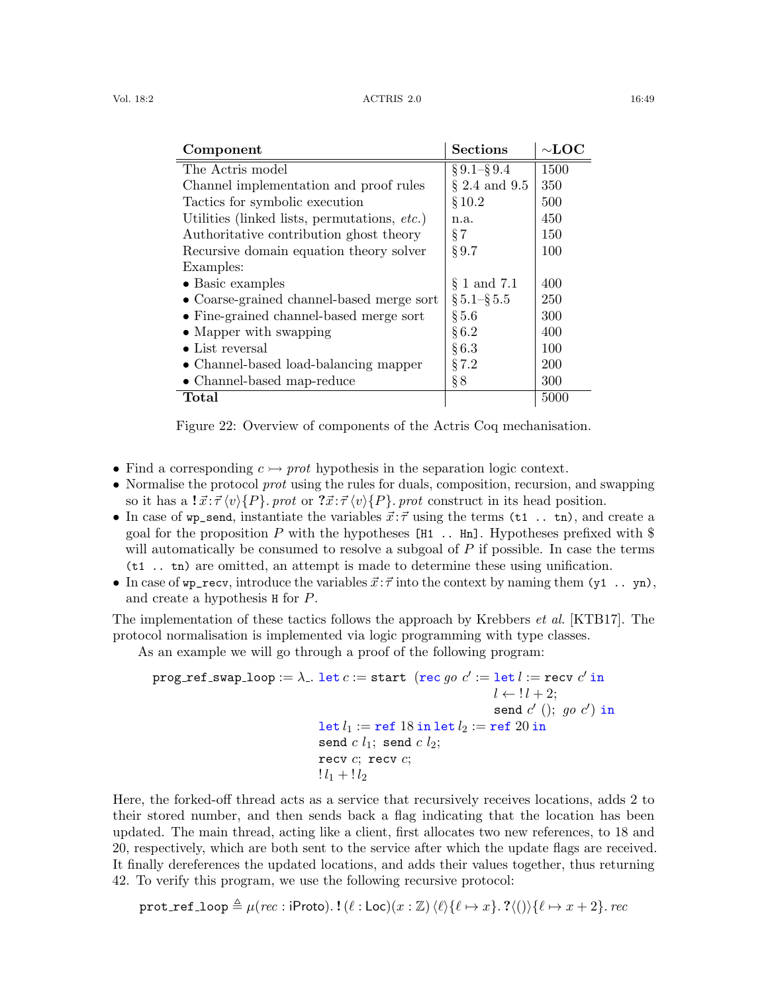| Vol. 18:2 | ACTRIS 2.0 | 16:49 |
|-----------|------------|-------|
|           |            |       |

| Component                                    | <b>Sections</b>    | $\sim$ LOC |
|----------------------------------------------|--------------------|------------|
| The Actris model                             | $\S 9.1 - \S 9.4$  | 1500       |
| Channel implementation and proof rules       | $\S 2.4$ and $9.5$ | 350        |
| Tactics for symbolic execution               | §10.2              | 500        |
| Utilities (linked lists, permutations, etc.) | n.a.               | 450        |
| Authoritative contribution ghost theory      | $\S 7$             | 150        |
| Recursive domain equation theory solver      | $\S 9.7$           | 100        |
| Examples:                                    |                    |            |
| $\bullet$ Basic examples                     | $\S 1$ and 7.1     | 400        |
| • Coarse-grained channel-based merge sort    | $\S 5.1 - \S 5.5$  | 250        |
| • Fine-grained channel-based merge sort      | $\S 5.6$           | 300        |
| $\bullet$ Mapper with swapping               | $\S 6.2$           | 400        |
| $\bullet$ List reversal                      | §6.3               | 100        |
| • Channel-based load-balancing mapper        | § 7.2              | 200        |
| • Channel-based map-reduce                   | $\S 8$             | 300        |
| Total                                        |                    | 5000       |

<span id="page-48-0"></span>Figure 22: Overview of components of the Actris Coq mechanisation.

- Find a corresponding  $c \rightarrow prot$  hypothesis in the separation logic context.
- Normalise the protocol *prot* using the rules for duals, composition, recursion, and swapping so it has a  $\vec{x} \cdot \vec{\tau} \langle v \rangle \{P\}$ . prot or  $\vec{x} \cdot \vec{\tau} \langle v \rangle \{P\}$ . prot construct in its head position.
- In case of wp\_send, instantiate the variables  $\vec{x}$ :  $\vec{\tau}$  using the terms (t1... tn), and create a goal for the proposition P with the hypotheses  $[H1 \dots Hn]$ . Hypotheses prefixed with \$ will automatically be consumed to resolve a subgoal of  $P$  if possible. In case the terms (t1 .. tn) are omitted, an attempt is made to determine these using unification.
- In case of  $wp\_recv$ , introduce the variables  $\vec{x}$ :  $\vec{\tau}$  into the context by naming them (y1 .. yn), and create a hypothesis H for P.

The implementation of these tactics follows the approach by Krebbers *et al.* [\[KTB17\]](#page-62-10). The protocol normalisation is implemented via logic programming with type classes.

As an example we will go through a proof of the following program:

```
\texttt{prog\_ref\_swap\_loop} := \lambda. let c := \texttt{start}\ \ (\texttt{rec}\ go\ c' := \texttt{let}\ l := \texttt{recv}\ c' \ \texttt{in}l \leftarrow l + 2;
                                                                                         send c' (); go\ c') in
                                          let l_1 := \mathtt{ref} 18 in let l_2 := \mathtt{ref} 20 in
                                          send c l_1; send c l_2;
                                          recv c; recv c;
                                          ! l_1 + 1 l_2
```
Here, the forked-off thread acts as a service that recursively receives locations, adds 2 to their stored number, and then sends back a flag indicating that the location has been updated. The main thread, acting like a client, first allocates two new references, to 18 and 20, respectively, which are both sent to the service after which the update flags are received. It finally dereferences the updated locations, and adds their values together, thus returning 42. To verify this program, we use the following recursive protocol:

prot\_ref\_loop  $\triangleq \mu(rec : \text{if} \text{Proto}).$  !  $(\ell : \text{Loc})(x : \mathbb{Z})\langle \ell \rangle \{\ell \mapsto x\}.$  ? $\langle () \rangle \{\ell \mapsto x + 2\}.$  rec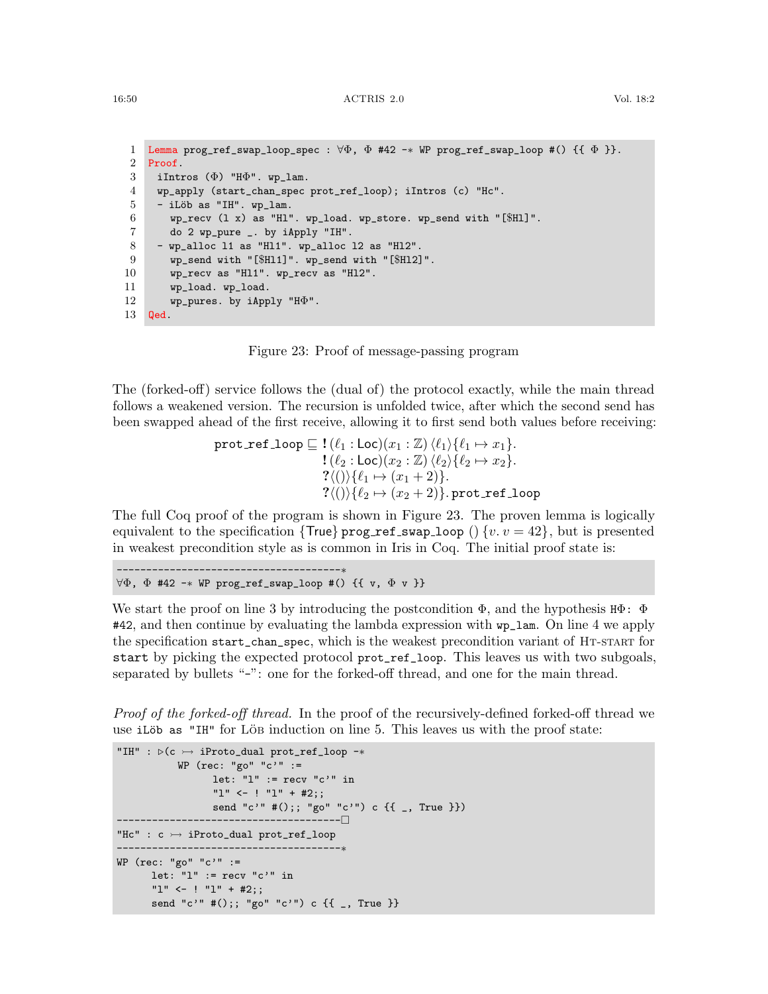```
1 Lemma prog_ref_swap_loop_spec : \forall \Phi, \Phi #42 -* WP prog_ref_swap_loop #() {{ \Phi }}.
 2 Proof.
 3 iIntros (\Phi) "H\Phi". wp_lam.
 4 wp_apply (start_chan_spec prot_ref_loop); iIntros (c) "Hc".
 5 - iLöb as "IH". wp_lam.
 6 wp_recv (1 \t x) as "H1". wp_load. wp_store. wp_send with "[$H1]".
 7 do 2 wp_pure _. by iApply "IH".
 8 - wp_alloc l1 as "Hl1". wp_alloc l2 as "Hl2".
 9 wp_send with "[$Hl1]". wp_send with "[$Hl2]".
10 wp_recv as "Hl1". wp_recv as "Hl2".
11 wp_load. wp_load.
12 wp_pures. by iApply "H\Phi".
13 Qed.
```
<span id="page-49-9"></span><span id="page-49-8"></span><span id="page-49-0"></span>

<span id="page-49-10"></span>The (forked-off) service follows the (dual of) the protocol exactly, while the main thread follows a weakened version. The recursion is unfolded twice, after which the second send has been swapped ahead of the first receive, allowing it to first send both values before receiving:

$$
\texttt{prot\_ref\_loop} \sqsubseteq ! (\ell_1 : \texttt{Loc})(x_1 : \mathbb{Z}) \langle \ell_1 \rangle \{ \ell_1 \mapsto x_1 \}.
$$
\n
$$
! (\ell_2 : \texttt{Loc})(x_2 : \mathbb{Z}) \langle \ell_2 \rangle \{ \ell_2 \mapsto x_2 \}.
$$
\n
$$
? \langle () \rangle \{ \ell_1 \mapsto (x_1 + 2) \}.
$$
\n
$$
? \langle () \rangle \{ \ell_2 \mapsto (x_2 + 2) \}.\texttt{prot\_ref\_loop}
$$

The full Coq proof of the program is shown in Figure [23.](#page-49-0) The proven lemma is logically equivalent to the specification {True} prog\_ref\_swap\_loop () {v.  $v = 42$ }, but is presented in weakest precondition style as is common in Iris in Coq. The initial proof state is:

```
∀Φ, Φ #42 -∗ WP prog_ref_swap_loop #() {{ v, Φ v }}
```
--------------------------------------∗

We start the proof on [line 3](#page-49-1) by introducing the postcondition  $\Phi$ , and the hypothesis  $H\Phi$ :  $\Phi$ #42, and then continue by evaluating the lambda expression with wp\_lam. On [line 4](#page-49-2) we apply the specification start\_chan\_spec, which is the weakest precondition variant of HT-START for start by picking the expected protocol prot\_ref\_loop. This leaves us with two subgoals, separated by bullets "-": one for the forked-off thread, and one for the main thread.

Proof of the forked-off thread. In the proof of the recursively-defined forked-off thread we use iLöb as "IH" for Löb induction on [line 5.](#page-49-3) This leaves us with the proof state:

```
"IH" : \triangleright (c \rightarrow iProto_dual prot_ref_loop -*
           WP (rec: "go" "c'" :=
                  let: "1" := recv "c" in
                  "l" <- ! "l" + #2;;
                  send "c'" #();; "go" "c'") c \{{[ _, True }})
                  --------------------------------------
"Hc" : c \rightarrow iProto_dual prot_ref_loop
    --------------------------------------∗
WP (rec: "go" "c'" :=
      let: "l" := recv "c'" in
      "l" <- ! "l" + #2;;
      send "c'" #();; "go" "c'") c \{{ _, True }}
```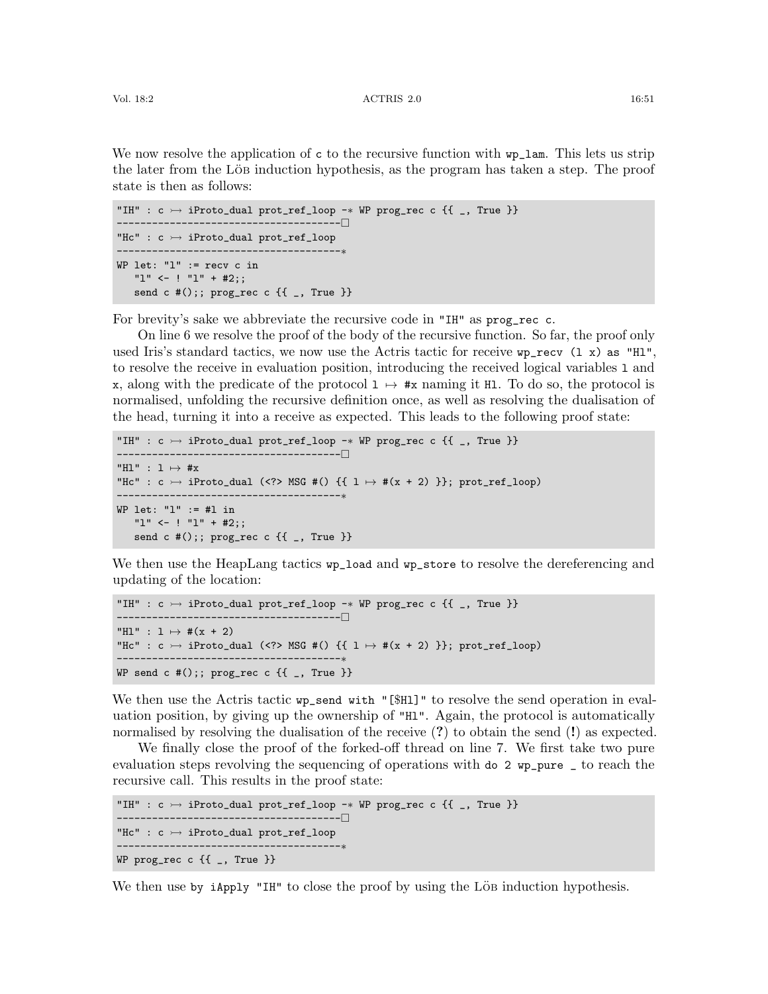We now resolve the application of c to the recursive function with  $wp\_lam$ . This lets us strip the later from the Löb induction hypothesis, as the program has taken a step. The proof state is then as follows:

```
"IH" : c \rightarrow iProto_dual prot_ref_loop -* WP prog_rec c {{ _, True }}
               --------------------------------------
"Hc" : c \rightarrow iProto_dual prot_ref_loop
     --------------------------------------∗
WP let: "l" := recv c in
   "l" <- ! "l" + #2;;
   send c #();; prog_rec c \{{ _, True }}
```
For brevity's sake we abbreviate the recursive code in "IH" as prog\_rec c.

On [line 6](#page-49-4) we resolve the proof of the body of the recursive function. So far, the proof only used Iris's standard tactics, we now use the Actris tactic for receive  $wp\_recv$  (1 x) as "H1", to resolve the receive in evaluation position, introducing the received logical variables l and x, along with the predicate of the protocol  $1 \mapsto \#x$  naming it Hl. To do so, the protocol is normalised, unfolding the recursive definition once, as well as resolving the dualisation of the head, turning it into a receive as expected. This leads to the following proof state:

```
"IH" : c \rightarrow iProto_dual prot_ref_loop -* WP prog_rec c {{ _, True }}
         --------------------------------------
"Hl" : 1 \mapsto \#x"Hc" : c \rightarrow iProto_dual (<?> MSG #() {{ 1 \rightarrow #(x + 2) }}; prot_ref_loop)
                              --------------------------------------∗
WP let: "l" := #l in
   "l" <- ! "l" + #2;;
   send c #();; prog_rec c \{{ _, True }}
```
We then use the HeapLang tactics  $wp\_load$  and  $wp\_store$  to resolve the dereferencing and updating of the location:

```
"IH" : c \rightarrow iProto_dual prot_ref_loop -* WP prog_rec c {{ _, True }}
--------------------------------------
"H1" : 1 \mapsto #(x + 2)"Hc" : c \rightarrow iProto_dual (<?> MSG #() {{ 1 \rightarrow #(x + 2) }}; prot_ref_loop)
--------------------------------------∗
WP send c #();; prog_rec c {f_{-}}, True }
```
We then use the Actris tactic  $wp\_send$  with "[\$Hl]" to resolve the send operation in evaluation position, by giving up the ownership of "Hl". Again, the protocol is automatically normalised by resolving the dualisation of the receive (?) to obtain the send (!) as expected.

We finally close the proof of the forked-off thread on [line 7.](#page-49-5) We first take two pure evaluation steps revolving the sequencing of operations with do 2 wp\_pure \_ to reach the recursive call. This results in the proof state:

```
"IH" : c \rightarrow iProto_dual prot_ref_loop -* WP prog_rec c {{ _, True }}
 --------------------------------------
"Hc" : c \rightarrow iProto_dual prot_ref_loop
     ------------------
WP prog_rec c {{ _, True }}
```
We then use by iApply "IH" to close the proof by using the Löb induction hypothesis.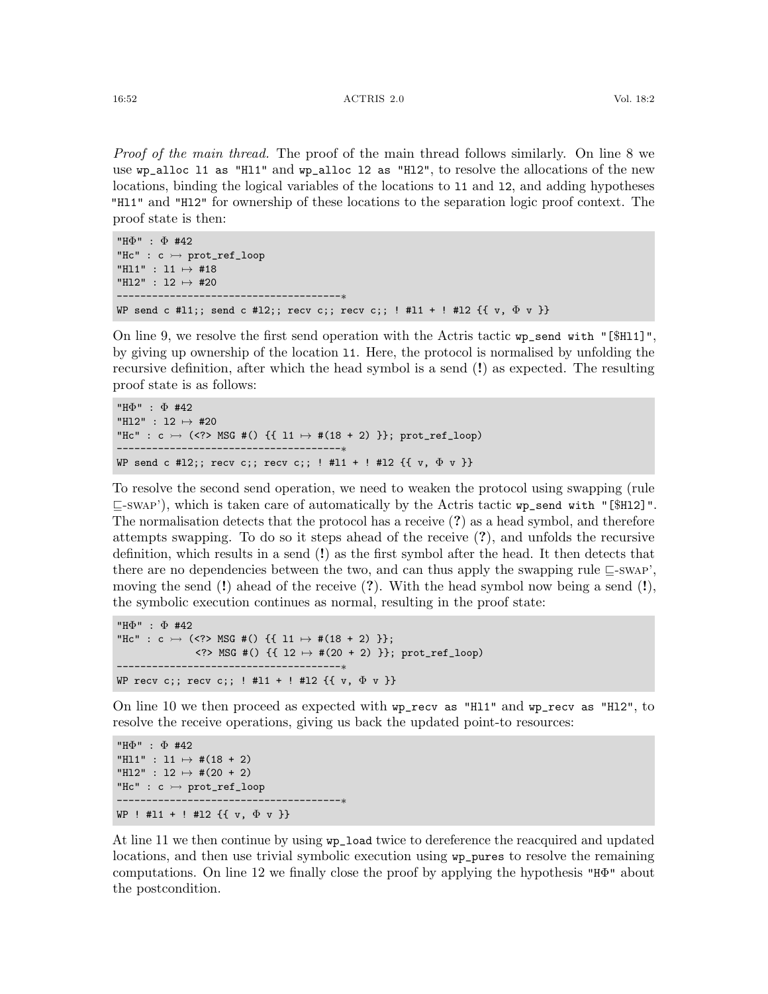Proof of the main thread. The proof of the main thread follows similarly. On [line 8](#page-49-6) we use wp\_alloc l1 as "Hl1" and wp\_alloc l2 as "Hl2", to resolve the allocations of the new locations, binding the logical variables of the locations to l1 and l2, and adding hypotheses "Hl1" and "Hl2" for ownership of these locations to the separation logic proof context. The proof state is then:

```
"HΦ" : Φ #42
"Hc" : c \rightarrow prot_ref_loop
"Hl1" : l1 7→ #18
"H12" : 12 \mapsto #20
--------------------------------------∗
WP send c #11;; send c #12;; recv c;; recv c;; ! #11 + ! #12 \{\{ v, \Phi v \} \}
```
On [line 9,](#page-49-7) we resolve the first send operation with the Actris tactic wp\_send with "[\$Hl1]", by giving up ownership of the location l1. Here, the protocol is normalised by unfolding the recursive definition, after which the head symbol is a send (!) as expected. The resulting proof state is as follows:

```
"HΦ" : Φ #42
"H12" : 12 \mapsto #20
"Hc" : c \rightarrow (<?> MSG #() {{ 11 \mapsto #(18 + 2) }}; prot_ref_loop)
      .-------------------------------<sub>*</sub>
WP send c #12;; recv c;; recv c;; ! #11 + ! #12 \{\{\ v, \ \Phi \ v\ \}\}\
```
To resolve the second send operation, we need to weaken the protocol using swapping (rule  $\Box$ [-swap'](#page-25-3)), which is taken care of automatically by the Actris tactic wp\_send with "[\$H12]". The normalisation detects that the protocol has a receive (?) as a head symbol, and therefore attempts swapping. To do so it steps ahead of the receive (?), and unfolds the recursive definition, which results in a send (!) as the first symbol after the head. It then detects that there are no dependencies between the two, and can thus apply the swapping rule  $\Box$ [-swap'](#page-25-3), moving the send  $(!)$  ahead of the receive  $(?)$ . With the head symbol now being a send  $(!)$ , the symbolic execution continues as normal, resulting in the proof state:

```
"HΦ" : Φ #42
"Hc" : c \rightarrow (<?> MSG #() {{ 11 \mapsto #(18 + 2) }};
               \langle ? \rangle MSG #() {{ 12 \mapsto #(20 + 2) }}; prot_ref_loop)
         --------------------------------------∗
WP recv c;; recv c;; ! #11 + ! #12 \{ \{ v, \Phi v \} \}
```
On [line 10](#page-49-8) we then proceed as expected with wp\_recv as "Hl1" and wp\_recv as "Hl2", to resolve the receive operations, giving us back the updated point-to resources:

```
"HΦ" : Φ #42
"H11" : 11 \mapsto #(18 + 2)
"H12" : 12 \mapsto #(20 + 2)
"Hc" : c \rightarrow prot_ref_loop
--------------------------------------∗
WP ! #11 + ! #12 \{\{ v, \Phi v \} \}
```
At [line 11](#page-49-9) we then continue by using wp\_load twice to dereference the reacquired and updated locations, and then use trivial symbolic execution using wp\_pures to resolve the remaining computations. On [line 12](#page-49-10) we finally close the proof by applying the hypothesis "HΦ" about the postcondition.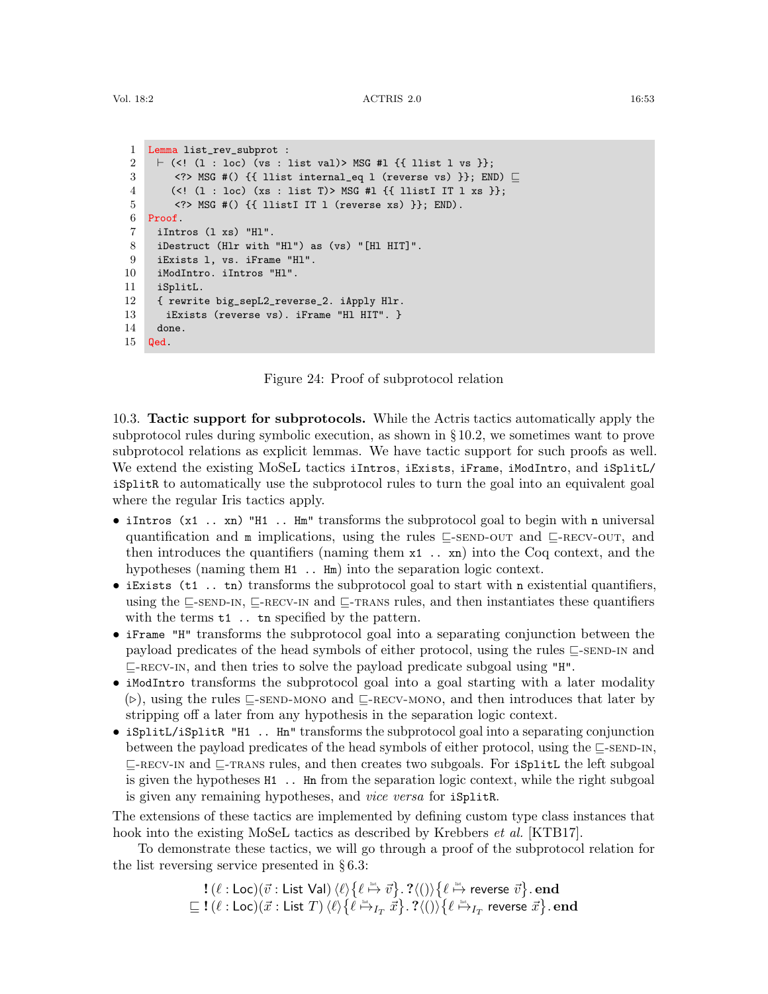```
1 Lemma list_rev_subprot :
 2 \vdash (<! (1 : loc) (vs : list val)> MSG #l {{ llist l vs }};
 3 <?> MSG #() {{ llist internal_eq l (reverse vs) }}; END) \sqsubseteq4 (<! (l : loc) (xs : list T)> MSG #l {{ llistI IT l xs }};
 5 <?> MSG #() {{ llistI IT l (reverse xs) }}; END).
 6 Proof.
 7 iIntros (l xs) "Hl".
 8 iDestruct (Hlr with "Hl") as (vs) "[Hl HIT]".
 9 iExists l, vs. iFrame "Hl".
10 iModIntro. iIntros "Hl".
11 iSplitL.
12 { rewrite big_sepL2_reverse_2. iApply Hlr.
13 iExists (reverse vs). iFrame "Hl HIT". }
14 done.
15 Qed.
```
<span id="page-52-1"></span>Figure 24: Proof of subprotocol relation

<span id="page-52-9"></span><span id="page-52-8"></span><span id="page-52-7"></span><span id="page-52-0"></span>10.3. Tactic support for subprotocols. While the Actris tactics automatically apply the subprotocol rules during symbolic execution, as shown in § [10.2,](#page-47-2) we sometimes want to prove subprotocol relations as explicit lemmas. We have tactic support for such proofs as well. We extend the existing MoSeL tactics iIntros, iExists, iFrame, iModIntro, and iSplitL/ iSplitR to automatically use the subprotocol rules to turn the goal into an equivalent goal where the regular Iris tactics apply.

- iIntros (x1 .. xn) "H1 .. Hm" transforms the subprotocol goal to begin with n universal quantification and  $m$  implications, using the rules  $\sqsubseteq$ [-send-out](#page-27-1) and  $\sqsubseteq$ [-recv-out](#page-27-2), and then introduces the quantifiers (naming them  $x1$ ...  $xn$ ) into the Coq context, and the hypotheses (naming them  $H1$ ..  $Hm$ ) into the separation logic context.
- iExists (t1 .. tn) transforms the subprotocol goal to start with n existential quantifiers, using the  $\subseteq$ [-send-in](#page-27-3),  $\subseteq$ [-recv-in](#page-27-4) and  $\subseteq$ -reans rules, and then instantiates these quantifiers with the terms  $t1$ . tn specified by the pattern.
- iFrame "H" transforms the subprotocol goal into a separating conjunction between the payload predicates of the head symbols of either protocol, using the rules  $\subseteq$ [-send-in](#page-27-3) and  $\sqsubseteq$ -RECV-IN, and then tries to solve the payload predicate subgoal using "H".
- iModIntro transforms the subprotocol goal into a goal starting with a later modality  $(\triangleright)$ , using the rules  $\sqsubset$ [-send-mono](#page-27-5) and  $\sqsubset$ [-recv-mono](#page-27-6), and then introduces that later by stripping off a later from any hypothesis in the separation logic context.
- iSplitL/iSplitR "H1 .. Hn" transforms the subprotocol goal into a separating conjunction between the payload predicates of the head symbols of either protocol, using the  $\Box$ [-send-in](#page-27-3),  $\sqsubseteq$ -RECV-IN and  $\sqsubseteq$ -TRANS rules, and then creates two subgoals. For iSplitL the left subgoal is given the hypotheses H1 .. Hn from the separation logic context, while the right subgoal is given any remaining hypotheses, and vice versa for iSplitR.

The extensions of these tactics are implemented by defining custom type class instances that hook into the existing MoSeL tactics as described by Krebbers *et al.* [\[KTB17\]](#page-62-10).

To demonstrate these tactics, we will go through a proof of the subprotocol relation for the list reversing service presented in § [6.3:](#page-30-0)

$$
\begin{array}{l} \textbf{!}\ (\ell:\mathsf{Loc})(\vec{v}:\mathsf{List\; Val}) \ \langle \ell \rangle \big\{ \ell \stackrel{\text{\tiny{list.}}}{\mapsto} \vec{v} \big\}.\ \textbf{?}\langle () \rangle \big\{ \ell \stackrel{\text{\tiny{list.}}}{\mapsto} \text{reverse}\ \vec{v} \big\}.\ \textbf{end} \\ \sqsubseteq \textbf{!}\ (\ell:\mathsf{Loc})(\vec{x}:\mathsf{List}\;T) \ \langle \ell \rangle \big\{ \ell \stackrel{\text{\tiny{list.}}}{\mapsto}_{I_T} \vec{x} \big\}.\ \textbf{?}\langle () \rangle \big\{ \ell \stackrel{\text{\tiny{list.}}}{\mapsto}_{I_T} \ \text{reverse}\ \vec{x} \big\}.\ \textbf{end} \\ \end{array}
$$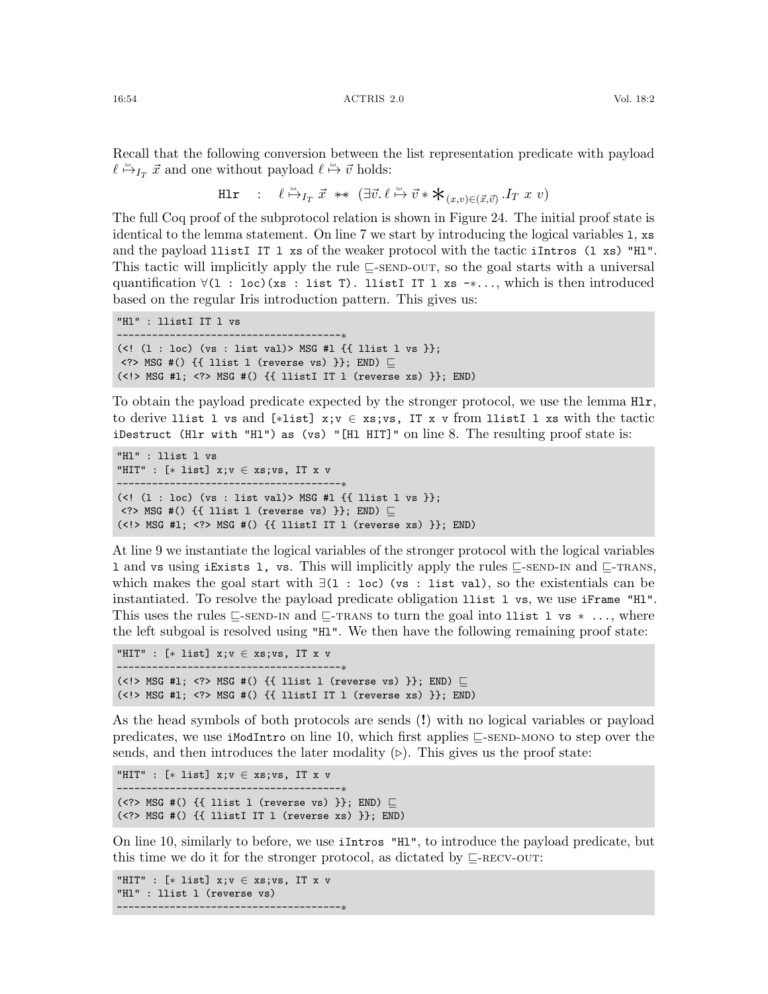Recall that the following conversion between the list representation predicate with payload  $\ell \stackrel{\text{dist}}{\mapsto} I_T \vec{x}$  and one without payload  $\ell \stackrel{\text{dist}}{\mapsto} \vec{v}$  holds:

H1r : 
$$
\ell \stackrel{\text{list}}{\mapsto} I_T \vec{x} \ast \ast (\exists \vec{v}.\ell \stackrel{\text{list}}{\mapsto} \vec{v} \ast \mathbf{\ast}_{(x,v) \in (\vec{x}, \vec{v})}.I_T x v)
$$

The full Coq proof of the subprotocol relation is shown in Figure [24.](#page-52-1) The initial proof state is identical to the lemma statement. On [line 7](#page-52-2) we start by introducing the logical variables l, xs and the payload llistI IT l xs of the weaker protocol with the tactic iIntros (l xs) "Hl". This tactic will implicitly apply the rule  $\subseteq$ [-send-out](#page-27-1), so the goal starts with a universal quantification ∀(l : loc)(xs : list T). llistI IT l xs -∗..., which is then introduced based on the regular Iris introduction pattern. This gives us:

```
"Hl" : llistI IT l vs
--------------------------------------∗
(<! (1 : \text{loc}) (vs : list val)> MSG #1 \{ { llist 1 vs }};
\langle ? \rangle MSG #() {{ llist l (reverse vs) }}; END) \Box(\langle\cdot|\rangle) MSG #1; \langle\cdot|\rangle MSG #(\rangle) {{ llistI IT 1 (reverse xs) }}; END)
```
To obtain the payload predicate expected by the stronger protocol, we use the lemma Hlr, to derive llist l vs and [∗list] x;v ∈ xs;vs, IT x v from llistI l xs with the tactic iDestruct (Hlr with "Hl") as (vs) "[Hl HIT]" on [line 8.](#page-52-3) The resulting proof state is:

```
"Hl" : llist l vs
"HIT" : [∗ list] x;v ∈ xs;vs, IT x v
        .------------------------------
(<! (1 : \text{loc}) (vs : list val)> MSG #1 \{ { llist 1 vs }};
\langle?> MSG #() {{ llist l (reverse vs) }}; END) \subseteq(<!> MSG #l; <?> MSG #() {{ llistI IT l (reverse xs) }}; END)
```
At [line 9](#page-52-4) we instantiate the logical variables of the stronger protocol with the logical variables 1 and vs using iExists 1, vs. This will implicitly apply the rules  $\subseteq$ [-send-in](#page-27-3) and  $\subseteq$ [-trans](#page-27-9), which makes the goal start with ∃(l : loc) (vs : list val), so the existentials can be instantiated. To resolve the payload predicate obligation llist l vs, we use iFrame "Hl". This uses the rules  $\subseteq$ [-send-in](#page-27-3) and  $\subseteq$ [-trans](#page-27-9) to turn the goal into llist l vs  $*$  ..., where the left subgoal is resolved using "Hl". We then have the following remaining proof state:

```
"HIT" : [* list] x; v \in xs; vs. IT x v--------------------------------------∗
(<!> MSG #1; <?> MSG #() {{ llist l (reverse vs) }}; END) \sqsubseteq(<!> MSG #l; <?> MSG #() {{ llistI IT l (reverse xs) }}; END)
```
As the head symbols of both protocols are sends (!) with no logical variables or payload predicates, we use iModIntro on [line 10,](#page-52-5) which first applies  $\subseteq$ [-send-mono](#page-27-5) to step over the sends, and then introduces the later modality  $(\triangleright)$ . This gives us the proof state:

```
"HIT" : [* list] x; v \in xs; vs, IT x v-------------------------<sub>*</sub>
(<?> MSG #() {{ llist l (reverse vs) }}; END) \sqsubseteq(<?> MSG #() {{ llistI IT l (reverse xs) }}; END)
```
On [line 10,](#page-52-5) similarly to before, we use iIntros "Hl", to introduce the payload predicate, but this time we do it for the stronger protocol, as dictated by  $\sqsubseteq$ -RECV-OUT:

"HIT" : [∗ list] x;v ∈ xs;vs, IT x v "Hl" : llist l (reverse vs) --------------------------------------∗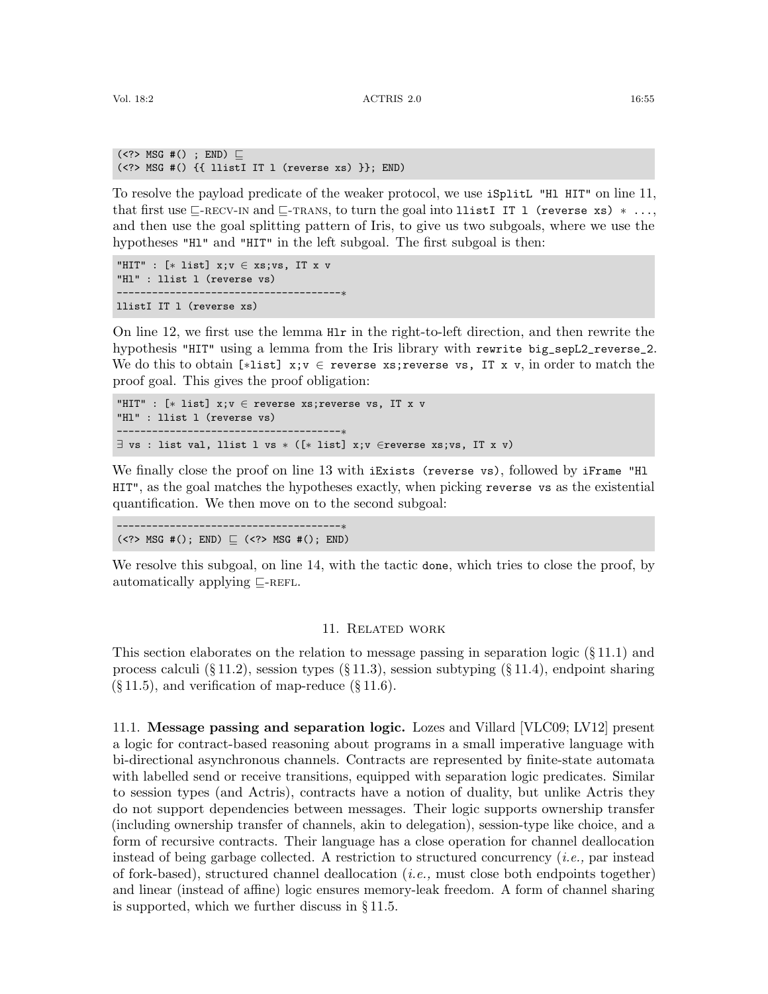```
(\leq ?> MSG #() ; END) \sqsubseteq(\langle ? \rangle MSG #() \{ [listI IT l (reverse xs) \}; END)
```
To resolve the payload predicate of the weaker protocol, we use iSplitL "Hl HIT" on [line 11,](#page-52-6) that first use  $\subseteq$ -RECV-IN and  $\subseteq$ -TRANS, to turn the goal into llistI IT l (reverse xs)  $*$ ... and then use the goal splitting pattern of Iris, to give us two subgoals, where we use the hypotheses "H<sub>1</sub>" and "H<sub>1</sub>T" in the left subgoal. The first subgoal is then:

```
"HIT" : [* list] x; v \in xs; vs, IT x v"Hl" : llist l (reverse vs)
--------------------------------------∗
llistI IT l (reverse xs)
```
On [line 12,](#page-52-7) we first use the lemma Hlr in the right-to-left direction, and then rewrite the hypothesis "HIT" using a lemma from the Iris library with rewrite big\_sepL2\_reverse\_2. We do this to obtain [\*list]  $x; v \in$  reverse xs;reverse vs, IT x v, in order to match the proof goal. This gives the proof obligation:

```
"HIT" : [∗ list] x;v ∈ reverse xs;reverse vs, IT x v
"Hl" : llist l (reverse vs)
--------------------------------------∗
\exists vs : list val, llist l vs * ([* list] x; v \inreverse xs; vs, IT x v)
```
We finally close the proof on [line 13](#page-52-8) with iExists (reverse vs), followed by iFrame "Hl HIT", as the goal matches the hypotheses exactly, when picking reverse vs as the existential quantification. We then move on to the second subgoal:

--------------------------------------∗  $(\langle ? \rangle$  MSG #(); END)  $\sqsubseteq$  ( $\langle ? \rangle$  MSG #(); END)

We resolve this subgoal, on [line 14,](#page-52-9) with the tactic done, which tries to close the proof, by automatically applying  $\subseteq$ -REFL.

#### 11. Related work

This section elaborates on the relation to message passing in separation logic  $(\S 11.1)$  $(\S 11.1)$  and process calculi  $(\S 11.2)$  $(\S 11.2)$ , session types  $(\S 11.3)$  $(\S 11.3)$ , session subtyping  $(\S 11.4)$  $(\S 11.4)$ , endpoint sharing  $(\S 11.5)$  $(\S 11.5)$ , and verification of map-reduce  $(\S 11.6)$  $(\S 11.6)$ .

<span id="page-54-0"></span>11.1. Message passing and separation logic. Lozes and Villard [\[VLC09;](#page-63-9) [LV12\]](#page-62-3) present a logic for contract-based reasoning about programs in a small imperative language with bi-directional asynchronous channels. Contracts are represented by finite-state automata with labelled send or receive transitions, equipped with separation logic predicates. Similar to session types (and Actris), contracts have a notion of duality, but unlike Actris they do not support dependencies between messages. Their logic supports ownership transfer (including ownership transfer of channels, akin to delegation), session-type like choice, and a form of recursive contracts. Their language has a close operation for channel deallocation instead of being garbage collected. A restriction to structured concurrency (i.e., par instead of fork-based), structured channel deallocation (i.e., must close both endpoints together) and linear (instead of affine) logic ensures memory-leak freedom. A form of channel sharing is supported, which we further discuss in § [11.5.](#page-57-1)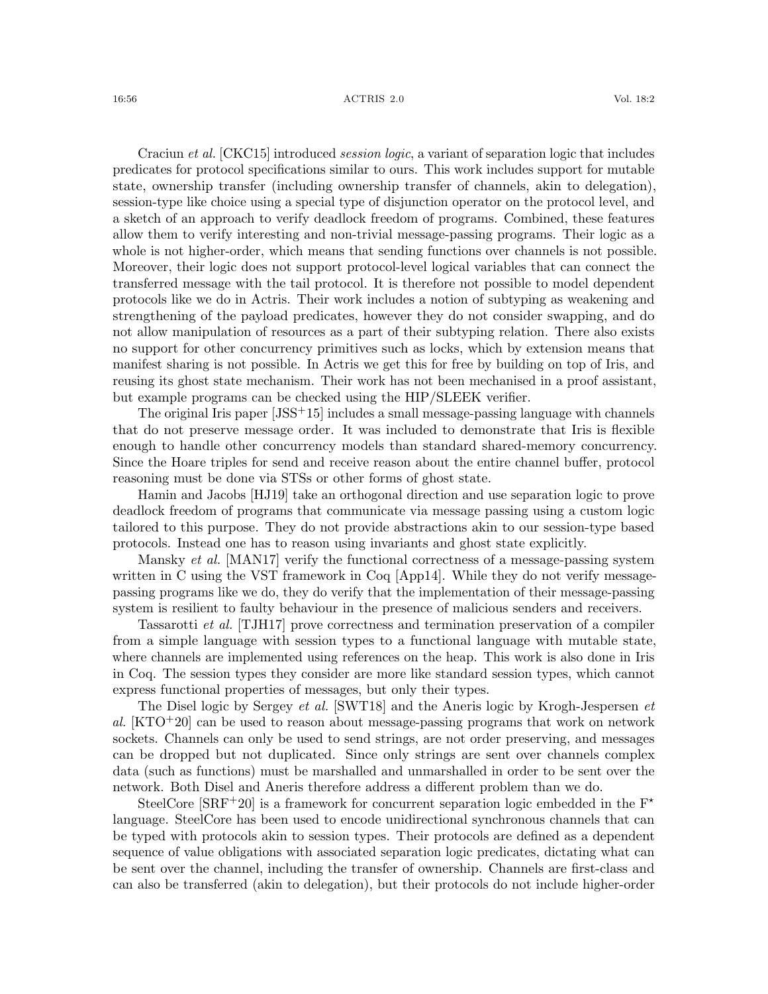#### 16:56 ACTRIS 2.0 Vol. 18:2

Craciun *et al.* [\[CKC15\]](#page-60-1) introduced *session logic*, a variant of separation logic that includes predicates for protocol specifications similar to ours. This work includes support for mutable state, ownership transfer (including ownership transfer of channels, akin to delegation), session-type like choice using a special type of disjunction operator on the protocol level, and a sketch of an approach to verify deadlock freedom of programs. Combined, these features allow them to verify interesting and non-trivial message-passing programs. Their logic as a whole is not higher-order, which means that sending functions over channels is not possible. Moreover, their logic does not support protocol-level logical variables that can connect the transferred message with the tail protocol. It is therefore not possible to model dependent protocols like we do in Actris. Their work includes a notion of subtyping as weakening and strengthening of the payload predicates, however they do not consider swapping, and do not allow manipulation of resources as a part of their subtyping relation. There also exists no support for other concurrency primitives such as locks, which by extension means that manifest sharing is not possible. In Actris we get this for free by building on top of Iris, and reusing its ghost state mechanism. Their work has not been mechanised in a proof assistant, but example programs can be checked using the HIP/SLEEK verifier.

The original Iris paper [\[JSS](#page-62-0)+15] includes a small message-passing language with channels that do not preserve message order. It was included to demonstrate that Iris is flexible enough to handle other concurrency models than standard shared-memory concurrency. Since the Hoare triples for send and receive reason about the entire channel buffer, protocol reasoning must be done via STSs or other forms of ghost state.

Hamin and Jacobs [\[HJ19\]](#page-61-11) take an orthogonal direction and use separation logic to prove deadlock freedom of programs that communicate via message passing using a custom logic tailored to this purpose. They do not provide abstractions akin to our session-type based protocols. Instead one has to reason using invariants and ghost state explicitly.

Mansky et al. [\[MAN17\]](#page-62-12) verify the functional correctness of a message-passing system written in C using the VST framework in Coq [\[App14\]](#page-59-0). While they do not verify messagepassing programs like we do, they do verify that the implementation of their message-passing system is resilient to faulty behaviour in the presence of malicious senders and receivers.

Tassarotti et al. [\[TJH17\]](#page-63-6) prove correctness and termination preservation of a compiler from a simple language with session types to a functional language with mutable state, where channels are implemented using references on the heap. This work is also done in Iris in Coq. The session types they consider are more like standard session types, which cannot express functional properties of messages, but only their types.

The Disel logic by Sergey et al. [\[SWT18\]](#page-63-5) and the Aneris logic by Krogh-Jespersen et al.  $[KTO<sup>+</sup>20]$  $[KTO<sup>+</sup>20]$  can be used to reason about message-passing programs that work on network sockets. Channels can only be used to send strings, are not order preserving, and messages can be dropped but not duplicated. Since only strings are sent over channels complex data (such as functions) must be marshalled and unmarshalled in order to be sent over the network. Both Disel and Aneris therefore address a different problem than we do.

SteelCore [\[SRF](#page-63-10)<sup>+</sup>20] is a framework for concurrent separation logic embedded in the  $F^*$ language. SteelCore has been used to encode unidirectional synchronous channels that can be typed with protocols akin to session types. Their protocols are defined as a dependent sequence of value obligations with associated separation logic predicates, dictating what can be sent over the channel, including the transfer of ownership. Channels are first-class and can also be transferred (akin to delegation), but their protocols do not include higher-order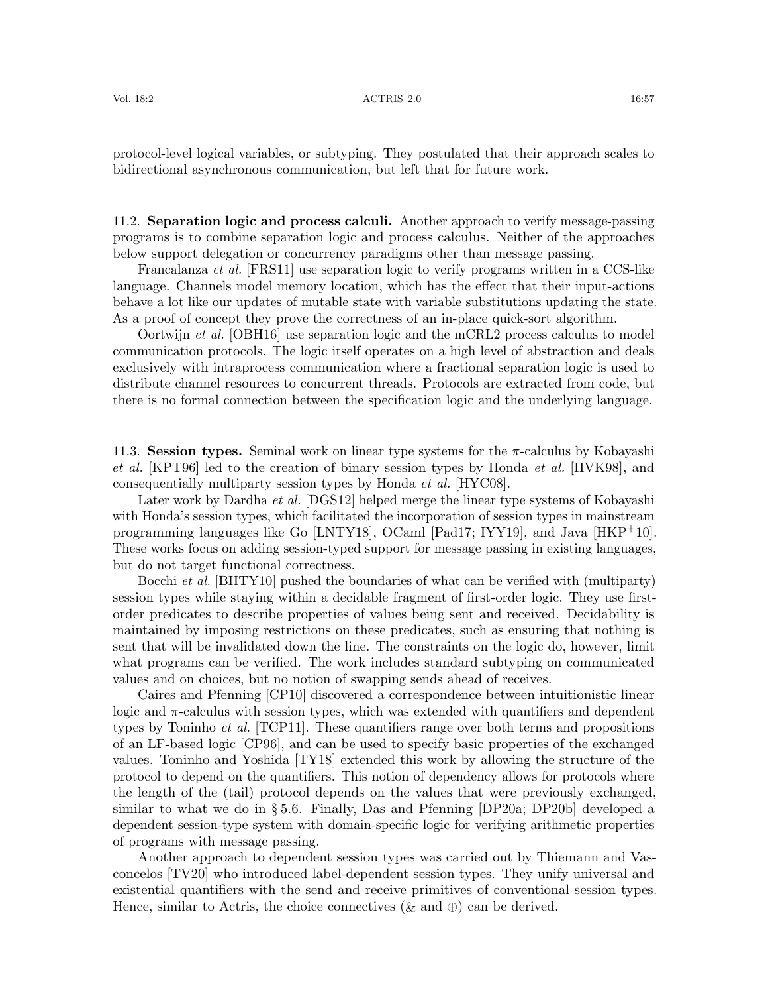protocol-level logical variables, or subtyping. They postulated that their approach scales to bidirectional asynchronous communication, but left that for future work.

<span id="page-56-0"></span>11.2. Separation logic and process calculi. Another approach to verify message-passing programs is to combine separation logic and process calculus. Neither of the approaches below support delegation or concurrency paradigms other than message passing.

Francalanza et al. [\[FRS11\]](#page-60-0) use separation logic to verify programs written in a CCS-like language. Channels model memory location, which has the effect that their input-actions behave a lot like our updates of mutable state with variable substitutions updating the state. As a proof of concept they prove the correctness of an in-place quick-sort algorithm.

Oortwijn et al. [\[OBH16\]](#page-63-3) use separation logic and the mCRL2 process calculus to model communication protocols. The logic itself operates on a high level of abstraction and deals exclusively with intraprocess communication where a fractional separation logic is used to distribute channel resources to concurrent threads. Protocols are extracted from code, but there is no formal connection between the specification logic and the underlying language.

<span id="page-56-1"></span>11.3. Session types. Seminal work on linear type systems for the  $\pi$ -calculus by Kobayashi et al. [\[KPT96\]](#page-62-13) led to the creation of binary session types by Honda *et al.* [\[HVK98\]](#page-61-2), and consequentially multiparty session types by Honda et al. [\[HYC08\]](#page-61-12).

Later work by Dardha *et al.* [\[DGS12\]](#page-60-13) helped merge the linear type systems of Kobayashi with Honda's session types, which facilitated the incorporation of session types in mainstream programming languages like Go [\[LNTY18\]](#page-62-14), OCaml [\[Pad17;](#page-63-11) [IYY19\]](#page-61-13), and Java [\[HKP](#page-61-14)+10]. These works focus on adding session-typed support for message passing in existing languages, but do not target functional correctness.

Bocchi et al. [\[BHTY10\]](#page-60-3) pushed the boundaries of what can be verified with (multiparty) session types while staying within a decidable fragment of first-order logic. They use firstorder predicates to describe properties of values being sent and received. Decidability is maintained by imposing restrictions on these predicates, such as ensuring that nothing is sent that will be invalidated down the line. The constraints on the logic do, however, limit what programs can be verified. The work includes standard subtyping on communicated values and on choices, but no notion of swapping sends ahead of receives.

Caires and Pfenning [\[CP10\]](#page-60-14) discovered a correspondence between intuitionistic linear logic and  $\pi$ -calculus with session types, which was extended with quantifiers and dependent types by Toninho *et al.* [\[TCP11\]](#page-63-12). These quantifiers range over both terms and propositions of an LF-based logic [\[CP96\]](#page-60-15), and can be used to specify basic properties of the exchanged values. Toninho and Yoshida [\[TY18\]](#page-63-13) extended this work by allowing the structure of the protocol to depend on the quantifiers. This notion of dependency allows for protocols where the length of the (tail) protocol depends on the values that were previously exchanged, similar to what we do in § [5.6.](#page-22-0) Finally, Das and Pfenning [\[DP20a;](#page-60-16) [DP20b\]](#page-60-17) developed a dependent session-type system with domain-specific logic for verifying arithmetic properties of programs with message passing.

Another approach to dependent session types was carried out by Thiemann and Vasconcelos [\[TV20\]](#page-63-14) who introduced label-dependent session types. They unify universal and existential quantifiers with the send and receive primitives of conventional session types. Hence, similar to Actris, the choice connectives ( $\&$  and  $\oplus$ ) can be derived.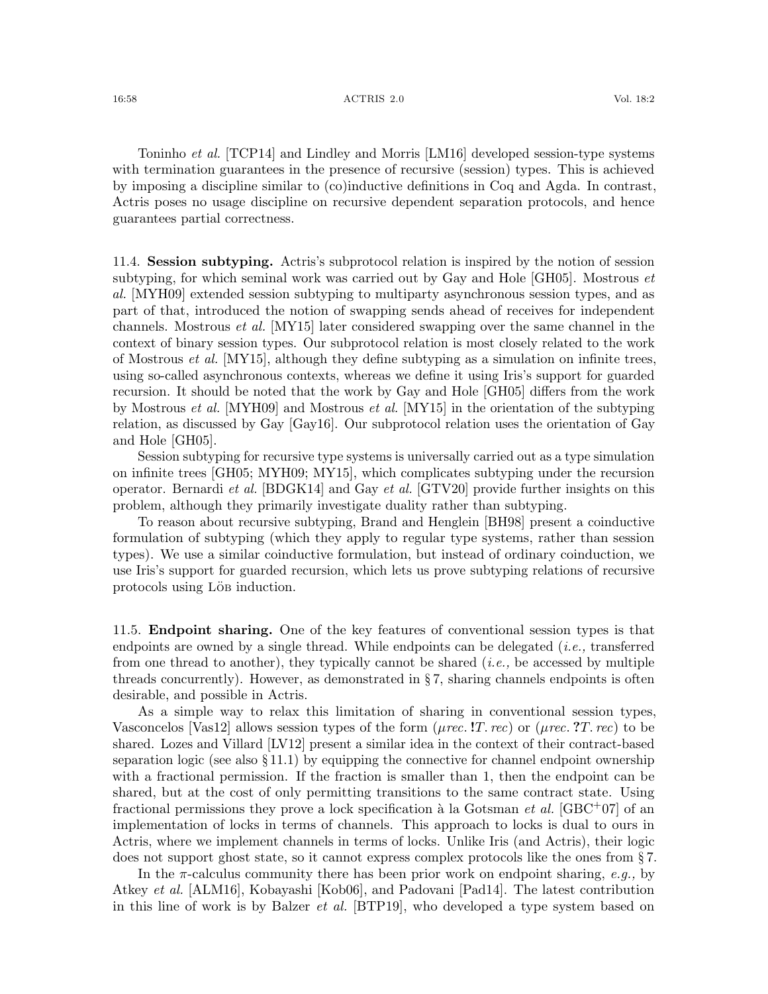Toninho et al. [\[TCP14\]](#page-63-15) and Lindley and Morris [\[LM16\]](#page-62-15) developed session-type systems with termination guarantees in the presence of recursive (session) types. This is achieved by imposing a discipline similar to (co)inductive definitions in Coq and Agda. In contrast, Actris poses no usage discipline on recursive dependent separation protocols, and hence guarantees partial correctness.

<span id="page-57-0"></span>11.4. Session subtyping. Actris's subprotocol relation is inspired by the notion of session subtyping, for which seminal work was carried out by Gay and Hole [\[GH05\]](#page-61-15). Mostrous  $et$ al. [\[MYH09\]](#page-62-6) extended session subtyping to multiparty asynchronous session types, and as part of that, introduced the notion of swapping sends ahead of receives for independent channels. Mostrous et al. [\[MY15\]](#page-62-7) later considered swapping over the same channel in the context of binary session types. Our subprotocol relation is most closely related to the work of Mostrous *et al.* [\[MY15\]](#page-62-7), although they define subtyping as a simulation on infinite trees, using so-called asynchronous contexts, whereas we define it using Iris's support for guarded recursion. It should be noted that the work by Gay and Hole [\[GH05\]](#page-61-15) differs from the work by Mostrous et al. [\[MYH09\]](#page-62-6) and Mostrous et al. [\[MY15\]](#page-62-7) in the orientation of the subtyping relation, as discussed by Gay [\[Gay16\]](#page-60-18). Our subprotocol relation uses the orientation of Gay and Hole [\[GH05\]](#page-61-15).

Session subtyping for recursive type systems is universally carried out as a type simulation on infinite trees [\[GH05;](#page-61-15) [MYH09;](#page-62-6) [MY15\]](#page-62-7), which complicates subtyping under the recursion operator. Bernardi et al. [\[BDGK14\]](#page-59-7) and Gay et al. [\[GTV20\]](#page-61-16) provide further insights on this problem, although they primarily investigate duality rather than subtyping.

To reason about recursive subtyping, Brand and Henglein [\[BH98\]](#page-60-4) present a coinductive formulation of subtyping (which they apply to regular type systems, rather than session types). We use a similar coinductive formulation, but instead of ordinary coinduction, we use Iris's support for guarded recursion, which lets us prove subtyping relations of recursive protocols using Lö<sub>B</sub> induction.

<span id="page-57-1"></span>11.5. Endpoint sharing. One of the key features of conventional session types is that endpoints are owned by a single thread. While endpoints can be delegated  $(i.e.,$  transferred from one thread to another), they typically cannot be shared  $(i.e.,$  be accessed by multiple threads concurrently). However, as demonstrated in § [7,](#page-33-0) sharing channels endpoints is often desirable, and possible in Actris.

As a simple way to relax this limitation of sharing in conventional session types, Vasconcelos [\[Vas12\]](#page-63-16) allows session types of the form ( $\mu$ rec. !T. rec) or ( $\mu$ rec. ?T. rec) to be shared. Lozes and Villard [\[LV12\]](#page-62-3) present a similar idea in the context of their contract-based separation logic (see also  $\S 11.1$ ) by equipping the connective for channel endpoint ownership with a fractional permission. If the fraction is smaller than 1, then the endpoint can be shared, but at the cost of only permitting transitions to the same contract state. Using fractional permissions they prove a lock specification à la Gotsman *et al.* [\[GBC](#page-60-19)+07] of an implementation of locks in terms of channels. This approach to locks is dual to ours in Actris, where we implement channels in terms of locks. Unlike Iris (and Actris), their logic does not support ghost state, so it cannot express complex protocols like the ones from § [7.](#page-33-0)

In the  $\pi$ -calculus community there has been prior work on endpoint sharing, e.g., by Atkey et al. [\[ALM16\]](#page-59-8), Kobayashi [\[Kob06\]](#page-62-16), and Padovani [\[Pad14\]](#page-63-17). The latest contribution in this line of work is by Balzer et al. [\[BTP19\]](#page-60-9), who developed a type system based on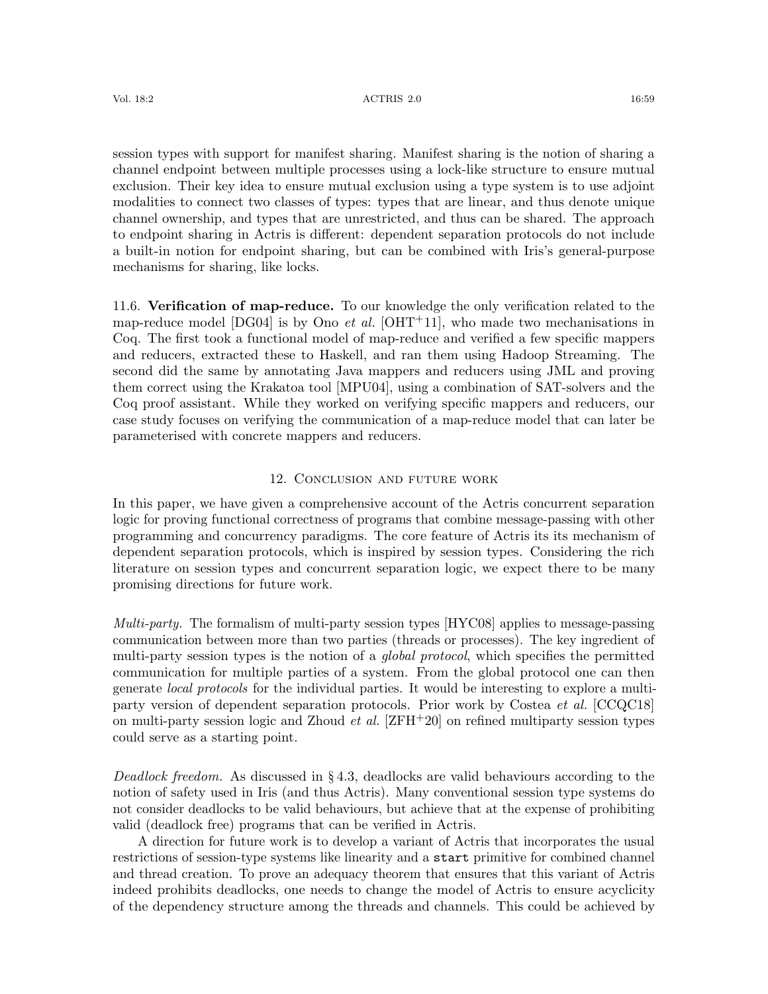#### Vol. 18:2 16:59 16:59 16:59 16:59 16:59 16:59 16:59 16:59 16:59 16:59 16:59 16:59 16:59 16:59 16:59 16:59 16:59

session types with support for manifest sharing. Manifest sharing is the notion of sharing a channel endpoint between multiple processes using a lock-like structure to ensure mutual exclusion. Their key idea to ensure mutual exclusion using a type system is to use adjoint modalities to connect two classes of types: types that are linear, and thus denote unique channel ownership, and types that are unrestricted, and thus can be shared. The approach to endpoint sharing in Actris is different: dependent separation protocols do not include a built-in notion for endpoint sharing, but can be combined with Iris's general-purpose mechanisms for sharing, like locks.

<span id="page-58-0"></span>11.6. Verification of map-reduce. To our knowledge the only verification related to the map-reduce model [\[DG04\]](#page-60-5) is by Ono *et al.* [\[OHT](#page-63-18)<sup>+</sup>11], who made two mechanisations in Coq. The first took a functional model of map-reduce and verified a few specific mappers and reducers, extracted these to Haskell, and ran them using Hadoop Streaming. The second did the same by annotating Java mappers and reducers using JML and proving them correct using the Krakatoa tool [\[MPU04\]](#page-62-17), using a combination of SAT-solvers and the Coq proof assistant. While they worked on verifying specific mappers and reducers, our case study focuses on verifying the communication of a map-reduce model that can later be parameterised with concrete mappers and reducers.

# 12. Conclusion and future work

In this paper, we have given a comprehensive account of the Actris concurrent separation logic for proving functional correctness of programs that combine message-passing with other programming and concurrency paradigms. The core feature of Actris its its mechanism of dependent separation protocols, which is inspired by session types. Considering the rich literature on session types and concurrent separation logic, we expect there to be many promising directions for future work.

Multi-party. The formalism of multi-party session types [\[HYC08\]](#page-61-12) applies to message-passing communication between more than two parties (threads or processes). The key ingredient of multi-party session types is the notion of a global protocol, which specifies the permitted communication for multiple parties of a system. From the global protocol one can then generate local protocols for the individual parties. It would be interesting to explore a multiparty version of dependent separation protocols. Prior work by Costea et al. [\[CCQC18\]](#page-60-20) on multi-party session logic and Zhoud *et al.*  $[ZFH^+20]$  $[ZFH^+20]$  on refined multiparty session types could serve as a starting point.

Deadlock freedom. As discussed in § [4.3,](#page-17-1) deadlocks are valid behaviours according to the notion of safety used in Iris (and thus Actris). Many conventional session type systems do not consider deadlocks to be valid behaviours, but achieve that at the expense of prohibiting valid (deadlock free) programs that can be verified in Actris.

A direction for future work is to develop a variant of Actris that incorporates the usual restrictions of session-type systems like linearity and a start primitive for combined channel and thread creation. To prove an adequacy theorem that ensures that this variant of Actris indeed prohibits deadlocks, one needs to change the model of Actris to ensure acyclicity of the dependency structure among the threads and channels. This could be achieved by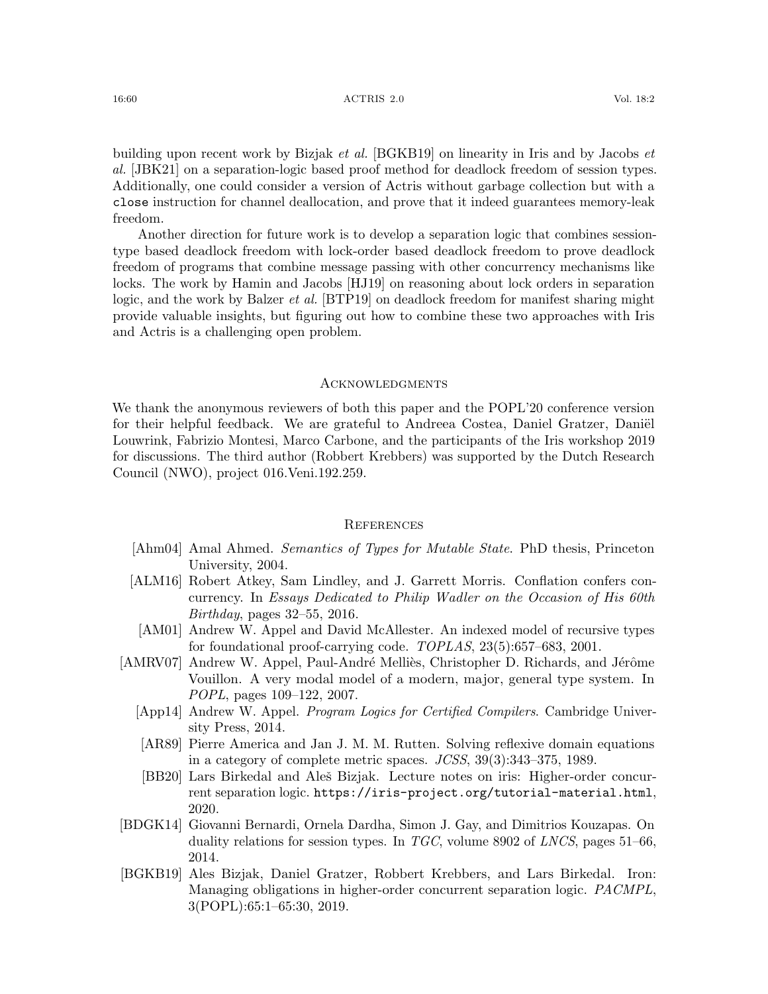building upon recent work by Bizjak et al. [\[BGKB19\]](#page-59-1) on linearity in Iris and by Jacobs et al. [\[JBK21\]](#page-61-17) on a separation-logic based proof method for deadlock freedom of session types. Additionally, one could consider a version of Actris without garbage collection but with a close instruction for channel deallocation, and prove that it indeed guarantees memory-leak freedom.

Another direction for future work is to develop a separation logic that combines sessiontype based deadlock freedom with lock-order based deadlock freedom to prove deadlock freedom of programs that combine message passing with other concurrency mechanisms like locks. The work by Hamin and Jacobs [\[HJ19\]](#page-61-11) on reasoning about lock orders in separation logic, and the work by Balzer *et al.* [\[BTP19\]](#page-60-9) on deadlock freedom for manifest sharing might provide valuable insights, but figuring out how to combine these two approaches with Iris and Actris is a challenging open problem.

#### Acknowledgments

We thank the anonymous reviewers of both this paper and the POPL'20 conference version for their helpful feedback. We are grateful to Andreea Costea, Daniel Gratzer, Daniël Louwrink, Fabrizio Montesi, Marco Carbone, and the participants of the Iris workshop 2019 for discussions. The third author (Robbert Krebbers) was supported by the Dutch Research Council (NWO), project 016.Veni.192.259.

#### **REFERENCES**

- <span id="page-59-4"></span>[Ahm04] Amal Ahmed. Semantics of Types for Mutable State. PhD thesis, Princeton University, 2004.
- <span id="page-59-8"></span>[ALM16] Robert Atkey, Sam Lindley, and J. Garrett Morris. Conflation confers concurrency. In Essays Dedicated to Philip Wadler on the Occasion of His 60th Birthday, pages 32–55, 2016.
- <span id="page-59-3"></span>[AM01] Andrew W. Appel and David McAllester. An indexed model of recursive types for foundational proof-carrying code. TOPLAS, 23(5):657–683, 2001.
- <span id="page-59-6"></span><span id="page-59-5"></span><span id="page-59-0"></span>[AMRV07] Andrew W. Appel, Paul-André Melliès, Christopher D. Richards, and Jérôme Vouillon. A very modal model of a modern, major, general type system. In POPL, pages 109–122, 2007.
	- [App14] Andrew W. Appel. Program Logics for Certified Compilers. Cambridge University Press, 2014.
	- [AR89] Pierre America and Jan J. M. M. Rutten. Solving reflexive domain equations in a category of complete metric spaces. JCSS, 39(3):343–375, 1989.
	- [BB20] Lars Birkedal and Aleš Bizjak. Lecture notes on iris: Higher-order concurrent separation logic. <https://iris-project.org/tutorial-material.html>, 2020.
- <span id="page-59-7"></span><span id="page-59-2"></span>[BDGK14] Giovanni Bernardi, Ornela Dardha, Simon J. Gay, and Dimitrios Kouzapas. On duality relations for session types. In *TGC*, volume 8902 of *LNCS*, pages 51–66, 2014.
- <span id="page-59-1"></span>[BGKB19] Ales Bizjak, Daniel Gratzer, Robbert Krebbers, and Lars Birkedal. Iron: Managing obligations in higher-order concurrent separation logic. PACMPL, 3(POPL):65:1–65:30, 2019.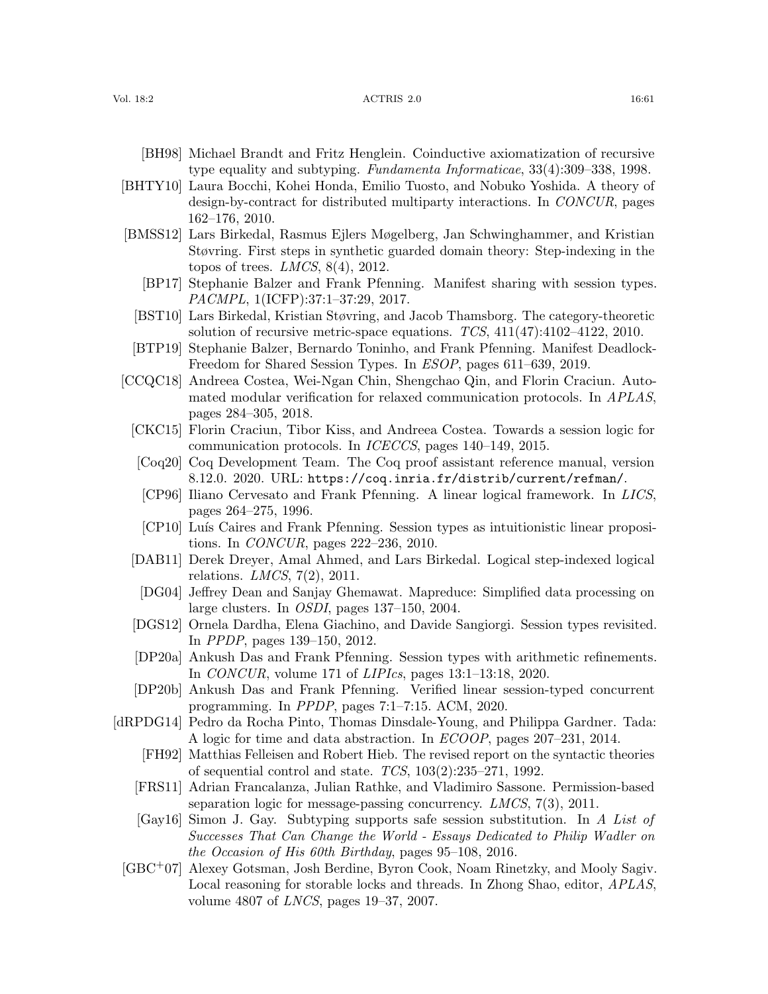#### Vol. 18:2 16:61 18:2 16:61 18:2 16:61 16:51 16:61 16:52 16:61 16:52 16:61 16:52 16:52 16:52 16:52 16:52 16:52 16:52 16:52 16:52 16:52 16:52 16:52 16:52 16:52 16:52 16:52 16:52 16:52 16:52 16:52 16:52 16:52 16:52 16:52 16:5

- <span id="page-60-4"></span>[BH98] Michael Brandt and Fritz Henglein. Coinductive axiomatization of recursive type equality and subtyping. Fundamenta Informaticae, 33(4):309–338, 1998.
- <span id="page-60-3"></span>[BHTY10] Laura Bocchi, Kohei Honda, Emilio Tuosto, and Nobuko Yoshida. A theory of design-by-contract for distributed multiparty interactions. In CONCUR, pages 162–176, 2010.
- <span id="page-60-11"></span><span id="page-60-8"></span>[BMSS12] Lars Birkedal, Rasmus Ejlers Møgelberg, Jan Schwinghammer, and Kristian Støvring. First steps in synthetic guarded domain theory: Step-indexing in the topos of trees.  $LMCS$ ,  $8(4)$ , 2012.
	- [BP17] Stephanie Balzer and Frank Pfenning. Manifest sharing with session types. PACMPL, 1(ICFP):37:1–37:29, 2017.
	- [BST10] Lars Birkedal, Kristian Støvring, and Jacob Thamsborg. The category-theoretic solution of recursive metric-space equations.  $TCS$ ,  $411(47):4102-4122$ , 2010.
	- [BTP19] Stephanie Balzer, Bernardo Toninho, and Frank Pfenning. Manifest Deadlock-Freedom for Shared Session Types. In ESOP, pages 611–639, 2019.
- <span id="page-60-20"></span><span id="page-60-15"></span><span id="page-60-14"></span><span id="page-60-12"></span><span id="page-60-10"></span><span id="page-60-9"></span><span id="page-60-1"></span>[CCQC18] Andreea Costea, Wei-Ngan Chin, Shengchao Qin, and Florin Craciun. Automated modular verification for relaxed communication protocols. In APLAS, pages 284–305, 2018.
	- [CKC15] Florin Craciun, Tibor Kiss, and Andreea Costea. Towards a session logic for communication protocols. In ICECCS, pages 140–149, 2015.
	- [Coq20] Coq Development Team. The Coq proof assistant reference manual, version 8.12.0. 2020. URL: <https://coq.inria.fr/distrib/current/refman/>.
	- [CP96] Iliano Cervesato and Frank Pfenning. A linear logical framework. In LICS, pages 264–275, 1996.
	- [CP10] Luís Caires and Frank Pfenning. Session types as intuitionistic linear propositions. In CONCUR, pages 222–236, 2010.
	- [DAB11] Derek Dreyer, Amal Ahmed, and Lars Birkedal. Logical step-indexed logical relations.  $LMCS$ ,  $7(2)$ ,  $2011$ .
	- [DG04] Jeffrey Dean and Sanjay Ghemawat. Mapreduce: Simplified data processing on large clusters. In OSDI, pages 137–150, 2004.
	- [DGS12] Ornela Dardha, Elena Giachino, and Davide Sangiorgi. Session types revisited. In PPDP, pages 139–150, 2012.
	- [DP20a] Ankush Das and Frank Pfenning. Session types with arithmetic refinements. In CONCUR, volume 171 of LIPIcs, pages 13:1–13:18, 2020.
	- [DP20b] Ankush Das and Frank Pfenning. Verified linear session-typed concurrent programming. In PPDP, pages 7:1–7:15. ACM, 2020.
- <span id="page-60-19"></span><span id="page-60-18"></span><span id="page-60-17"></span><span id="page-60-16"></span><span id="page-60-13"></span><span id="page-60-7"></span><span id="page-60-6"></span><span id="page-60-5"></span><span id="page-60-2"></span><span id="page-60-0"></span>[dRPDG14] Pedro da Rocha Pinto, Thomas Dinsdale-Young, and Philippa Gardner. Tada: A logic for time and data abstraction. In ECOOP, pages 207–231, 2014.
	- [FH92] Matthias Felleisen and Robert Hieb. The revised report on the syntactic theories of sequential control and state.  $TCS$ ,  $103(2):235-271$ , 1992.
	- [FRS11] Adrian Francalanza, Julian Rathke, and Vladimiro Sassone. Permission-based separation logic for message-passing concurrency. LMCS, 7(3), 2011.
	- [Gay16] Simon J. Gay. Subtyping supports safe session substitution. In A List of Successes That Can Change the World - Essays Dedicated to Philip Wadler on the Occasion of His 60th Birthday, pages 95–108, 2016.
	- [GBC+07] Alexey Gotsman, Josh Berdine, Byron Cook, Noam Rinetzky, and Mooly Sagiv. Local reasoning for storable locks and threads. In Zhong Shao, editor, APLAS, volume 4807 of LNCS, pages 19–37, 2007.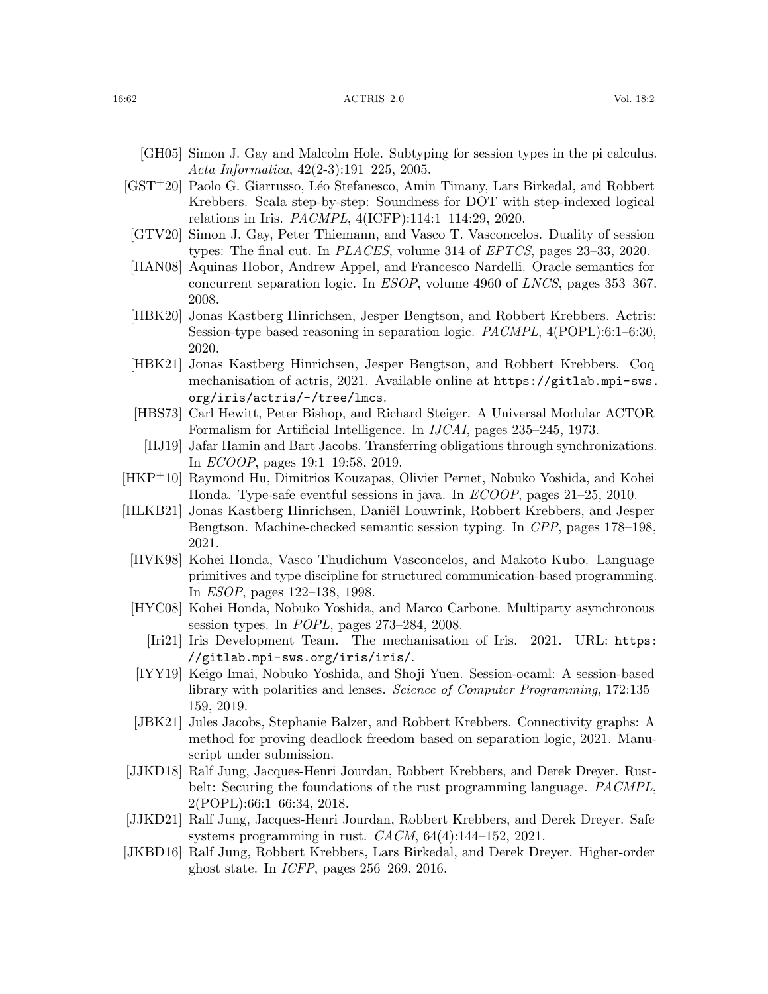- <span id="page-61-15"></span>[GH05] Simon J. Gay and Malcolm Hole. Subtyping for session types in the pi calculus. Acta Informatica, 42(2-3):191–225, 2005.
- <span id="page-61-10"></span>[GST<sup>+</sup>20] Paolo G. Giarrusso, Léo Stefanesco, Amin Timany, Lars Birkedal, and Robbert Krebbers. Scala step-by-step: Soundness for DOT with step-indexed logical relations in Iris. PACMPL, 4(ICFP):114:1–114:29, 2020.
- <span id="page-61-16"></span>[GTV20] Simon J. Gay, Peter Thiemann, and Vasco T. Vasconcelos. Duality of session types: The final cut. In PLACES, volume 314 of EPTCS, pages 23–33, 2020.
- <span id="page-61-9"></span>[HAN08] Aquinas Hobor, Andrew Appel, and Francesco Nardelli. Oracle semantics for concurrent separation logic. In ESOP, volume 4960 of LNCS, pages 353–367. 2008.
- <span id="page-61-7"></span>[HBK20] Jonas Kastberg Hinrichsen, Jesper Bengtson, and Robbert Krebbers. Actris: Session-type based reasoning in separation logic. PACMPL, 4(POPL):6:1–6:30, 2020.
- <span id="page-61-6"></span>[HBK21] Jonas Kastberg Hinrichsen, Jesper Bengtson, and Robbert Krebbers. Coq mechanisation of actris, 2021. Available online at [https://gitlab.mpi-sws.](https://gitlab.mpi-sws.org/iris/actris/-/tree/lmcs) [org/iris/actris/-/tree/lmcs](https://gitlab.mpi-sws.org/iris/actris/-/tree/lmcs).
- <span id="page-61-0"></span>[HBS73] Carl Hewitt, Peter Bishop, and Richard Steiger. A Universal Modular ACTOR Formalism for Artificial Intelligence. In IJCAI, pages 235–245, 1973.
- <span id="page-61-11"></span>[HJ19] Jafar Hamin and Bart Jacobs. Transferring obligations through synchronizations. In ECOOP, pages 19:1–19:58, 2019.
- <span id="page-61-14"></span>[HKP+10] Raymond Hu, Dimitrios Kouzapas, Olivier Pernet, Nobuko Yoshida, and Kohei Honda. Type-safe eventful sessions in java. In ECOOP, pages 21–25, 2010.
- <span id="page-61-3"></span>[HLKB21] Jonas Kastberg Hinrichsen, Daniël Louwrink, Robbert Krebbers, and Jesper Bengtson. Machine-checked semantic session typing. In CPP, pages 178–198, 2021.
- <span id="page-61-2"></span>[HVK98] Kohei Honda, Vasco Thudichum Vasconcelos, and Makoto Kubo. Language primitives and type discipline for structured communication-based programming. In ESOP, pages 122–138, 1998.
- <span id="page-61-12"></span><span id="page-61-8"></span>[HYC08] Kohei Honda, Nobuko Yoshida, and Marco Carbone. Multiparty asynchronous session types. In POPL, pages 273–284, 2008.
	- [Iri21] Iris Development Team. The mechanisation of Iris. 2021. URL: [https:](https://gitlab.mpi-sws.org/iris/iris/) [//gitlab.mpi-sws.org/iris/iris/](https://gitlab.mpi-sws.org/iris/iris/).
- <span id="page-61-13"></span>[IYY19] Keigo Imai, Nobuko Yoshida, and Shoji Yuen. Session-ocaml: A session-based library with polarities and lenses. Science of Computer Programming, 172:135– 159, 2019.
- <span id="page-61-17"></span>[JBK21] Jules Jacobs, Stephanie Balzer, and Robbert Krebbers. Connectivity graphs: A method for proving deadlock freedom based on separation logic, 2021. Manuscript under submission.
- <span id="page-61-4"></span>[JJKD18] Ralf Jung, Jacques-Henri Jourdan, Robbert Krebbers, and Derek Dreyer. Rustbelt: Securing the foundations of the rust programming language. PACMPL, 2(POPL):66:1–66:34, 2018.
- <span id="page-61-5"></span>[JJKD21] Ralf Jung, Jacques-Henri Jourdan, Robbert Krebbers, and Derek Dreyer. Safe systems programming in rust. CACM, 64(4):144–152, 2021.
- <span id="page-61-1"></span>[JKBD16] Ralf Jung, Robbert Krebbers, Lars Birkedal, and Derek Dreyer. Higher-order ghost state. In ICFP, pages 256–269, 2016.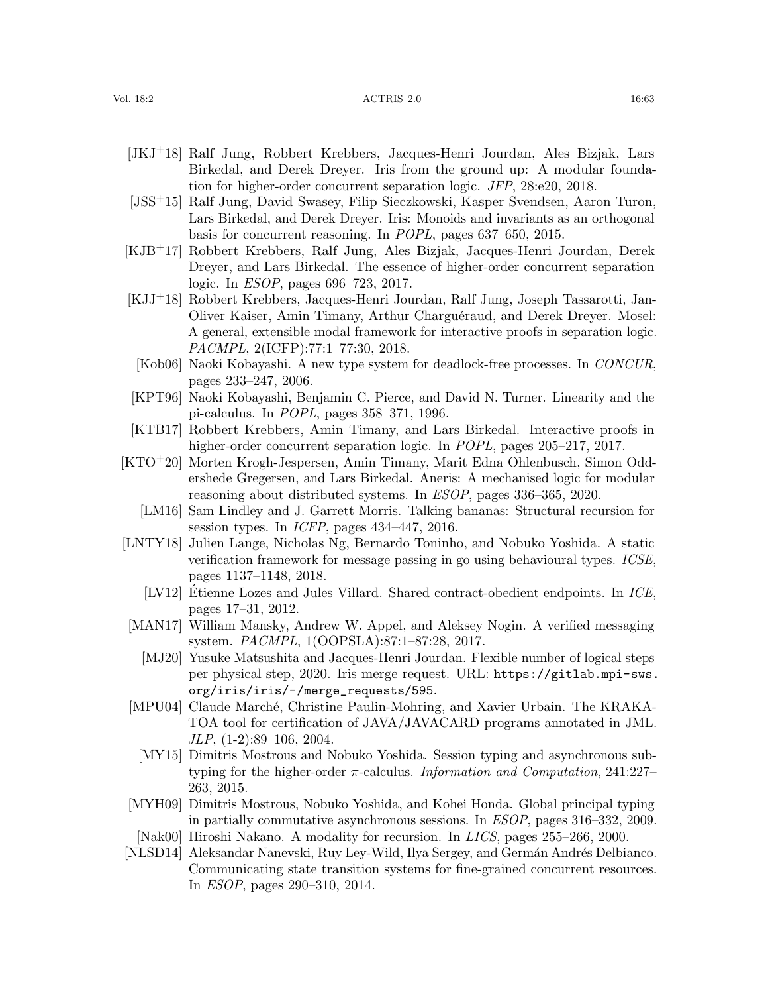#### Vol. 18:2 16:63 16:63 16:64 16:53 2.0 16:63 16:64 16:63 16:63 16:63 16:63 16:63 16:63 16:03 16:03 16:03 16:03 16:03 16:03 16:03 16:03 16:03 16:03 16:03 16:03 16:03 16:03 16:03 16:03 16:03 16:03 16:03 16:03 16:03 16:03 16:0

- <span id="page-62-2"></span>[JKJ+18] Ralf Jung, Robbert Krebbers, Jacques-Henri Jourdan, Ales Bizjak, Lars Birkedal, and Derek Dreyer. Iris from the ground up: A modular foundation for higher-order concurrent separation logic. JFP, 28:e20, 2018.
- <span id="page-62-0"></span>[JSS+15] Ralf Jung, David Swasey, Filip Sieczkowski, Kasper Svendsen, Aaron Turon, Lars Birkedal, and Derek Dreyer. Iris: Monoids and invariants as an orthogonal basis for concurrent reasoning. In POPL, pages 637–650, 2015.
- <span id="page-62-1"></span>[KJB+17] Robbert Krebbers, Ralf Jung, Ales Bizjak, Jacques-Henri Jourdan, Derek Dreyer, and Lars Birkedal. The essence of higher-order concurrent separation logic. In ESOP, pages 696–723, 2017.
- <span id="page-62-11"></span>[KJJ+18] Robbert Krebbers, Jacques-Henri Jourdan, Ralf Jung, Joseph Tassarotti, Jan-Oliver Kaiser, Amin Timany, Arthur Charguéraud, and Derek Dreyer. Mosel: A general, extensible modal framework for interactive proofs in separation logic. PACMPL, 2(ICFP):77:1–77:30, 2018.
- <span id="page-62-16"></span>[Kob06] Naoki Kobayashi. A new type system for deadlock-free processes. In CONCUR, pages 233–247, 2006.
- <span id="page-62-13"></span>[KPT96] Naoki Kobayashi, Benjamin C. Pierce, and David N. Turner. Linearity and the pi-calculus. In POPL, pages 358–371, 1996.
- <span id="page-62-10"></span>[KTB17] Robbert Krebbers, Amin Timany, and Lars Birkedal. Interactive proofs in higher-order concurrent separation logic. In *POPL*, pages 205–217, 2017.
- <span id="page-62-5"></span>[KTO+20] Morten Krogh-Jespersen, Amin Timany, Marit Edna Ohlenbusch, Simon Oddershede Gregersen, and Lars Birkedal. Aneris: A mechanised logic for modular reasoning about distributed systems. In ESOP, pages 336–365, 2020.
	- [LM16] Sam Lindley and J. Garrett Morris. Talking bananas: Structural recursion for session types. In ICFP, pages 434–447, 2016.
- <span id="page-62-15"></span><span id="page-62-14"></span>[LNTY18] Julien Lange, Nicholas Ng, Bernardo Toninho, and Nobuko Yoshida. A static verification framework for message passing in go using behavioural types. ICSE, pages 1137–1148, 2018.
	- [LV12] Etienne Lozes and Jules Villard. Shared contract-obedient endpoints. In ICE, pages 17–31, 2012.
- <span id="page-62-12"></span><span id="page-62-9"></span><span id="page-62-3"></span>[MAN17] William Mansky, Andrew W. Appel, and Aleksey Nogin. A verified messaging system. PACMPL, 1(OOPSLA):87:1–87:28, 2017.
	- [MJ20] Yusuke Matsushita and Jacques-Henri Jourdan. Flexible number of logical steps per physical step, 2020. Iris merge request. URL: [https://gitlab.mpi-sws.](https://gitlab.mpi-sws.org/iris/iris/-/merge_requests/595) [org/iris/iris/-/merge\\_requests/595](https://gitlab.mpi-sws.org/iris/iris/-/merge_requests/595).
- <span id="page-62-17"></span>[MPU04] Claude March´e, Christine Paulin-Mohring, and Xavier Urbain. The KRAKA-TOA tool for certification of JAVA/JAVACARD programs annotated in JML. JLP, (1-2):89–106, 2004.
- <span id="page-62-7"></span>[MY15] Dimitris Mostrous and Nobuko Yoshida. Session typing and asynchronous subtyping for the higher-order  $\pi$ -calculus. *Information and Computation*, 241:227– 263, 2015.
- <span id="page-62-6"></span>[MYH09] Dimitris Mostrous, Nobuko Yoshida, and Kohei Honda. Global principal typing in partially commutative asynchronous sessions. In ESOP, pages 316–332, 2009.
- <span id="page-62-8"></span>[Nak00] Hiroshi Nakano. A modality for recursion. In LICS, pages 255–266, 2000.
- <span id="page-62-4"></span>[NLSD14] Aleksandar Nanevski, Ruy Ley-Wild, Ilya Sergey, and Germán Andrés Delbianco. Communicating state transition systems for fine-grained concurrent resources. In ESOP, pages 290–310, 2014.